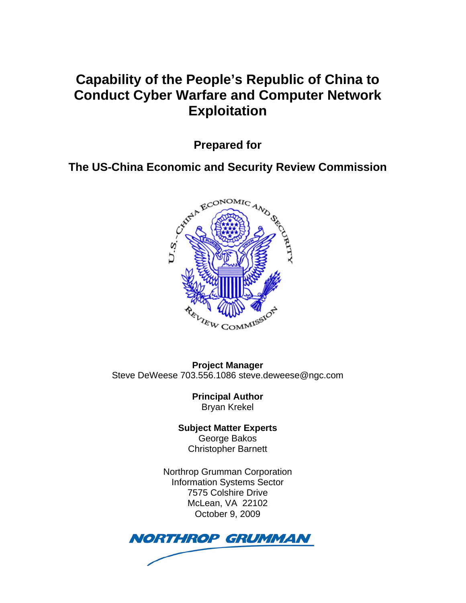# **Capability of the People's Republic of China to Conduct Cyber Warfare and Computer Network Exploitation**

**Prepared for** 

**The US-China Economic and Security Review Commission** 



**Project Manager**  Steve DeWeese 703.556.1086 steve.deweese@ngc.com

> **Principal Author**  Bryan Krekel

**Subject Matter Experts**  George Bakos Christopher Barnett

Northrop Grumman Corporation Information Systems Sector 7575 Colshire Drive McLean, VA 22102 October 9, 2009

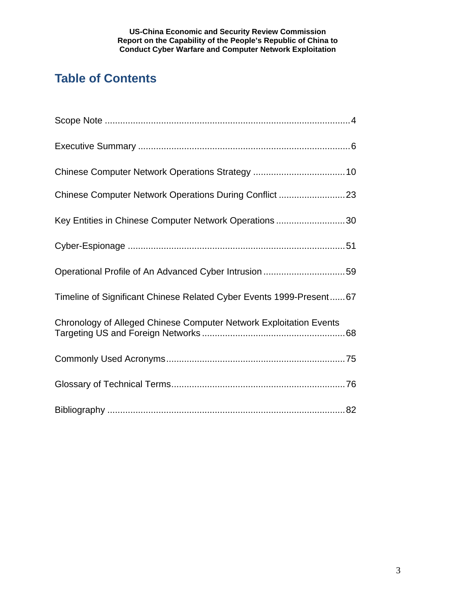# **Table of Contents**

| Chinese Computer Network Operations During Conflict 23               |
|----------------------------------------------------------------------|
| Key Entities in Chinese Computer Network Operations 30               |
|                                                                      |
| Operational Profile of An Advanced Cyber Intrusion 59                |
| Timeline of Significant Chinese Related Cyber Events 1999-Present 67 |
| Chronology of Alleged Chinese Computer Network Exploitation Events   |
|                                                                      |
|                                                                      |
|                                                                      |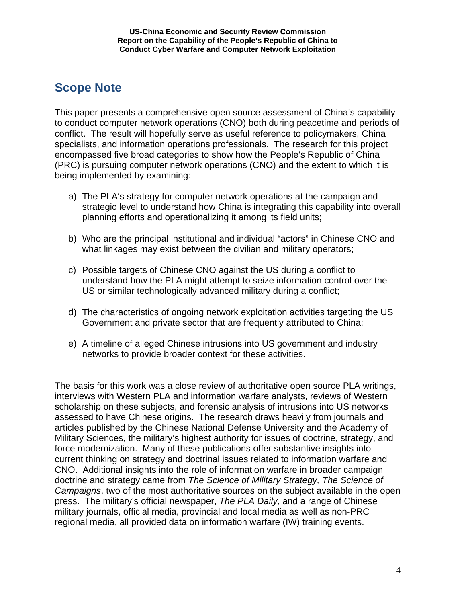# **Scope Note**

This paper presents a comprehensive open source assessment of China's capability to conduct computer network operations (CNO) both during peacetime and periods of conflict. The result will hopefully serve as useful reference to policymakers, China specialists, and information operations professionals. The research for this project encompassed five broad categories to show how the People's Republic of China (PRC) is pursuing computer network operations (CNO) and the extent to which it is being implemented by examining:

- a) The PLA's strategy for computer network operations at the campaign and strategic level to understand how China is integrating this capability into overall planning efforts and operationalizing it among its field units;
- b) Who are the principal institutional and individual "actors" in Chinese CNO and what linkages may exist between the civilian and military operators;
- c) Possible targets of Chinese CNO against the US during a conflict to understand how the PLA might attempt to seize information control over the US or similar technologically advanced military during a conflict;
- d) The characteristics of ongoing network exploitation activities targeting the US Government and private sector that are frequently attributed to China;
- e) A timeline of alleged Chinese intrusions into US government and industry networks to provide broader context for these activities.

The basis for this work was a close review of authoritative open source PLA writings, interviews with Western PLA and information warfare analysts, reviews of Western scholarship on these subjects, and forensic analysis of intrusions into US networks assessed to have Chinese origins. The research draws heavily from journals and articles published by the Chinese National Defense University and the Academy of Military Sciences, the military's highest authority for issues of doctrine, strategy, and force modernization. Many of these publications offer substantive insights into current thinking on strategy and doctrinal issues related to information warfare and CNO. Additional insights into the role of information warfare in broader campaign doctrine and strategy came from *The Science of Military Strategy, The Science of Campaigns*, two of the most authoritative sources on the subject available in the open press. The military's official newspaper, *The PLA Daily*, and a range of Chinese military journals, official media, provincial and local media as well as non-PRC regional media, all provided data on information warfare (IW) training events.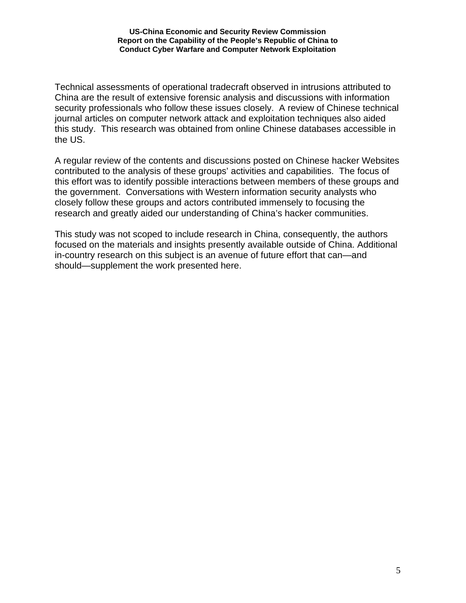Technical assessments of operational tradecraft observed in intrusions attributed to China are the result of extensive forensic analysis and discussions with information security professionals who follow these issues closely. A review of Chinese technical journal articles on computer network attack and exploitation techniques also aided this study. This research was obtained from online Chinese databases accessible in the US.

A regular review of the contents and discussions posted on Chinese hacker Websites contributed to the analysis of these groups' activities and capabilities. The focus of this effort was to identify possible interactions between members of these groups and the government. Conversations with Western information security analysts who closely follow these groups and actors contributed immensely to focusing the research and greatly aided our understanding of China's hacker communities.

This study was not scoped to include research in China, consequently, the authors focused on the materials and insights presently available outside of China. Additional in-country research on this subject is an avenue of future effort that can—and should—supplement the work presented here.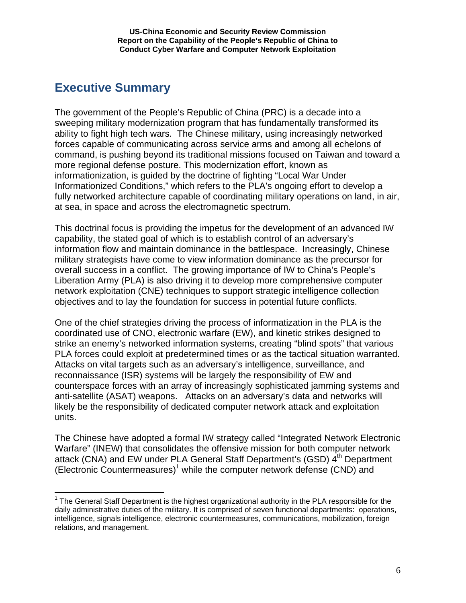## **Executive Summary**

 $\overline{a}$ 

The government of the People's Republic of China (PRC) is a decade into a sweeping military modernization program that has fundamentally transformed its ability to fight high tech wars. The Chinese military, using increasingly networked forces capable of communicating across service arms and among all echelons of command, is pushing beyond its traditional missions focused on Taiwan and toward a more regional defense posture. This modernization effort, known as informationization, is guided by the doctrine of fighting "Local War Under Informationized Conditions," which refers to the PLA's ongoing effort to develop a fully networked architecture capable of coordinating military operations on land, in air, at sea, in space and across the electromagnetic spectrum.

This doctrinal focus is providing the impetus for the development of an advanced IW capability, the stated goal of which is to establish control of an adversary's information flow and maintain dominance in the battlespace. Increasingly, Chinese military strategists have come to view information dominance as the precursor for overall success in a conflict. The growing importance of IW to China's People's Liberation Army (PLA) is also driving it to develop more comprehensive computer network exploitation (CNE) techniques to support strategic intelligence collection objectives and to lay the foundation for success in potential future conflicts.

One of the chief strategies driving the process of informatization in the PLA is the coordinated use of CNO, electronic warfare (EW), and kinetic strikes designed to strike an enemy's networked information systems, creating "blind spots" that various PLA forces could exploit at predetermined times or as the tactical situation warranted. Attacks on vital targets such as an adversary's intelligence, surveillance, and reconnaissance (ISR) systems will be largely the responsibility of EW and counterspace forces with an array of increasingly sophisticated jamming systems and anti-satellite (ASAT) weapons. Attacks on an adversary's data and networks will likely be the responsibility of dedicated computer network attack and exploitation units.

The Chinese have adopted a formal IW strategy called "Integrated Network Electronic Warfare" (INEW) that consolidates the offensive mission for both computer network attack (CNA) and EW under PLA General Staff Department's (GSD) 4<sup>th</sup> Department (Electronic Countermeasures) $1$  while the computer network defense (CND) and

<sup>&</sup>lt;sup>1</sup> The General Staff Department is the highest organizational authority in the PLA responsible for the daily administrative duties of the military. It is comprised of seven functional departments: operations, intelligence, signals intelligence, electronic countermeasures, communications, mobilization, foreign relations, and management.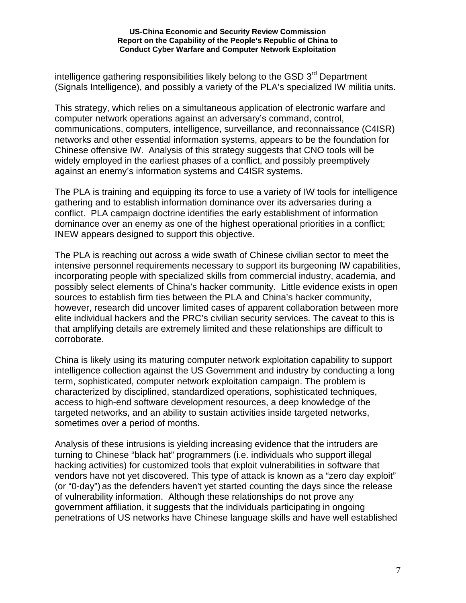intelligence gathering responsibilities likely belong to the GSD  $3<sup>rd</sup>$  Department (Signals Intelligence), and possibly a variety of the PLA's specialized IW militia units.

This strategy, which relies on a simultaneous application of electronic warfare and computer network operations against an adversary's command, control, communications, computers, intelligence, surveillance, and reconnaissance (C4ISR) networks and other essential information systems, appears to be the foundation for Chinese offensive IW. Analysis of this strategy suggests that CNO tools will be widely employed in the earliest phases of a conflict, and possibly preemptively against an enemy's information systems and C4ISR systems.

The PLA is training and equipping its force to use a variety of IW tools for intelligence gathering and to establish information dominance over its adversaries during a conflict. PLA campaign doctrine identifies the early establishment of information dominance over an enemy as one of the highest operational priorities in a conflict; INEW appears designed to support this objective.

The PLA is reaching out across a wide swath of Chinese civilian sector to meet the intensive personnel requirements necessary to support its burgeoning IW capabilities, incorporating people with specialized skills from commercial industry, academia, and possibly select elements of China's hacker community. Little evidence exists in open sources to establish firm ties between the PLA and China's hacker community, however, research did uncover limited cases of apparent collaboration between more elite individual hackers and the PRC's civilian security services. The caveat to this is that amplifying details are extremely limited and these relationships are difficult to corroborate.

China is likely using its maturing computer network exploitation capability to support intelligence collection against the US Government and industry by conducting a long term, sophisticated, computer network exploitation campaign. The problem is characterized by disciplined, standardized operations, sophisticated techniques, access to high-end software development resources, a deep knowledge of the targeted networks, and an ability to sustain activities inside targeted networks, sometimes over a period of months.

Analysis of these intrusions is yielding increasing evidence that the intruders are turning to Chinese "black hat" programmers (i.e. individuals who support illegal hacking activities) for customized tools that exploit vulnerabilities in software that vendors have not yet discovered. This type of attack is known as a "zero day exploit" (or "0-day") as the defenders haven't yet started counting the days since the release of vulnerability information. Although these relationships do not prove any government affiliation, it suggests that the individuals participating in ongoing penetrations of US networks have Chinese language skills and have well established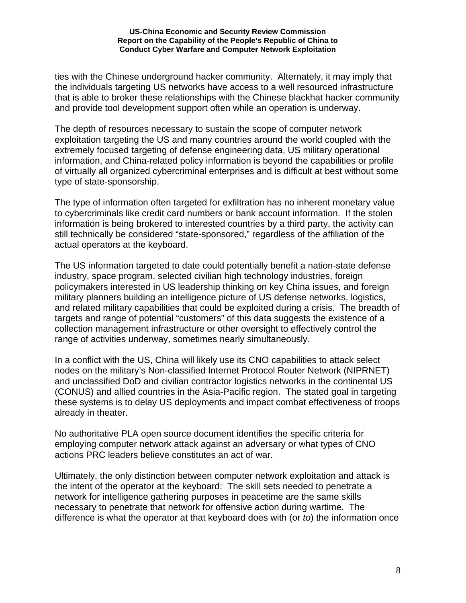ties with the Chinese underground hacker community. Alternately, it may imply that the individuals targeting US networks have access to a well resourced infrastructure that is able to broker these relationships with the Chinese blackhat hacker community and provide tool development support often while an operation is underway.

The depth of resources necessary to sustain the scope of computer network exploitation targeting the US and many countries around the world coupled with the extremely focused targeting of defense engineering data, US military operational information, and China-related policy information is beyond the capabilities or profile of virtually all organized cybercriminal enterprises and is difficult at best without some type of state-sponsorship.

The type of information often targeted for exfiltration has no inherent monetary value to cybercriminals like credit card numbers or bank account information. If the stolen information is being brokered to interested countries by a third party, the activity can still technically be considered "state-sponsored," regardless of the affiliation of the actual operators at the keyboard.

The US information targeted to date could potentially benefit a nation-state defense industry, space program, selected civilian high technology industries, foreign policymakers interested in US leadership thinking on key China issues, and foreign military planners building an intelligence picture of US defense networks, logistics, and related military capabilities that could be exploited during a crisis. The breadth of targets and range of potential "customers" of this data suggests the existence of a collection management infrastructure or other oversight to effectively control the range of activities underway, sometimes nearly simultaneously.

In a conflict with the US, China will likely use its CNO capabilities to attack select nodes on the military's Non-classified Internet Protocol Router Network (NIPRNET) and unclassified DoD and civilian contractor logistics networks in the continental US (CONUS) and allied countries in the Asia-Pacific region. The stated goal in targeting these systems is to delay US deployments and impact combat effectiveness of troops already in theater.

No authoritative PLA open source document identifies the specific criteria for employing computer network attack against an adversary or what types of CNO actions PRC leaders believe constitutes an act of war.

Ultimately, the only distinction between computer network exploitation and attack is the intent of the operator at the keyboard: The skill sets needed to penetrate a network for intelligence gathering purposes in peacetime are the same skills necessary to penetrate that network for offensive action during wartime. The difference is what the operator at that keyboard does with (or *to*) the information once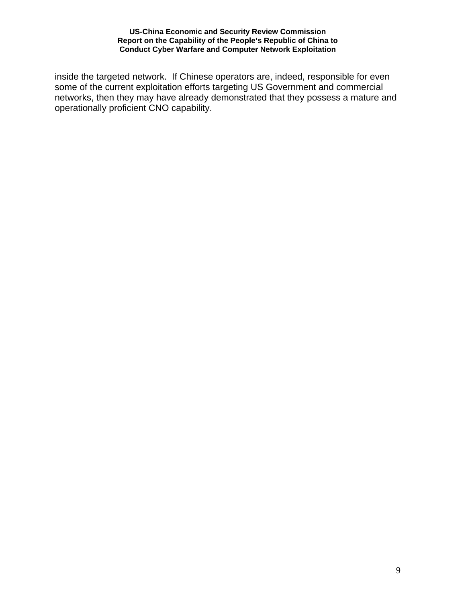inside the targeted network. If Chinese operators are, indeed, responsible for even some of the current exploitation efforts targeting US Government and commercial networks, then they may have already demonstrated that they possess a mature and operationally proficient CNO capability.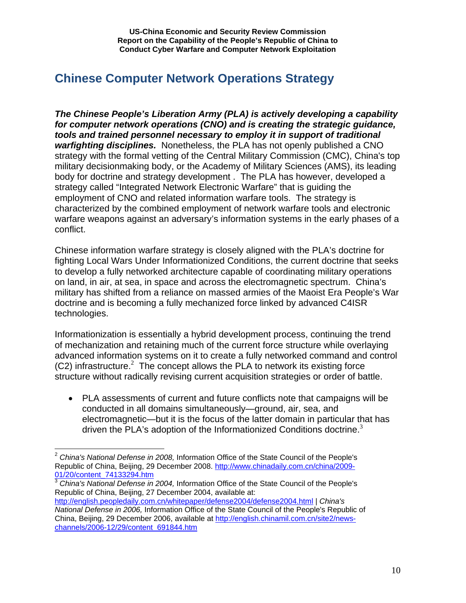## **Chinese Computer Network Operations Strategy**

*The Chinese People's Liberation Army (PLA) is actively developing a capability for computer network operations (CNO) and is creating the strategic guidance, tools and trained personnel necessary to employ it in support of traditional warfighting disciplines.* Nonetheless, the PLA has not openly published a CNO strategy with the formal vetting of the Central Military Commission (CMC), China's top military decisionmaking body, or the Academy of Military Sciences (AMS), its leading body for doctrine and strategy development .The PLA has however, developed a strategy called "Integrated Network Electronic Warfare" that is guiding the employment of CNO and related information warfare tools. The strategy is characterized by the combined employment of network warfare tools and electronic warfare weapons against an adversary's information systems in the early phases of a conflict.

Chinese information warfare strategy is closely aligned with the PLA's doctrine for fighting Local Wars Under Informationized Conditions, the current doctrine that seeks to develop a fully networked architecture capable of coordinating military operations on land, in air, at sea, in space and across the electromagnetic spectrum. China's military has shifted from a reliance on massed armies of the Maoist Era People's War doctrine and is becoming a fully mechanized force linked by advanced C4ISR technologies.

Informationization is essentially a hybrid development process, continuing the trend of mechanization and retaining much of the current force structure while overlaying advanced information systems on it to create a fully networked command and control  $(C2)$  infrastructure.<sup>2</sup> The concept allows the PLA to network its existing force structure without radically revising current acquisition strategies or order of battle.

• PLA assessments of current and future conflicts note that campaigns will be conducted in all domains simultaneously—ground, air, sea, and electromagnetic—but it is the focus of the latter domain in particular that has driven the PLA's adoption of the Informationized Conditions doctrine. $3$ 

1

<sup>2</sup> *China's National Defense in 2008,* Information Office of the State Council of the People's Republic of China, Beijing, 29 December 2008. http://www.chinadaily.com.cn/china/2009- 01/20/content\_74133294.htm

<sup>&</sup>lt;sup>3</sup> China's National Defense in 2004, Information Office of the State Council of the People's Republic of China, Beijing, 27 December 2004, available at:

http://english.peopledaily.com.cn/whitepaper/defense2004/defense2004.html | *China's National Defense in 2006,* Information Office of the State Council of the People's Republic of China, Beijing, 29 December 2006, available at http://english.chinamil.com.cn/site2/newschannels/2006-12/29/content\_691844.htm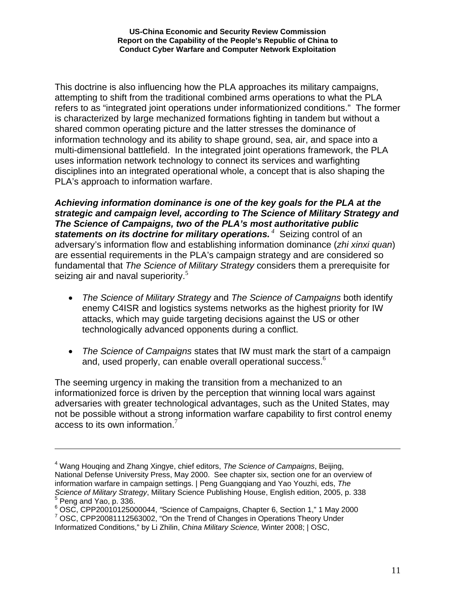This doctrine is also influencing how the PLA approaches its military campaigns, attempting to shift from the traditional combined arms operations to what the PLA refers to as "integrated joint operations under informationized conditions." The former is characterized by large mechanized formations fighting in tandem but without a shared common operating picture and the latter stresses the dominance of information technology and its ability to shape ground, sea, air, and space into a multi-dimensional battlefield. In the integrated joint operations framework, the PLA uses information network technology to connect its services and warfighting disciplines into an integrated operational whole, a concept that is also shaping the PLA's approach to information warfare.

*Achieving information dominance is one of the key goals for the PLA at the strategic and campaign level, according to The Science of Military Strategy and The Science of Campaigns, two of the PLA's most authoritative public statements on its doctrine for military operations.<sup>4</sup>* Seizing control of an adversary's information flow and establishing information dominance (*zhi xinxi quan*) are essential requirements in the PLA's campaign strategy and are considered so fundamental that *The Science of Military Strategy* considers them a prerequisite for seizing air and naval superiority. $5$ 

- *The Science of Military Strategy* and *The Science of Campaigns* both identify enemy C4ISR and logistics systems networks as the highest priority for IW attacks, which may guide targeting decisions against the US or other technologically advanced opponents during a conflict.
- *The Science of Campaigns* states that IW must mark the start of a campaign and, used properly, can enable overall operational success.<sup>6</sup>

The seeming urgency in making the transition from a mechanized to an informationized force is driven by the perception that winning local wars against adversaries with greater technological advantages, such as the United States, may not be possible without a strong information warfare capability to first control enemy access to its own information.<sup>7</sup>

 $\overline{a}$ 

<sup>4</sup> Wang Houqing and Zhang Xingye, chief editors, *The Science of Campaigns*, Beijing, National Defense University Press, May 2000. See chapter six, section one for an overview of information warfare in campaign settings. | Peng Guangqiang and Yao Youzhi, eds, *The Science of Military Strategy*, Military Science Publishing House, English edition, 2005, p. 338 5  $5$  Peng and Yao, p. 336.

<sup>&</sup>lt;sup>6</sup> OSC, CPP20010125000044, *"*Science of Campaigns, Chapter 6, Section 1," 1 May 2000 OSC, CPP20081112563002, "On the Trend of Changes in Operations Theory Under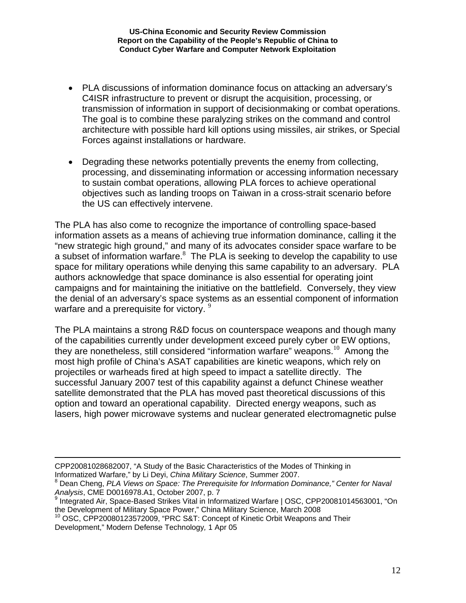- PLA discussions of information dominance focus on attacking an adversary's C4ISR infrastructure to prevent or disrupt the acquisition, processing, or transmission of information in support of decisionmaking or combat operations. The goal is to combine these paralyzing strikes on the command and control architecture with possible hard kill options using missiles, air strikes, or Special Forces against installations or hardware.
- Degrading these networks potentially prevents the enemy from collecting, processing, and disseminating information or accessing information necessary to sustain combat operations, allowing PLA forces to achieve operational objectives such as landing troops on Taiwan in a cross-strait scenario before the US can effectively intervene.

The PLA has also come to recognize the importance of controlling space-based information assets as a means of achieving true information dominance, calling it the "new strategic high ground," and many of its advocates consider space warfare to be a subset of information warfare.<sup>8</sup> The PLA is seeking to develop the capability to use space for military operations while denying this same capability to an adversary. PLA authors acknowledge that space dominance is also essential for operating joint campaigns and for maintaining the initiative on the battlefield. Conversely, they view the denial of an adversary's space systems as an essential component of information warfare and a prerequisite for victory. <sup>9</sup>

The PLA maintains a strong R&D focus on counterspace weapons and though many of the capabilities currently under development exceed purely cyber or EW options, they are nonetheless, still considered "information warfare" weapons.<sup>10</sup> Among the most high profile of China's ASAT capabilities are kinetic weapons, which rely on projectiles or warheads fired at high speed to impact a satellite directly. The successful January 2007 test of this capability against a defunct Chinese weather satellite demonstrated that the PLA has moved past theoretical discussions of this option and toward an operational capability. Directed energy weapons, such as lasers, high power microwave systems and nuclear generated electromagnetic pulse

<sup>&</sup>lt;u>.</u> CPP20081028682007, "A Study of the Basic Characteristics of the Modes of Thinking in Informatized Warfare," by Li Deyi, *China Military Science*, Summer 2007.

<sup>&</sup>lt;sup>8</sup> Dean Cheng, PLA Views on Space: The Prerequisite for Information Dominance," Center for Naval *Analysis*, CME D0016978.A1, October 2007, p. 7

Integrated Air, Space-Based Strikes Vital in Informatized Warfare | OSC, CPP20081014563001, "On the Development of Military Space Power," China Military Science, March 2008 10 OSC, CPP20080123572009, "PRC S&T: Concept of Kinetic Orbit Weapons and Their

Development," Modern Defense Technology*,* 1 Apr 05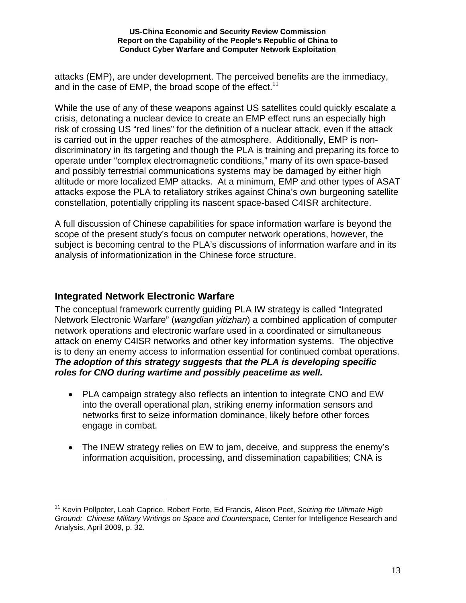attacks (EMP), are under development. The perceived benefits are the immediacy, and in the case of EMP, the broad scope of the effect.<sup>11</sup>

While the use of any of these weapons against US satellites could quickly escalate a crisis, detonating a nuclear device to create an EMP effect runs an especially high risk of crossing US "red lines" for the definition of a nuclear attack, even if the attack is carried out in the upper reaches of the atmosphere. Additionally, EMP is nondiscriminatory in its targeting and though the PLA is training and preparing its force to operate under "complex electromagnetic conditions," many of its own space-based and possibly terrestrial communications systems may be damaged by either high altitude or more localized EMP attacks. At a minimum, EMP and other types of ASAT attacks expose the PLA to retaliatory strikes against China's own burgeoning satellite constellation, potentially crippling its nascent space-based C4ISR architecture.

A full discussion of Chinese capabilities for space information warfare is beyond the scope of the present study's focus on computer network operations, however, the subject is becoming central to the PLA's discussions of information warfare and in its analysis of informationization in the Chinese force structure.

### **Integrated Network Electronic Warfare**

The conceptual framework currently guiding PLA IW strategy is called "Integrated Network Electronic Warfare" (*wangdian yitizhan*) a combined application of computer network operations and electronic warfare used in a coordinated or simultaneous attack on enemy C4ISR networks and other key information systems. The objective is to deny an enemy access to information essential for continued combat operations. *The adoption of this strategy suggests that the PLA is developing specific roles for CNO during wartime and possibly peacetime as well.* 

- PLA campaign strategy also reflects an intention to integrate CNO and EW into the overall operational plan, striking enemy information sensors and networks first to seize information dominance, likely before other forces engage in combat.
- The INEW strategy relies on EW to jam, deceive, and suppress the enemy's information acquisition, processing, and dissemination capabilities; CNA is

 $\overline{a}$ 11 Kevin Pollpeter, Leah Caprice, Robert Forte, Ed Francis, Alison Peet, *Seizing the Ultimate High Ground: Chinese Military Writings on Space and Counterspace,* Center for Intelligence Research and Analysis, April 2009, p. 32.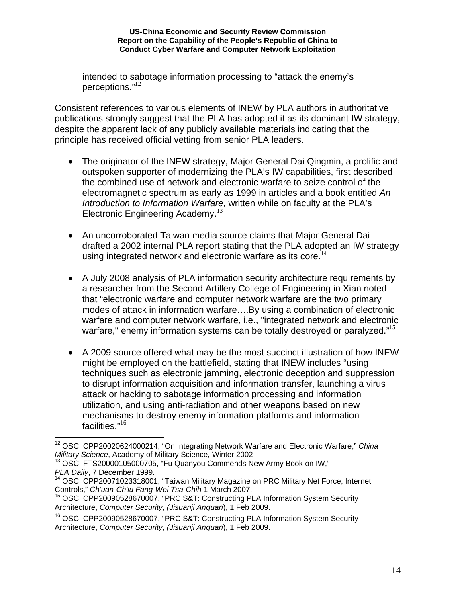intended to sabotage information processing to "attack the enemy's perceptions."<sup>12</sup>

Consistent references to various elements of INEW by PLA authors in authoritative publications strongly suggest that the PLA has adopted it as its dominant IW strategy, despite the apparent lack of any publicly available materials indicating that the principle has received official vetting from senior PLA leaders.

- The originator of the INEW strategy, Major General Dai Qingmin, a prolific and outspoken supporter of modernizing the PLA's IW capabilities, first described the combined use of network and electronic warfare to seize control of the electromagnetic spectrum as early as 1999 in articles and a book entitled *An Introduction to Information Warfare,* written while on faculty at the PLA's Electronic Engineering Academy.<sup>13</sup>
- An uncorroborated Taiwan media source claims that Major General Dai drafted a 2002 internal PLA report stating that the PLA adopted an IW strategy using integrated network and electronic warfare as its core.<sup>14</sup>
- A July 2008 analysis of PLA information security architecture requirements by a researcher from the Second Artillery College of Engineering in Xian noted that "electronic warfare and computer network warfare are the two primary modes of attack in information warfare….By using a combination of electronic warfare and computer network warfare, i.e., "integrated network and electronic warfare," enemy information systems can be totally destroyed or paralyzed."<sup>15</sup>
- A 2009 source offered what may be the most succinct illustration of how INEW might be employed on the battlefield, stating that INEW includes "using techniques such as electronic jamming, electronic deception and suppression to disrupt information acquisition and information transfer, launching a virus attack or hacking to sabotage information processing and information utilization, and using anti-radiation and other weapons based on new mechanisms to destroy enemy information platforms and information facilities."<sup>16</sup>

 $\overline{a}$ 12 OSC, CPP20020624000214, "On Integrating Network Warfare and Electronic Warfare," *China Military Science*, Academy of Military Science, Winter 2002<br><sup>13</sup> OSC, FTS20000105000705, "Fu Quanyou Commends New Army Book on IW,"

*PLA Daily*, 7 December 1999.

<sup>&</sup>lt;sup>14</sup> OSC, CPP20071023318001, "Taiwan Military Magazine on PRC Military Net Force, Internet Controls," *Ch'uan-Ch'iu Fang-Wei Tsa-Chih* 1 March 2007.

<sup>15</sup> OSC, CPP20090528670007, "PRC S&T: Constructing PLA Information System Security Architecture, *Computer Security, (Jisuanji Anquan*), 1 Feb 2009.

<sup>&</sup>lt;sup>16</sup> OSC, CPP20090528670007, "PRC S&T: Constructing PLA Information System Security Architecture, *Computer Security, (Jisuanji Anquan*), 1 Feb 2009.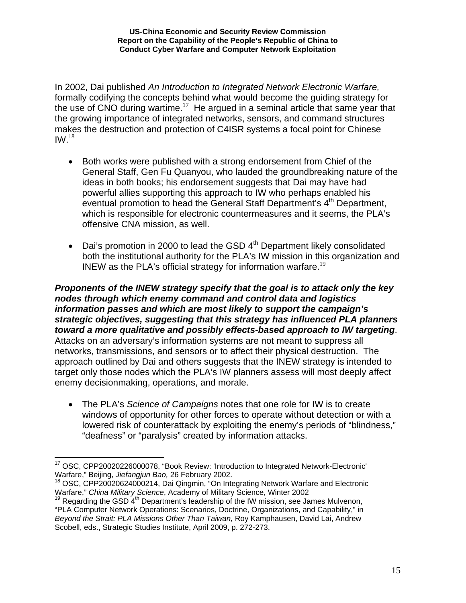In 2002, Dai published *An Introduction to Integrated Network Electronic Warfare,* formally codifying the concepts behind what would become the guiding strategy for the use of CNO during wartime.<sup>17</sup> He argued in a seminal article that same year that the growing importance of integrated networks, sensors, and command structures makes the destruction and protection of C4ISR systems a focal point for Chinese  $IW.^{18}$ 

- Both works were published with a strong endorsement from Chief of the General Staff, Gen Fu Quanyou, who lauded the groundbreaking nature of the ideas in both books; his endorsement suggests that Dai may have had powerful allies supporting this approach to IW who perhaps enabled his eventual promotion to head the General Staff Department's 4<sup>th</sup> Department, which is responsible for electronic countermeasures and it seems, the PLA's offensive CNA mission, as well.
- Dai's promotion in 2000 to lead the GSD  $4<sup>th</sup>$  Department likely consolidated both the institutional authority for the PLA's IW mission in this organization and INEW as the PLA's official strategy for information warfare.<sup>19</sup>

*Proponents of the INEW strategy specify that the goal is to attack only the key nodes through which enemy command and control data and logistics information passes and which are most likely to support the campaign's strategic objectives, suggesting that this strategy has influenced PLA planners toward a more qualitative and possibly effects-based approach to IW targeting*. Attacks on an adversary's information systems are not meant to suppress all networks, transmissions, and sensors or to affect their physical destruction. The approach outlined by Dai and others suggests that the INEW strategy is intended to target only those nodes which the PLA's IW planners assess will most deeply affect enemy decisionmaking, operations, and morale.

• The PLA's *Science of Campaigns* notes that one role for IW is to create windows of opportunity for other forces to operate without detection or with a lowered risk of counterattack by exploiting the enemy's periods of "blindness," "deafness" or "paralysis" created by information attacks.

 $\overline{\phantom{a}}$ <sup>17</sup> OSC, CPP20020226000078, "Book Review: 'Introduction to Integrated Network-Electronic'<br>Warfare," Beijing, Jiefangjun Bao, 26 February 2002.

<sup>&</sup>lt;sup>18</sup> OSC, CPP20020624000214, Dai Qingmin, "On Integrating Network Warfare and Electronic<br>Warfare," China Military Science, Academy of Military Science, Winter 2002

<sup>&</sup>lt;sup>19</sup> Regarding the GSD 4<sup>th</sup> Department's leadership of the IW mission, see James Mulvenon, "PLA Computer Network Operations: Scenarios, Doctrine, Organizations, and Capability," in *Beyond the Strait: PLA Missions Other Than Taiwan,* Roy Kamphausen, David Lai, Andrew Scobell, eds., Strategic Studies Institute, April 2009, p. 272-273.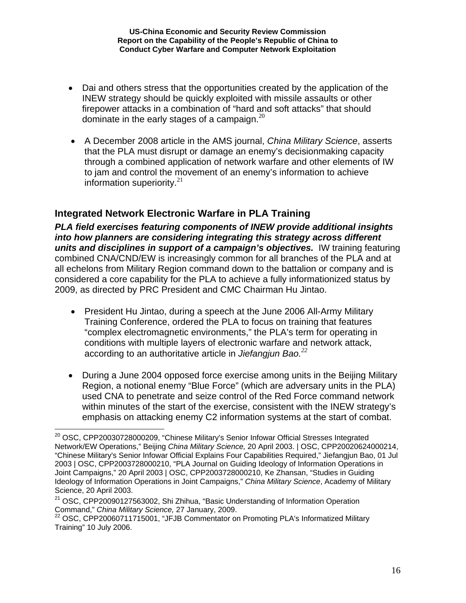- Dai and others stress that the opportunities created by the application of the INEW strategy should be quickly exploited with missile assaults or other firepower attacks in a combination of "hard and soft attacks" that should dominate in the early stages of a campaign.  $20$
- A December 2008 article in the AMS journal, *China Military Science*, asserts that the PLA must disrupt or damage an enemy's decisionmaking capacity through a combined application of network warfare and other elements of IW to jam and control the movement of an enemy's information to achieve information superiority. $21$

### **Integrated Network Electronic Warfare in PLA Training**

*PLA field exercises featuring components of INEW provide additional insights into how planners are considering integrating this strategy across different units and disciplines in support of a campaign's objectives.* IW training featuring combined CNA/CND/EW is increasingly common for all branches of the PLA and at all echelons from Military Region command down to the battalion or company and is considered a core capability for the PLA to achieve a fully informationized status by 2009, as directed by PRC President and CMC Chairman Hu Jintao.

- President Hu Jintao, during a speech at the June 2006 All-Army Military Training Conference, ordered the PLA to focus on training that features "complex electromagnetic environments," the PLA's term for operating in conditions with multiple layers of electronic warfare and network attack, according to an authoritative article in *Jiefangjun Bao.<sup>22</sup>*
- During a June 2004 opposed force exercise among units in the Beijing Military Region, a notional enemy "Blue Force" (which are adversary units in the PLA) used CNA to penetrate and seize control of the Red Force command network within minutes of the start of the exercise, consistent with the INEW strategy's emphasis on attacking enemy C2 information systems at the start of combat.

<sup>1</sup> <sup>20</sup> OSC, CPP20030728000209, "Chinese Military's Senior Infowar Official Stresses Integrated Network/EW Operations," Beijing *China Military Science,* 20 April 2003. | OSC, CPP20020624000214, "Chinese Military's Senior Infowar Official Explains Four Capabilities Required," Jiefangjun Bao, 01 Jul 2003 | OSC, CPP2003728000210, "PLA Journal on Guiding Ideology of Information Operations in Joint Campaigns," 20 April 2003 | OSC, CPP2003728000210, Ke Zhansan, "Studies in Guiding Ideology of Information Operations in Joint Campaigns," *China Military Science*, Academy of Military Science, 20 April 2003.

<sup>&</sup>lt;sup>21</sup> OSC, CPP20090127563002, Shi Zhihua, "Basic Understanding of Information Operation Command," *China Military Science,* 27 January, 2009.<br><sup>22</sup> OSC, CPP20060711715001, "JFJB Commentator on Promoting PLA's Informatized Military

Training" 10 July 2006.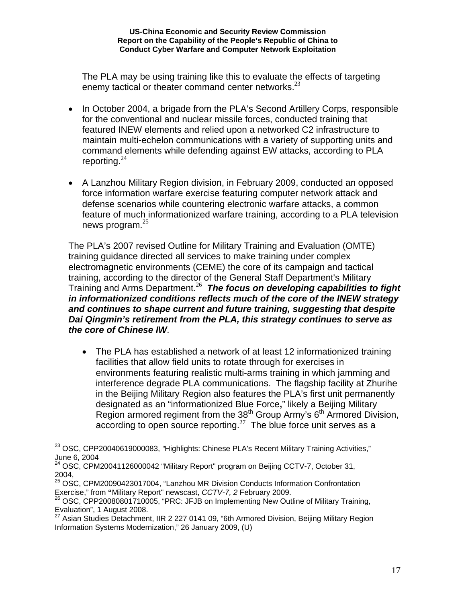The PLA may be using training like this to evaluate the effects of targeting enemy tactical or theater command center networks. $^{23}$ 

- In October 2004, a brigade from the PLA's Second Artillery Corps, responsible for the conventional and nuclear missile forces, conducted training that featured INEW elements and relied upon a networked C2 infrastructure to maintain multi-echelon communications with a variety of supporting units and command elements while defending against EW attacks, according to PLA reporting. $24$
- A Lanzhou Military Region division, in February 2009, conducted an opposed force information warfare exercise featuring computer network attack and defense scenarios while countering electronic warfare attacks, a common feature of much informationized warfare training, according to a PLA television news program.<sup>25</sup>

The PLA's 2007 revised Outline for Military Training and Evaluation (OMTE) training guidance directed all services to make training under complex electromagnetic environments (CEME) the core of its campaign and tactical training, according to the director of the General Staff Department's Military Training and Arms Department.<sup>26</sup> *The focus on developing capabilities to fight in informationized conditions reflects much of the core of the INEW strategy and continues to shape current and future training, suggesting that despite Dai Qingmin's retirement from the PLA, this strategy continues to serve as the core of Chinese IW*.

• The PLA has established a network of at least 12 informationized training facilities that allow field units to rotate through for exercises in environments featuring realistic multi-arms training in which jamming and interference degrade PLA communications. The flagship facility at Zhurihe in the Beijing Military Region also features the PLA's first unit permanently designated as an "informationized Blue Force**,**" likely a Beijing Military Region armored regiment from the  $38<sup>th</sup>$  Group Army's  $6<sup>th</sup>$  Armored Division, according to open source reporting.<sup>27</sup> The blue force unit serves as a

 $\overline{a}$ <sup>23</sup> OSC, CPP20040619000083, "Highlights: Chinese PLA's Recent Military Training Activities," June 6, 2004

 $24$  OSC, CPM20041126000042 "Military Report" program on Beijing CCTV-7, October 31, 2004,

<sup>25</sup> OSC, CPM20090423017004, "Lanzhou MR Division Conducts Information Confrontation

Exercise," from "Military Report" newscast, *CCTV-7, 2 February 2009.*<br><sup>26</sup> OSC, CPP20080801710005, "PRC: JFJB on Implementing New Outline of Military Training, Evaluation", 1 August 2008.

 $27$  Asian Studies Detachment, IIR 2 227 0141 09, "6th Armored Division, Beijing Military Region Information Systems Modernization," 26 January 2009, (U)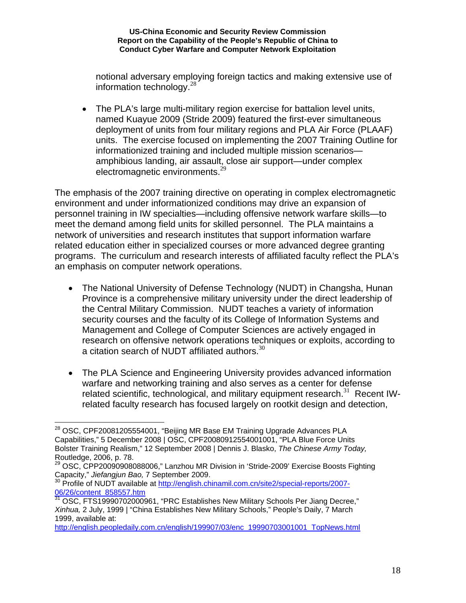notional adversary employing foreign tactics and making extensive use of information technology.<sup>28</sup>

• The PLA's large multi-military region exercise for battalion level units, named Kuayue 2009 (Stride 2009) featured the first-ever simultaneous deployment of units from four military regions and PLA Air Force (PLAAF) units. The exercise focused on implementing the 2007 Training Outline for informationized training and included multiple mission scenarios amphibious landing, air assault, close air support—under complex electromagnetic environments.<sup>29</sup>

The emphasis of the 2007 training directive on operating in complex electromagnetic environment and under informationized conditions may drive an expansion of personnel training in IW specialties—including offensive network warfare skills—to meet the demand among field units for skilled personnel. The PLA maintains a network of universities and research institutes that support information warfare related education either in specialized courses or more advanced degree granting programs. The curriculum and research interests of affiliated faculty reflect the PLA's an emphasis on computer network operations.

- The National University of Defense Technology (NUDT) in Changsha, Hunan Province is a comprehensive military university under the direct leadership of the Central Military Commission. NUDT teaches a variety of information security courses and the faculty of its College of Information Systems and Management and College of Computer Sciences are actively engaged in research on offensive network operations techniques or exploits, according to a citation search of NUDT affiliated authors.<sup>30</sup>
- The PLA Science and Engineering University provides advanced information warfare and networking training and also serves as a center for defense related scientific, technological, and military equipment research.<sup>31</sup> Recent IWrelated faculty research has focused largely on rootkit design and detection,

 $\overline{a}$  $^{28}$  OSC, CPF20081205554001, "Beijing MR Base EM Training Upgrade Advances PLA Capabilities," 5 December 2008 | OSC, CPF20080912554001001, "PLA Blue Force Units Bolster Training Realism," 12 September 2008 | Dennis J. Blasko, *The Chinese Army Today,* Routledge, 2006, p. 78.

<sup>29</sup> OSC, CPP20090908088006," Lanzhou MR Division in 'Stride-2009' Exercise Boosts Fighting

Capacity," *Jiefangjun Bao,* 7 September 2009.<br><sup>30</sup> Profile of NUDT available at http://english.chinamil.com.cn/site2/special-reports/2007-06/26/content\_858557.htm

<sup>&</sup>lt;sup>31</sup> OSC, FTS19990702000961, "PRC Establishes New Military Schools Per Jiang Decree," *Xinhua,* 2 July, 1999 | "China Establishes New Military Schools," People's Daily, 7 March 1999, available at:

http://english.peopledaily.com.cn/english/199907/03/enc\_19990703001001\_TopNews.html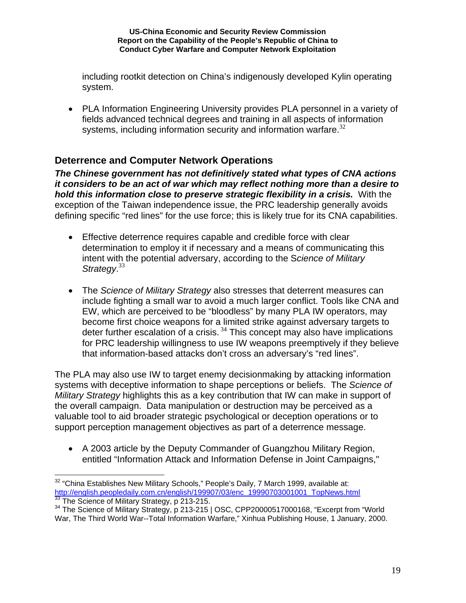including rootkit detection on China's indigenously developed Kylin operating system.

• PLA Information Engineering University provides PLA personnel in a variety of fields advanced technical degrees and training in all aspects of information systems, including information security and information warfare.  $32$ 

## **Deterrence and Computer Network Operations**

*The Chinese government has not definitively stated what types of CNA actions it considers to be an act of war which may reflect nothing more than a desire to hold this information close to preserve strategic flexibility in a crisis.* With the exception of the Taiwan independence issue, the PRC leadership generally avoids defining specific "red lines" for the use force; this is likely true for its CNA capabilities.

- Effective deterrence requires capable and credible force with clear determination to employ it if necessary and a means of communicating this intent with the potential adversary, according to the S*cience of Military Strategy*. 33
- The *Science of Military Strategy* also stresses that deterrent measures can include fighting a small war to avoid a much larger conflict. Tools like CNA and EW, which are perceived to be "bloodless" by many PLA IW operators, may become first choice weapons for a limited strike against adversary targets to deter further escalation of a crisis.  $34$  This concept may also have implications for PRC leadership willingness to use IW weapons preemptively if they believe that information-based attacks don't cross an adversary's "red lines".

The PLA may also use IW to target enemy decisionmaking by attacking information systems with deceptive information to shape perceptions or beliefs. The *Science of Military Strategy* highlights this as a key contribution that IW can make in support of the overall campaign. Data manipulation or destruction may be perceived as a valuable tool to aid broader strategic psychological or deception operations or to support perception management objectives as part of a deterrence message.

• A 2003 article by the Deputy Commander of Guangzhou Military Region, entitled "Information Attack and Information Defense in Joint Campaigns,"

 $\overline{a}$  $32$  "China Establishes New Military Schools," People's Daily, 7 March 1999, available at: http://english.peopledaily.com.cn/english/199907/03/enc\_19990703001001\_TopNews.html<br><sup>33</sup> The Science of Military Strategy, p 213-215.<br><sup>34</sup> The Science of Military Strategy, p 213-215 | OSC, CPP20000517000168, "Excerpt from

War, The Third World War--Total Information Warfare," Xinhua Publishing House, 1 January, 2000.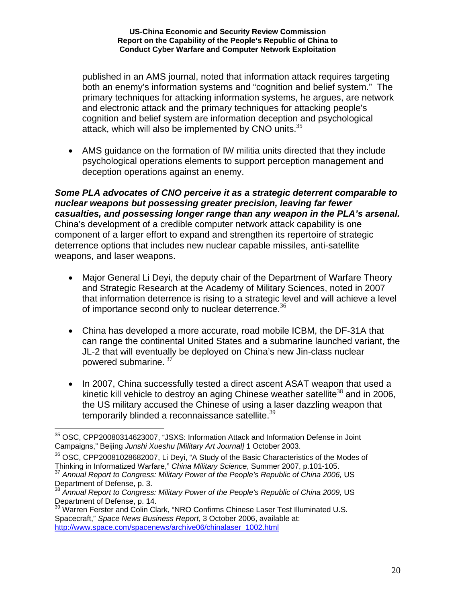published in an AMS journal, noted that information attack requires targeting both an enemy's information systems and "cognition and belief system." The primary techniques for attacking information systems, he argues, are network and electronic attack and the primary techniques for attacking people's cognition and belief system are information deception and psychological attack, which will also be implemented by CNO units.<sup>35</sup>

• AMS guidance on the formation of IW militia units directed that they include psychological operations elements to support perception management and deception operations against an enemy.

*Some PLA advocates of CNO perceive it as a strategic deterrent comparable to nuclear weapons but possessing greater precision, leaving far fewer casualties, and possessing longer range than any weapon in the PLA's arsenal.*  China's development of a credible computer network attack capability is one component of a larger effort to expand and strengthen its repertoire of strategic deterrence options that includes new nuclear capable missiles, anti-satellite weapons, and laser weapons.

- Major General Li Deyi, the deputy chair of the Department of Warfare Theory and Strategic Research at the Academy of Military Sciences, noted in 2007 that information deterrence is rising to a strategic level and will achieve a level of importance second only to nuclear deterrence.<sup>36</sup>
- China has developed a more accurate, road mobile ICBM, the DF-31A that can range the continental United States and a submarine launched variant, the JL-2 that will eventually be deployed on China's new Jin-class nuclear powered submarine. 37
- In 2007, China successfully tested a direct ascent ASAT weapon that used a kinetic kill vehicle to destroy an aging Chinese weather satellite<sup>38</sup> and in 2006. the US military accused the Chinese of using a laser dazzling weapon that temporarily blinded a reconnaissance satellite. $39$

 $\overline{a}$ <sup>35</sup> OSC, CPP20080314623007, "JSXS: Information Attack and Information Defense in Joint Campaigns," Beijing *Junshi Xueshu [Military Art Journal]* 1 October 2003.

<sup>&</sup>lt;sup>36</sup> OSC, CPP20081028682007, Li Deyi, "A Study of the Basic Characteristics of the Modes of Thinking in Informatized Warfare," China Military Science, Summer 2007, p.101-105.

<sup>&</sup>lt;sup>37</sup> Annual Report to Congress: Military Power of the People's Republic of China 2006, US Department of Defense, p. 3.

<sup>38</sup> *Annual Report to Congress: Military Power of the People's Republic of China 2009,* US Department of Defense, p. 14.

<sup>&</sup>lt;sup>39</sup> Warren Ferster and Colin Clark, "NRO Confirms Chinese Laser Test Illuminated U.S. Spacecraft," *Space News Business Report,* 3 October 2006, available at: http://www.space.com/spacenews/archive06/chinalaser\_1002.html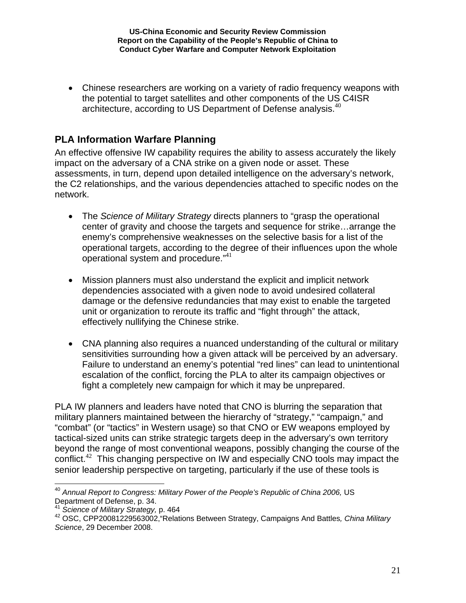• Chinese researchers are working on a variety of radio frequency weapons with the potential to target satellites and other components of the US C4ISR architecture, according to US Department of Defense analysis.<sup>40</sup>

## **PLA Information Warfare Planning**

An effective offensive IW capability requires the ability to assess accurately the likely impact on the adversary of a CNA strike on a given node or asset. These assessments, in turn, depend upon detailed intelligence on the adversary's network, the C2 relationships, and the various dependencies attached to specific nodes on the network.

- The *Science of Military Strategy* directs planners to "grasp the operational center of gravity and choose the targets and sequence for strike…arrange the enemy's comprehensive weaknesses on the selective basis for a list of the operational targets, according to the degree of their influences upon the whole operational system and procedure."<sup>41</sup>
- Mission planners must also understand the explicit and implicit network dependencies associated with a given node to avoid undesired collateral damage or the defensive redundancies that may exist to enable the targeted unit or organization to reroute its traffic and "fight through" the attack, effectively nullifying the Chinese strike.
- CNA planning also requires a nuanced understanding of the cultural or military sensitivities surrounding how a given attack will be perceived by an adversary. Failure to understand an enemy's potential "red lines" can lead to unintentional escalation of the conflict, forcing the PLA to alter its campaign objectives or fight a completely new campaign for which it may be unprepared.

PLA IW planners and leaders have noted that CNO is blurring the separation that military planners maintained between the hierarchy of "strategy," "campaign," and "combat" (or "tactics" in Western usage) so that CNO or EW weapons employed by tactical-sized units can strike strategic targets deep in the adversary's own territory beyond the range of most conventional weapons, possibly changing the course of the conflict.<sup>42</sup> This changing perspective on IW and especially CNO tools may impact the senior leadership perspective on targeting, particularly if the use of these tools is

 $\overline{a}$ <sup>40</sup> *Annual Report to Congress: Military Power of the People's Republic of China 2006,* US

Department of Defense, p. 34.<br><sup>41</sup> Science of Military Strategy, p. 464

<sup>41</sup> *Science of Military Strategy,* p. 464 42 OSC, CPP20081229563002,"Relations Between Strategy, Campaigns And Battles*, China Military Science*, 29 December 2008.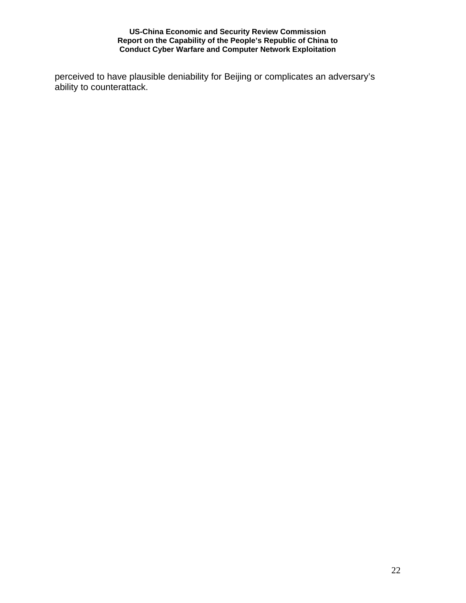perceived to have plausible deniability for Beijing or complicates an adversary's ability to counterattack.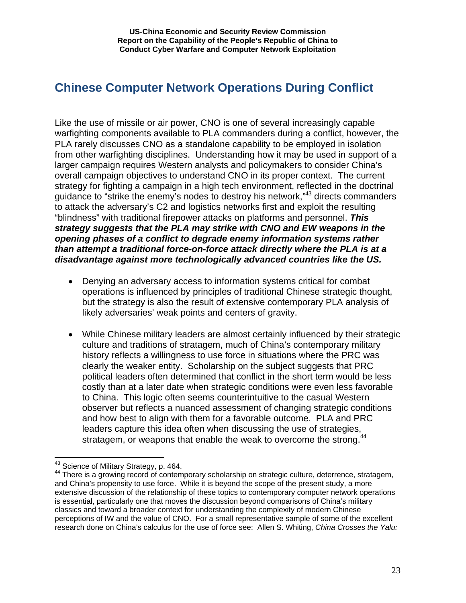# **Chinese Computer Network Operations During Conflict**

Like the use of missile or air power, CNO is one of several increasingly capable warfighting components available to PLA commanders during a conflict, however, the PLA rarely discusses CNO as a standalone capability to be employed in isolation from other warfighting disciplines. Understanding how it may be used in support of a larger campaign requires Western analysts and policymakers to consider China's overall campaign objectives to understand CNO in its proper context. The current strategy for fighting a campaign in a high tech environment, reflected in the doctrinal guidance to "strike the enemy's nodes to destroy his network,"<sup>43</sup> directs commanders to attack the adversary's C2 and logistics networks first and exploit the resulting "blindness" with traditional firepower attacks on platforms and personnel. *This strategy suggests that the PLA may strike with CNO and EW weapons in the opening phases of a conflict to degrade enemy information systems rather than attempt a traditional force-on-force attack directly where the PLA is at a disadvantage against more technologically advanced countries like the US.* 

- Denying an adversary access to information systems critical for combat operations is influenced by principles of traditional Chinese strategic thought, but the strategy is also the result of extensive contemporary PLA analysis of likely adversaries' weak points and centers of gravity.
- While Chinese military leaders are almost certainly influenced by their strategic culture and traditions of stratagem, much of China's contemporary military history reflects a willingness to use force in situations where the PRC was clearly the weaker entity. Scholarship on the subject suggests that PRC political leaders often determined that conflict in the short term would be less costly than at a later date when strategic conditions were even less favorable to China. This logic often seems counterintuitive to the casual Western observer but reflects a nuanced assessment of changing strategic conditions and how best to align with them for a favorable outcome. PLA and PRC leaders capture this idea often when discussing the use of strategies, stratagem, or weapons that enable the weak to overcome the strong.<sup>4</sup>

<sup>&</sup>lt;sup>43</sup> Science of Military Strategy, p. 464.

<sup>&</sup>lt;sup>44</sup> There is a growing record of contemporary scholarship on strategic culture, deterrence, stratagem, and China's propensity to use force. While it is beyond the scope of the present study, a more extensive discussion of the relationship of these topics to contemporary computer network operations is essential, particularly one that moves the discussion beyond comparisons of China's military classics and toward a broader context for understanding the complexity of modern Chinese perceptions of IW and the value of CNO. For a small representative sample of some of the excellent research done on China's calculus for the use of force see: Allen S. Whiting, *China Crosses the Yalu:*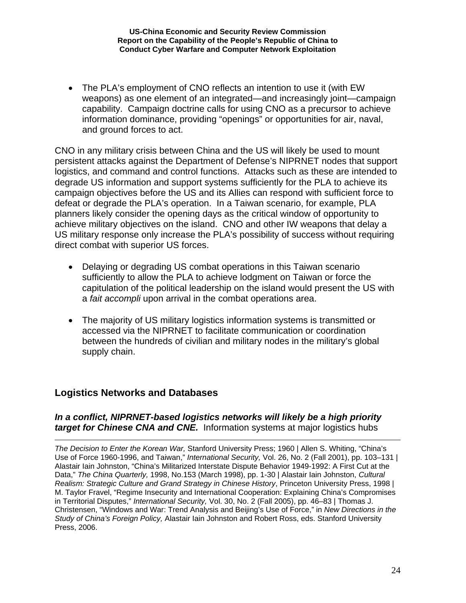• The PLA's employment of CNO reflects an intention to use it (with EW weapons) as one element of an integrated—and increasingly joint—campaign capability. Campaign doctrine calls for using CNO as a precursor to achieve information dominance, providing "openings" or opportunities for air, naval, and ground forces to act.

CNO in any military crisis between China and the US will likely be used to mount persistent attacks against the Department of Defense's NIPRNET nodes that support logistics, and command and control functions. Attacks such as these are intended to degrade US information and support systems sufficiently for the PLA to achieve its campaign objectives before the US and its Allies can respond with sufficient force to defeat or degrade the PLA's operation. In a Taiwan scenario, for example, PLA planners likely consider the opening days as the critical window of opportunity to achieve military objectives on the island. CNO and other IW weapons that delay a US military response only increase the PLA's possibility of success without requiring direct combat with superior US forces.

- Delaying or degrading US combat operations in this Taiwan scenario sufficiently to allow the PLA to achieve lodgment on Taiwan or force the capitulation of the political leadership on the island would present the US with a *fait accompli* upon arrival in the combat operations area.
- The majority of US military logistics information systems is transmitted or accessed via the NIPRNET to facilitate communication or coordination between the hundreds of civilian and military nodes in the military's global supply chain.

### **Logistics Networks and Databases**

### *In a conflict, NIPRNET-based logistics networks will likely be a high priority target for Chinese CNA and CNE.* Information systems at major logistics hubs

 $\overline{a}$ *The Decision to Enter the Korean War,* Stanford University Press; 1960 | Allen S. Whiting, "China's Use of Force 1960-1996, and Taiwan," *International Security,* Vol. 26, No. 2 (Fall 2001), pp. 103–131 | Alastair Iain Johnston, "China's Militarized Interstate Dispute Behavior 1949-1992: A First Cut at the Data," *The China Quarterly,* 1998, No.153 (March 1998), pp. 1-30 | Alastair Iain Johnston, *Cultural Realism: Strategic Culture and Grand Strategy in Chinese History*, Princeton University Press, 1998 | M. Taylor Fravel, "Regime Insecurity and International Cooperation: Explaining China's Compromises in Territorial Disputes," *International Security,* Vol. 30, No. 2 (Fall 2005), pp. 46–83 | Thomas J. Christensen, "Windows and War: Trend Analysis and Beijing's Use of Force," in *New Directions in the Study of China's Foreign Policy,* Alastair Iain Johnston and Robert Ross, eds. Stanford University Press, 2006.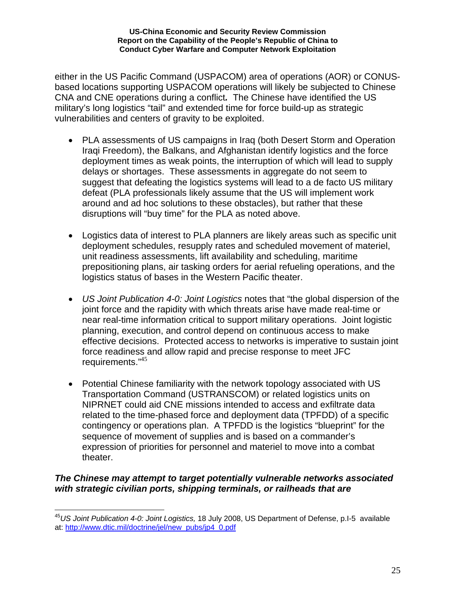either in the US Pacific Command (USPACOM) area of operations (AOR) or CONUSbased locations supporting USPACOM operations will likely be subjected to Chinese CNA and CNE operations during a conflict*.* The Chinese have identified the US military's long logistics "tail" and extended time for force build-up as strategic vulnerabilities and centers of gravity to be exploited.

- PLA assessments of US campaigns in Iraq (both Desert Storm and Operation Iraqi Freedom), the Balkans, and Afghanistan identify logistics and the force deployment times as weak points, the interruption of which will lead to supply delays or shortages. These assessments in aggregate do not seem to suggest that defeating the logistics systems will lead to a de facto US military defeat (PLA professionals likely assume that the US will implement work around and ad hoc solutions to these obstacles), but rather that these disruptions will "buy time" for the PLA as noted above.
- Logistics data of interest to PLA planners are likely areas such as specific unit deployment schedules, resupply rates and scheduled movement of materiel, unit readiness assessments, lift availability and scheduling, maritime prepositioning plans, air tasking orders for aerial refueling operations, and the logistics status of bases in the Western Pacific theater.
- *US Joint Publication 4-0: Joint Logistics* notes that "the global dispersion of the joint force and the rapidity with which threats arise have made real-time or near real-time information critical to support military operations. Joint logistic planning, execution, and control depend on continuous access to make effective decisions. Protected access to networks is imperative to sustain joint force readiness and allow rapid and precise response to meet JFC requirements."<sup>45</sup>
- Potential Chinese familiarity with the network topology associated with US Transportation Command (USTRANSCOM) or related logistics units on NIPRNET could aid CNE missions intended to access and exfiltrate data related to the time-phased force and deployment data (TPFDD) of a specific contingency or operations plan. A TPFDD is the logistics "blueprint" for the sequence of movement of supplies and is based on a commander's expression of priorities for personnel and materiel to move into a combat theater.

### *The Chinese may attempt to target potentially vulnerable networks associated with strategic civilian ports, shipping terminals, or railheads that are*

 $\overline{a}$ <sup>45</sup>*US Joint Publication 4-0: Joint Logistics,* 18 July 2008, US Department of Defense, p.I-5 available at: http://www.dtic.mil/doctrine/jel/new\_pubs/jp4\_0.pdf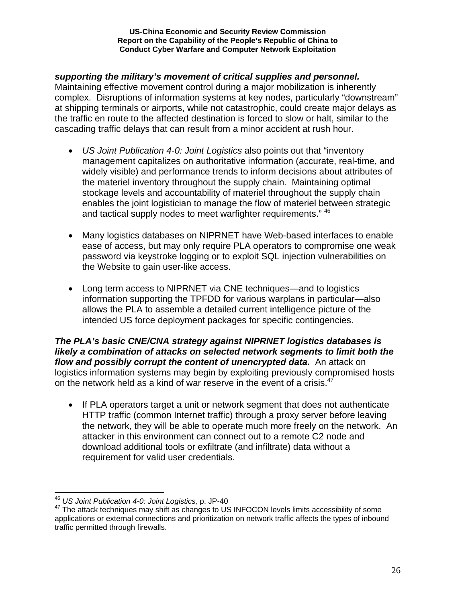### *supporting the military's movement of critical supplies and personnel.*

Maintaining effective movement control during a major mobilization is inherently complex. Disruptions of information systems at key nodes, particularly "downstream" at shipping terminals or airports, while not catastrophic, could create major delays as the traffic en route to the affected destination is forced to slow or halt, similar to the cascading traffic delays that can result from a minor accident at rush hour.

- *US Joint Publication 4-0: Joint Logistics* also points out that "inventory management capitalizes on authoritative information (accurate, real-time, and widely visible) and performance trends to inform decisions about attributes of the materiel inventory throughout the supply chain. Maintaining optimal stockage levels and accountability of materiel throughout the supply chain enables the joint logistician to manage the flow of materiel between strategic and tactical supply nodes to meet warfighter requirements."  $46$
- Many logistics databases on NIPRNET have Web-based interfaces to enable ease of access, but may only require PLA operators to compromise one weak password via keystroke logging or to exploit SQL injection vulnerabilities on the Website to gain user-like access.
- Long term access to NIPRNET via CNE techniques—and to logistics information supporting the TPFDD for various warplans in particular—also allows the PLA to assemble a detailed current intelligence picture of the intended US force deployment packages for specific contingencies.

*The PLA's basic CNE/CNA strategy against NIPRNET logistics databases is likely a combination of attacks on selected network segments to limit both the flow and possibly corrupt the content of unencrypted data.* An attack on logistics information systems may begin by exploiting previously compromised hosts on the network held as a kind of war reserve in the event of a crisis. $47$ 

• If PLA operators target a unit or network segment that does not authenticate HTTP traffic (common Internet traffic) through a proxy server before leaving the network, they will be able to operate much more freely on the network. An attacker in this environment can connect out to a remote C2 node and download additional tools or exfiltrate (and infiltrate) data without a requirement for valid user credentials.

<sup>&</sup>lt;sup>46</sup> US Joint Publication 4-0: Joint Logistics, p. JP-40

<sup>&</sup>lt;sup>47</sup> The attack techniques may shift as changes to US INFOCON levels limits accessibility of some applications or external connections and prioritization on network traffic affects the types of inbound traffic permitted through firewalls.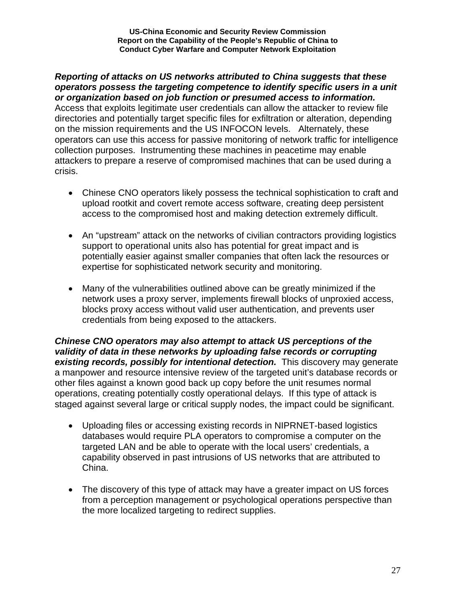### *Reporting of attacks on US networks attributed to China suggests that these operators possess the targeting competence to identify specific users in a unit or organization based on job function or presumed access to information.* Access that exploits legitimate user credentials can allow the attacker to review file directories and potentially target specific files for exfiltration or alteration, depending on the mission requirements and the US INFOCON levels. Alternately, these operators can use this access for passive monitoring of network traffic for intelligence collection purposes. Instrumenting these machines in peacetime may enable attackers to prepare a reserve of compromised machines that can be used during a crisis.

- Chinese CNO operators likely possess the technical sophistication to craft and upload rootkit and covert remote access software, creating deep persistent access to the compromised host and making detection extremely difficult.
- An "upstream" attack on the networks of civilian contractors providing logistics support to operational units also has potential for great impact and is potentially easier against smaller companies that often lack the resources or expertise for sophisticated network security and monitoring.
- Many of the vulnerabilities outlined above can be greatly minimized if the network uses a proxy server, implements firewall blocks of unproxied access, blocks proxy access without valid user authentication, and prevents user credentials from being exposed to the attackers.

*Chinese CNO operators may also attempt to attack US perceptions of the validity of data in these networks by uploading false records or corrupting existing records, possibly for intentional detection.* This discovery may generate a manpower and resource intensive review of the targeted unit's database records or other files against a known good back up copy before the unit resumes normal operations, creating potentially costly operational delays. If this type of attack is staged against several large or critical supply nodes, the impact could be significant.

- Uploading files or accessing existing records in NIPRNET-based logistics databases would require PLA operators to compromise a computer on the targeted LAN and be able to operate with the local users' credentials, a capability observed in past intrusions of US networks that are attributed to China.
- The discovery of this type of attack may have a greater impact on US forces from a perception management or psychological operations perspective than the more localized targeting to redirect supplies.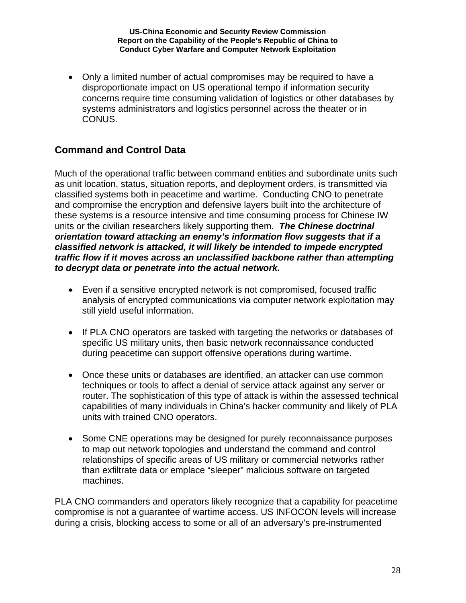• Only a limited number of actual compromises may be required to have a disproportionate impact on US operational tempo if information security concerns require time consuming validation of logistics or other databases by systems administrators and logistics personnel across the theater or in CONUS.

## **Command and Control Data**

Much of the operational traffic between command entities and subordinate units such as unit location, status, situation reports, and deployment orders, is transmitted via classified systems both in peacetime and wartime. Conducting CNO to penetrate and compromise the encryption and defensive layers built into the architecture of these systems is a resource intensive and time consuming process for Chinese IW units or the civilian researchers likely supporting them. *The Chinese doctrinal orientation toward attacking an enemy's information flow suggests that if a classified network is attacked, it will likely be intended to impede encrypted traffic flow if it moves across an unclassified backbone rather than attempting to decrypt data or penetrate into the actual network.*

- Even if a sensitive encrypted network is not compromised, focused traffic analysis of encrypted communications via computer network exploitation may still yield useful information.
- If PLA CNO operators are tasked with targeting the networks or databases of specific US military units, then basic network reconnaissance conducted during peacetime can support offensive operations during wartime.
- Once these units or databases are identified, an attacker can use common techniques or tools to affect a denial of service attack against any server or router. The sophistication of this type of attack is within the assessed technical capabilities of many individuals in China's hacker community and likely of PLA units with trained CNO operators.
- Some CNE operations may be designed for purely reconnaissance purposes to map out network topologies and understand the command and control relationships of specific areas of US military or commercial networks rather than exfiltrate data or emplace "sleeper" malicious software on targeted machines.

PLA CNO commanders and operators likely recognize that a capability for peacetime compromise is not a guarantee of wartime access. US INFOCON levels will increase during a crisis, blocking access to some or all of an adversary's pre-instrumented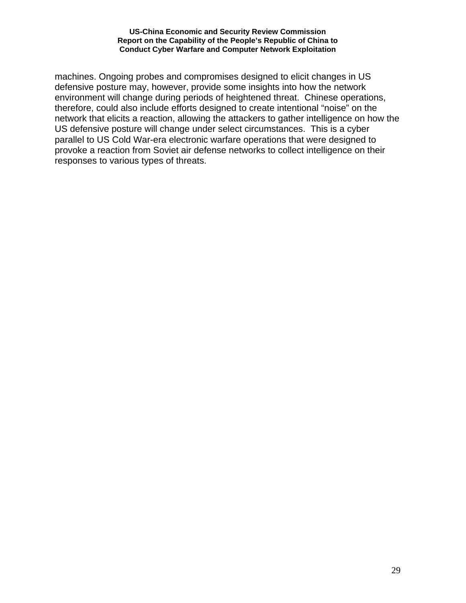machines. Ongoing probes and compromises designed to elicit changes in US defensive posture may, however, provide some insights into how the network environment will change during periods of heightened threat. Chinese operations, therefore, could also include efforts designed to create intentional "noise" on the network that elicits a reaction, allowing the attackers to gather intelligence on how the US defensive posture will change under select circumstances. This is a cyber parallel to US Cold War-era electronic warfare operations that were designed to provoke a reaction from Soviet air defense networks to collect intelligence on their responses to various types of threats.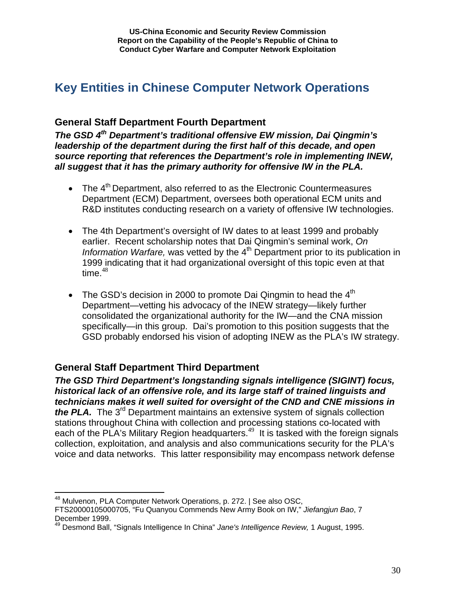# **Key Entities in Chinese Computer Network Operations**

## **General Staff Department Fourth Department**

*The GSD 4th Department's traditional offensive EW mission, Dai Qingmin's leadership of the department during the first half of this decade, and open source reporting that references the Department's role in implementing INEW, all suggest that it has the primary authority for offensive IW in the PLA.*

- The 4<sup>th</sup> Department, also referred to as the Electronic Countermeasures Department (ECM) Department, oversees both operational ECM units and R&D institutes conducting research on a variety of offensive IW technologies.
- The 4th Department's oversight of IW dates to at least 1999 and probably earlier. Recent scholarship notes that Dai Qingmin's seminal work, *On Information Warfare,* was vetted by the 4<sup>th</sup> Department prior to its publication in 1999 indicating that it had organizational oversight of this topic even at that time. $48$
- The GSD's decision in 2000 to promote Dai Qingmin to head the  $4<sup>th</sup>$ Department—vetting his advocacy of the INEW strategy—likely further consolidated the organizational authority for the IW—and the CNA mission specifically—in this group. Dai's promotion to this position suggests that the GSD probably endorsed his vision of adopting INEW as the PLA's IW strategy.

## **General Staff Department Third Department**

*The GSD Third Department's longstanding signals intelligence (SIGINT) focus, historical lack of an offensive role, and its large staff of trained linguists and technicians makes it well suited for oversight of the CND and CNE missions in the PLA.* The 3<sup>rd</sup> Department maintains an extensive system of signals collection stations throughout China with collection and processing stations co-located with each of the PLA's Military Region headquarters.<sup>49</sup> It is tasked with the foreign signals collection, exploitation, and analysis and also communications security for the PLA's voice and data networks. This latter responsibility may encompass network defense

 $\overline{a}$ 

<sup>&</sup>lt;sup>48</sup> Mulvenon, PLA Computer Network Operations, p. 272. | See also OSC,

FTS20000105000705, "Fu Quanyou Commends New Army Book on IW," *Jiefangjun Bao*, 7 December 1999.

<sup>49</sup> Desmond Ball, "Signals Intelligence In China" *Jane's Intelligence Review,* 1 August, 1995.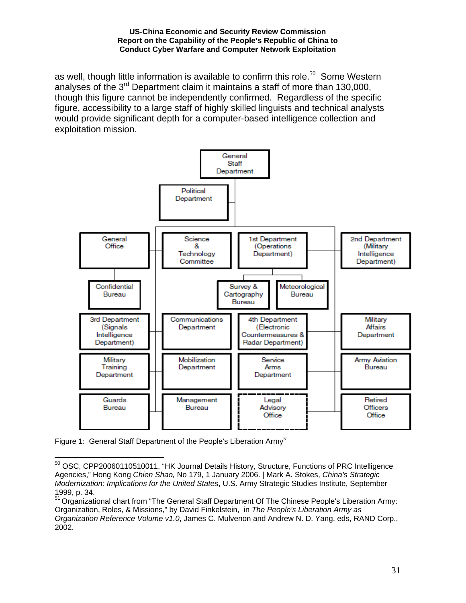as well, though little information is available to confirm this role.<sup>50</sup> Some Western analyses of the 3<sup>rd</sup> Department claim it maintains a staff of more than 130,000, though this figure cannot be independently confirmed. Regardless of the specific figure, accessibility to a large staff of highly skilled linguists and technical analysts would provide significant depth for a computer-based intelligence collection and exploitation mission.



Figure 1: General Staff Department of the People's Liberation Army<sup>51</sup>

 $\overline{a}$ 

 $50$  OSC, CPP20060110510011, "HK Journal Details History, Structure, Functions of PRC Intelligence Agencies," Hong Kong *Chien Shao,* No 179, 1 January 2006. | Mark A. Stokes, *China's Strategic Modernization: Implications for the United States*, U.S. Army Strategic Studies Institute, September 1999, p. 34.

<sup>51</sup> Organizational chart from "The General Staff Department Of The Chinese People's Liberation Army: Organization, Roles, & Missions," by David Finkelstein, in *The People's Liberation Army as Organization Reference Volume v1.0*, James C. Mulvenon and Andrew N. D. Yang, eds, RAND Corp., 2002.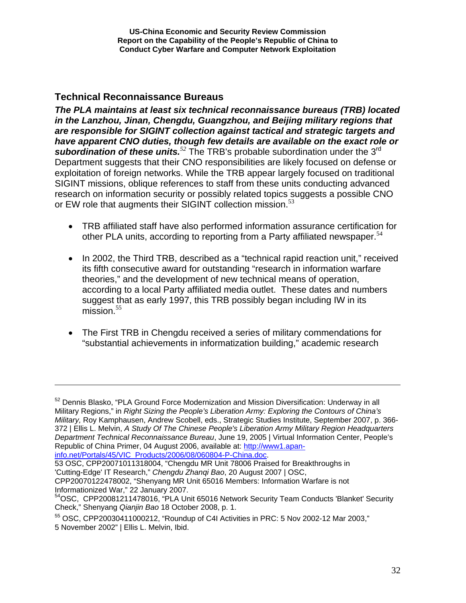### **Technical Reconnaissance Bureaus**

<u>.</u>

*The PLA maintains at least six technical reconnaissance bureaus (TRB) located in the Lanzhou, Jinan, Chengdu, Guangzhou, and Beijing military regions that are responsible for SIGINT collection against tactical and strategic targets and have apparent CNO duties, though few details are available on the exact role or*  subordination of these units.<sup>52</sup> The TRB's probable subordination under the 3<sup>rd</sup> Department suggests that their CNO responsibilities are likely focused on defense or exploitation of foreign networks. While the TRB appear largely focused on traditional SIGINT missions, oblique references to staff from these units conducting advanced research on information security or possibly related topics suggests a possible CNO or EW role that augments their SIGINT collection mission.<sup>53</sup>

- TRB affiliated staff have also performed information assurance certification for other PLA units, according to reporting from a Party affiliated newspaper.<sup>54</sup>
- In 2002, the Third TRB, described as a "technical rapid reaction unit," received its fifth consecutive award for outstanding "research in information warfare theories," and the development of new technical means of operation, according to a local Party affiliated media outlet. These dates and numbers suggest that as early 1997, this TRB possibly began including IW in its  $mission.<sup>55</sup>$
- The First TRB in Chengdu received a series of military commendations for "substantial achievements in informatization building," academic research

<sup>&</sup>lt;sup>52</sup> Dennis Blasko, "PLA Ground Force Modernization and Mission Diversification: Underway in all Military Regions," in *Right Sizing the People's Liberation Army: Exploring the Contours of China's Military,* Roy Kamphausen, Andrew Scobell, eds., Strategic Studies Institute, September 2007, p. 366- 372 | Ellis L. Melvin, *A Study Of The Chinese People's Liberation Army Military Region Headquarters Department Technical Reconnaissance Bureau*, June 19, 2005 | Virtual Information Center, People's Republic of China Primer, 04 August 2006, available at: http://www1.apaninfo.net/Portals/45/VIC\_Products/2006/08/060804-P-China.doc.

<sup>53</sup> OSC, CPP20071011318004, "Chengdu MR Unit 78006 Praised for Breakthroughs in 'Cutting-Edge' IT Research," *Chengdu Zhanqi Bao*, 20 August 2007 | OSC, CPP20070122478002, "Shenyang MR Unit 65016 Members: Information Warfare is not

Informationized War," 22 January 2007. 54OSC, CPP20081211478016, "PLA Unit 65016 Network Security Team Conducts 'Blanket' Security Check," Shenyang *Qianjin Bao* 18 October 2008, p. 1.

<sup>55</sup> OSC, CPP20030411000212, "Roundup of C4I Activities in PRC: 5 Nov 2002-12 Mar 2003," 5 November 2002" | Ellis L. Melvin, Ibid.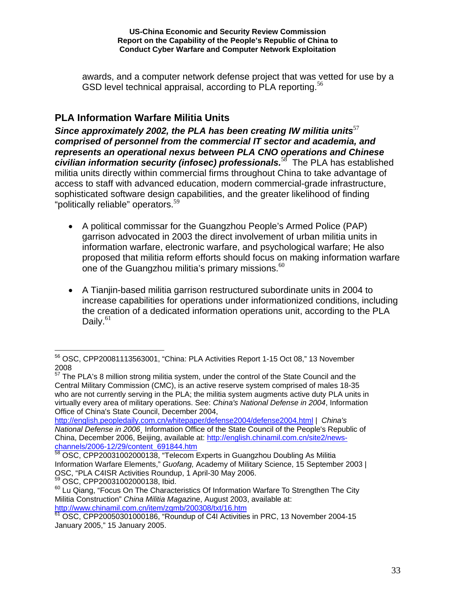awards, and a computer network defense project that was vetted for use by a GSD level technical appraisal, according to PLA reporting.<sup>56</sup>

## **PLA Information Warfare Militia Units**

*Since approximately 2002, the PLA has been creating IW militia units*<sup>57</sup> *comprised of personnel from the commercial IT sector and academia, and represents an operational nexus between PLA CNO operations and Chinese civilian information security (infosec) professionals.*<sup>58</sup> The PLA has established militia units directly within commercial firms throughout China to take advantage of access to staff with advanced education, modern commercial-grade infrastructure, sophisticated software design capabilities, and the greater likelihood of finding "politically reliable" operators.<sup>59</sup>

- A political commissar for the Guangzhou People's Armed Police (PAP) garrison advocated in 2003 the direct involvement of urban militia units in information warfare, electronic warfare, and psychological warfare; He also proposed that militia reform efforts should focus on making information warfare one of the Guangzhou militia's primary missions. $^{60}$
- A Tianjin-based militia garrison restructured subordinate units in 2004 to increase capabilities for operations under informationized conditions, including the creation of a dedicated information operations unit, according to the PLA Daily. $61$

59 OSC, CPP20031002000138, Ibid.

<sup>1</sup> <sup>56</sup> OSC, CPP20081113563001, "China: PLA Activities Report 1-15 Oct 08," 13 November 2008

 $57$  The PLA's 8 million strong militia system, under the control of the State Council and the Central Military Commission (CMC), is an active reserve system comprised of males 18-35 who are not currently serving in the PLA; the militia system augments active duty PLA units in virtually every area of military operations. See: *China's National Defense in 2004*, Information Office of China's State Council, December 2004,

http://english.peopledaily.com.cn/whitepaper/defense2004/defense2004.html | *China's National Defense in 2006¸* Information Office of the State Council of the People's Republic of China, December 2006, Beijing, available at: http://english.chinamil.com.cn/site2/newschannels/2006-12/29/content\_691844.htm

<sup>&</sup>lt;sup>58</sup> OSC, CPP20031002000138, "Telecom Experts in Guangzhou Doubling As Militia Information Warfare Elements," *Guofang,* Academy of Military Science, 15 September 2003 | OSC, "PLA C4ISR Activities Roundup, 1 April-30 May 2006.

 $60$  Lu Qiang, "Focus On The Characteristics Of Information Warfare To Strengthen The City Militia Construction" *China Militia Magaz*ine, August 2003, available at: http://www.chinamil.com.cn/item/zgmb/200308/txt/16.htm

 $61$  OSC, CPP20050301000186, "Roundup of C4I Activities in PRC, 13 November 2004-15 January 2005," 15 January 2005.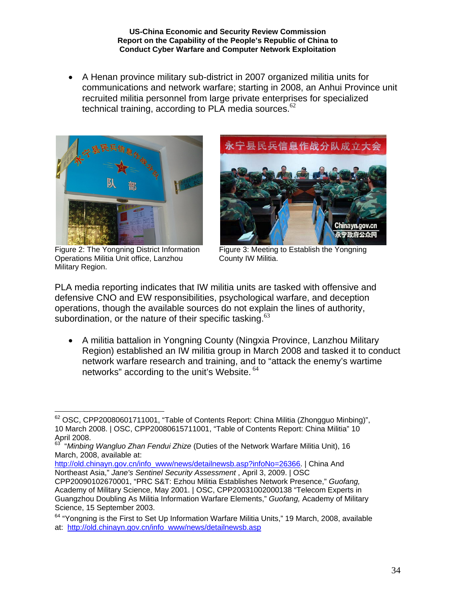• A Henan province military sub-district in 2007 organized militia units for communications and network warfare; starting in 2008, an Anhui Province unit recruited militia personnel from large private enterprises for specialized technical training, according to PLA media sources. $62$ 



Operations Militia Unit office, Lanzhou County IW Militia. Military Region.



Figure 2: The Yongning District Information Figure 3: Meeting to Establish the Yongning

PLA media reporting indicates that IW militia units are tasked with offensive and defensive CNO and EW responsibilities, psychological warfare, and deception operations, though the available sources do not explain the lines of authority, subordination, or the nature of their specific tasking. $63$ 

• A militia battalion in Yongning County (Ningxia Province, Lanzhou Military Region) established an IW militia group in March 2008 and tasked it to conduct network warfare research and training, and to "attack the enemy's wartime networks" according to the unit's Website. <sup>64</sup>

http://old.chinayn.gov.cn/info\_www/news/detailnewsb.asp?infoNo=26366. | China And Northeast Asia," *Jane's Sentinel Security Assessment* , April 3, 2009. | OSC

<sup>1</sup>  $62$  OSC, CPP20080601711001, "Table of Contents Report: China Militia (Zhongguo Minbing)", 10 March 2008. | OSC, CPP20080615711001, "Table of Contents Report: China Militia" 10 April 2008.

<sup>&</sup>lt;sup>63'</sup> "Minbing Wangluo Zhan Fendui Zhize (Duties of the Network Warfare Militia Unit), 16 March, 2008, available at:

CPP20090102670001, "PRC S&T: Ezhou Militia Establishes Network Presence," *Guofang,*  Academy of Military Science, May 2001. | OSC, CPP20031002000138 "Telecom Experts in Guangzhou Doubling As Militia Information Warfare Elements," *Guofang,* Academy of Military Science, 15 September 2003.

<sup>&</sup>lt;sup>64</sup> "Yongning is the First to Set Up Information Warfare Militia Units," 19 March, 2008, available at: http://old.chinayn.gov.cn/info\_www/news/detailnewsb.asp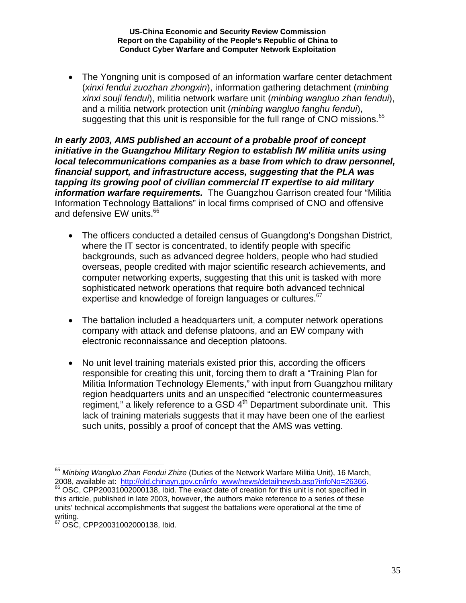• The Yongning unit is composed of an information warfare center detachment (*xinxi fendui zuozhan zhongxin*), information gathering detachment (*minbing xinxi souji fendui*), militia network warfare unit (*minbing wangluo zhan fendui*), and a militia network protection unit (*minbing wangluo fanghu fendui*), suggesting that this unit is responsible for the full range of CNO missions.<sup>65</sup>

*In early 2003, AMS published an account of a probable proof of concept initiative in the Guangzhou Military Region to establish IW militia units using local telecommunications companies as a base from which to draw personnel, financial support, and infrastructure access, suggesting that the PLA was tapping its growing pool of civilian commercial IT expertise to aid military information warfare requirements.* The Guangzhou Garrison created four "Militia Information Technology Battalions" in local firms comprised of CNO and offensive and defensive EW units.<sup>66</sup>

- The officers conducted a detailed census of Guangdong's Dongshan District, where the IT sector is concentrated, to identify people with specific backgrounds, such as advanced degree holders, people who had studied overseas, people credited with major scientific research achievements, and computer networking experts, suggesting that this unit is tasked with more sophisticated network operations that require both advanced technical expertise and knowledge of foreign languages or cultures.<sup>67</sup>
- The battalion included a headquarters unit, a computer network operations company with attack and defense platoons, and an EW company with electronic reconnaissance and deception platoons.
- No unit level training materials existed prior this, according the officers responsible for creating this unit, forcing them to draft a "Training Plan for Militia Information Technology Elements," with input from Guangzhou military region headquarters units and an unspecified "electronic countermeasures regiment," a likely reference to a GSD 4<sup>th</sup> Department subordinate unit. This lack of training materials suggests that it may have been one of the earliest such units, possibly a proof of concept that the AMS was vetting.

<sup>1</sup> <sup>65</sup> *Minbing Wangluo Zhan Fendui Zhize* (Duties of the Network Warfare Militia Unit), 16 March, 2008, available at: http://old.chinayn.gov.cn/info\_www/news/detailnewsb.asp?infoNo=26366.<br><sup>66</sup> OSC, CPP20031002000138, Ibid. The exact date of creation for this unit is not specified in

this article, published in late 2003, however, the authors make reference to a series of these units' technical accomplishments that suggest the battalions were operational at the time of writing.

<sup>67</sup> OSC, CPP20031002000138, Ibid.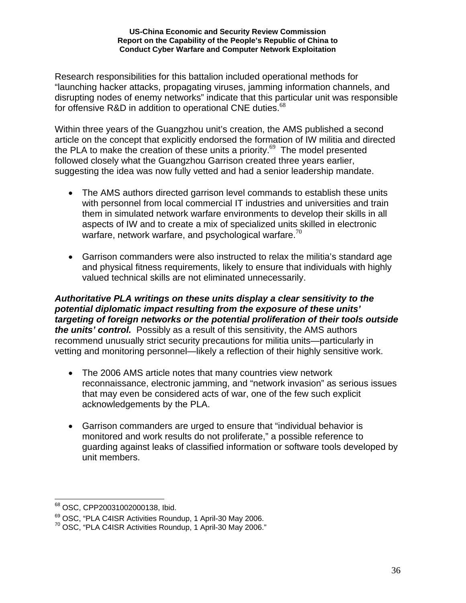Research responsibilities for this battalion included operational methods for "launching hacker attacks, propagating viruses, jamming information channels, and disrupting nodes of enemy networks" indicate that this particular unit was responsible for offensive R&D in addition to operational CNE duties.<sup>68</sup>

Within three years of the Guangzhou unit's creation, the AMS published a second article on the concept that explicitly endorsed the formation of IW militia and directed the PLA to make the creation of these units a priority.<sup>69</sup> The model presented followed closely what the Guangzhou Garrison created three years earlier, suggesting the idea was now fully vetted and had a senior leadership mandate.

- The AMS authors directed garrison level commands to establish these units with personnel from local commercial IT industries and universities and train them in simulated network warfare environments to develop their skills in all aspects of IW and to create a mix of specialized units skilled in electronic warfare, network warfare, and psychological warfare.<sup>70</sup>
- Garrison commanders were also instructed to relax the militia's standard age and physical fitness requirements, likely to ensure that individuals with highly valued technical skills are not eliminated unnecessarily.

*Authoritative PLA writings on these units display a clear sensitivity to the potential diplomatic impact resulting from the exposure of these units' targeting of foreign networks or the potential proliferation of their tools outside the units' control.* Possibly as a result of this sensitivity, the AMS authors recommend unusually strict security precautions for militia units—particularly in vetting and monitoring personnel—likely a reflection of their highly sensitive work.

- The 2006 AMS article notes that many countries view network reconnaissance, electronic jamming, and "network invasion" as serious issues that may even be considered acts of war, one of the few such explicit acknowledgements by the PLA.
- Garrison commanders are urged to ensure that "individual behavior is monitored and work results do not proliferate," a possible reference to guarding against leaks of classified information or software tools developed by unit members.

1

<sup>68</sup> OSC, CPP20031002000138, Ibid.

 $^{69}$  OSC, "PLA C4ISR Activities Roundup, 1 April-30 May 2006.<br><sup>70</sup> OSC, "PLA C4ISR Activities Roundup, 1 April-30 May 2006."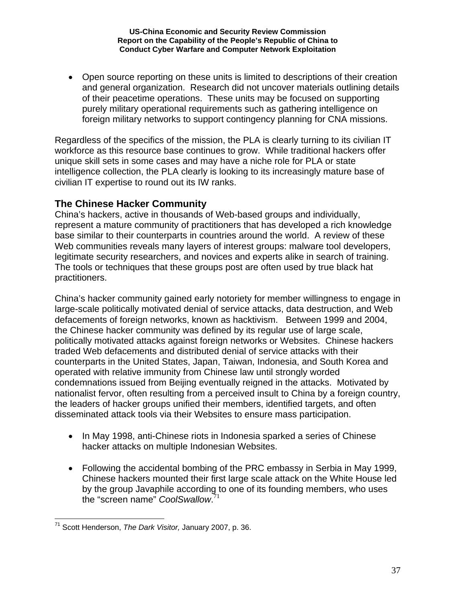• Open source reporting on these units is limited to descriptions of their creation and general organization. Research did not uncover materials outlining details of their peacetime operations. These units may be focused on supporting purely military operational requirements such as gathering intelligence on foreign military networks to support contingency planning for CNA missions.

Regardless of the specifics of the mission, the PLA is clearly turning to its civilian IT workforce as this resource base continues to grow. While traditional hackers offer unique skill sets in some cases and may have a niche role for PLA or state intelligence collection, the PLA clearly is looking to its increasingly mature base of civilian IT expertise to round out its IW ranks.

# **The Chinese Hacker Community**

China's hackers, active in thousands of Web-based groups and individually, represent a mature community of practitioners that has developed a rich knowledge base similar to their counterparts in countries around the world. A review of these Web communities reveals many layers of interest groups: malware tool developers, legitimate security researchers, and novices and experts alike in search of training. The tools or techniques that these groups post are often used by true black hat practitioners.

China's hacker community gained early notoriety for member willingness to engage in large-scale politically motivated denial of service attacks, data destruction, and Web defacements of foreign networks, known as hacktivism. Between 1999 and 2004, the Chinese hacker community was defined by its regular use of large scale, politically motivated attacks against foreign networks or Websites. Chinese hackers traded Web defacements and distributed denial of service attacks with their counterparts in the United States, Japan, Taiwan, Indonesia, and South Korea and operated with relative immunity from Chinese law until strongly worded condemnations issued from Beijing eventually reigned in the attacks. Motivated by nationalist fervor, often resulting from a perceived insult to China by a foreign country, the leaders of hacker groups unified their members, identified targets, and often disseminated attack tools via their Websites to ensure mass participation.

- In May 1998, anti-Chinese riots in Indonesia sparked a series of Chinese hacker attacks on multiple Indonesian Websites.
- Following the accidental bombing of the PRC embassy in Serbia in May 1999, Chinese hackers mounted their first large scale attack on the White House led by the group Javaphile according to one of its founding members, who uses the "screen name" *CoolSwallow*. 71

 $\overline{a}$ 71 Scott Henderson, *The Dark Visitor,* January 2007, p. 36.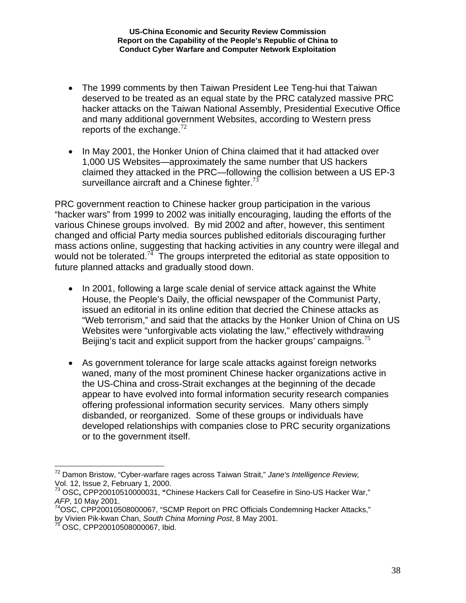- The 1999 comments by then Taiwan President Lee Teng-hui that Taiwan deserved to be treated as an equal state by the PRC catalyzed massive PRC hacker attacks on the Taiwan National Assembly, Presidential Executive Office and many additional government Websites, according to Western press reports of the exchange. $72$
- In May 2001, the Honker Union of China claimed that it had attacked over 1,000 US Websites—approximately the same number that US hackers claimed they attacked in the PRC—following the collision between a US EP-3 surveillance aircraft and a Chinese fighter. $^{73}$

PRC government reaction to Chinese hacker group participation in the various "hacker wars" from 1999 to 2002 was initially encouraging, lauding the efforts of the various Chinese groups involved. By mid 2002 and after, however, this sentiment changed and official Party media sources published editorials discouraging further mass actions online, suggesting that hacking activities in any country were illegal and would not be tolerated.<sup>74</sup> The groups interpreted the editorial as state opposition to future planned attacks and gradually stood down.

- In 2001, following a large scale denial of service attack against the White House, the People's Daily, the official newspaper of the Communist Party, issued an editorial in its online edition that decried the Chinese attacks as "Web terrorism," and said that the attacks by the Honker Union of China on US Websites were "unforgivable acts violating the law," effectively withdrawing Beijing's tacit and explicit support from the hacker groups' campaigns.<sup>75</sup>
- As government tolerance for large scale attacks against foreign networks waned, many of the most prominent Chinese hacker organizations active in the US-China and cross-Strait exchanges at the beginning of the decade appear to have evolved into formal information security research companies offering professional information security services. Many others simply disbanded, or reorganized. Some of these groups or individuals have developed relationships with companies close to PRC security organizations or to the government itself.

1

<sup>72</sup> Damon Bristow, "Cyber-warfare rages across Taiwan Strait," *Jane's Intelligence Review,* Vol. 12, Issue 2, February 1, 2000.

<sup>73</sup> OSC**,** CPP20010510000031, **"**Chinese Hackers Call for Ceasefire in Sino-US Hacker War,"

AFP, 10 May 2001.<br><sup>74</sup>OSC, CPP20010508000067, "SCMP Report on PRC Officials Condemning Hacker Attacks," by Vivien Pik-kwan Chan, *South China Morning Post*, 8 May 2001. 75 OSC, CPP20010508000067, Ibid.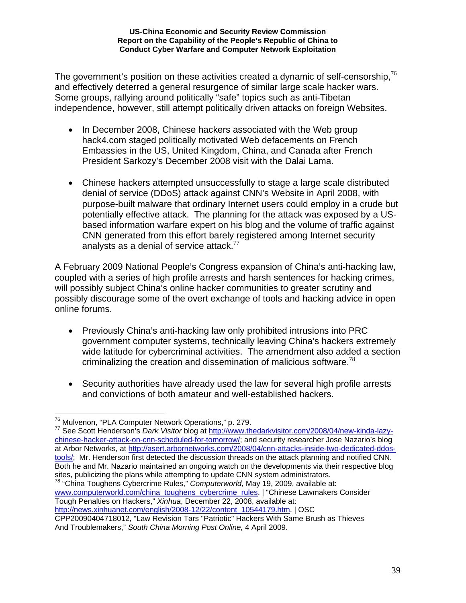The government's position on these activities created a dynamic of self-censorship,  $76$ and effectively deterred a general resurgence of similar large scale hacker wars. Some groups, rallying around politically "safe" topics such as anti-Tibetan independence, however, still attempt politically driven attacks on foreign Websites.

- In December 2008, Chinese hackers associated with the Web group hack4.com staged politically motivated Web defacements on French Embassies in the US, United Kingdom, China, and Canada after French President Sarkozy's December 2008 visit with the Dalai Lama.
- Chinese hackers attempted unsuccessfully to stage a large scale distributed denial of service (DDoS) attack against CNN's Website in April 2008, with purpose-built malware that ordinary Internet users could employ in a crude but potentially effective attack. The planning for the attack was exposed by a USbased information warfare expert on his blog and the volume of traffic against CNN generated from this effort barely registered among Internet security analysts as a denial of service attack. $17$

A February 2009 National People's Congress expansion of China's anti-hacking law, coupled with a series of high profile arrests and harsh sentences for hacking crimes, will possibly subject China's online hacker communities to greater scrutiny and possibly discourage some of the overt exchange of tools and hacking advice in open online forums.

- Previously China's anti-hacking law only prohibited intrusions into PRC government computer systems, technically leaving China's hackers extremely wide latitude for cybercriminal activities. The amendment also added a section criminalizing the creation and dissemination of malicious software.<sup>78</sup>
- Security authorities have already used the law for several high profile arrests and convictions of both amateur and well-established hackers.

www.computerworld.com/china\_toughens\_cybercrime\_rules. | "Chinese Lawmakers Consider Tough Penalties on Hackers," *Xinhua*, December 22, 2008, available at: http://news.xinhuanet.com/english/2008-12/22/content\_10544179.htm. | OSC

CPP20090404718012, "Law Revision Tars "Patriotic" Hackers With Same Brush as Thieves And Troublemakers," *South China Morning Post Online,* 4 April 2009.

<sup>&</sup>lt;sup>76</sup> Mulvenon, "PLA Computer Network Operations," p. 279.

<sup>77</sup> See Scott Henderson's *Dark Visitor* blog at http://www.thedarkvisitor.com/2008/04/new-kinda-lazychinese-hacker-attack-on-cnn-scheduled-for-tomorrow/; and security researcher Jose Nazario's blog at Arbor Networks, at http://asert.arbornetworks.com/2008/04/cnn-attacks-inside-two-dedicated-ddostools/; Mr. Henderson first detected the discussion threads on the attack planning and notified CNN. Both he and Mr. Nazario maintained an ongoing watch on the developments via their respective blog sites, publicizing the plans while attempting to update CNN system administrators. 78 "China Toughens Cybercrime Rules," *Computerworld*, May 19, 2009, available at: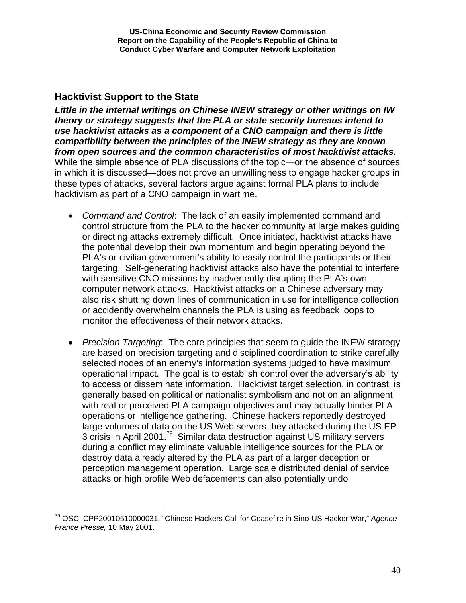# **Hacktivist Support to the State**

 $\overline{a}$ 

*Little in the internal writings on Chinese INEW strategy or other writings on IW theory or strategy suggests that the PLA or state security bureaus intend to use hacktivist attacks as a component of a CNO campaign and there is little compatibility between the principles of the INEW strategy as they are known from open sources and the common characteristics of most hacktivist attacks.* While the simple absence of PLA discussions of the topic—or the absence of sources in which it is discussed—does not prove an unwillingness to engage hacker groups in these types of attacks, several factors argue against formal PLA plans to include hacktivism as part of a CNO campaign in wartime.

- *Command and Control*: The lack of an easily implemented command and control structure from the PLA to the hacker community at large makes guiding or directing attacks extremely difficult. Once initiated, hacktivist attacks have the potential develop their own momentum and begin operating beyond the PLA's or civilian government's ability to easily control the participants or their targeting. Self-generating hacktivist attacks also have the potential to interfere with sensitive CNO missions by inadvertently disrupting the PLA's own computer network attacks. Hacktivist attacks on a Chinese adversary may also risk shutting down lines of communication in use for intelligence collection or accidently overwhelm channels the PLA is using as feedback loops to monitor the effectiveness of their network attacks.
- *Precision Targeting*: The core principles that seem to guide the INEW strategy are based on precision targeting and disciplined coordination to strike carefully selected nodes of an enemy's information systems judged to have maximum operational impact. The goal is to establish control over the adversary's ability to access or disseminate information. Hacktivist target selection, in contrast, is generally based on political or nationalist symbolism and not on an alignment with real or perceived PLA campaign objectives and may actually hinder PLA operations or intelligence gathering. Chinese hackers reportedly destroyed large volumes of data on the US Web servers they attacked during the US EP-3 crisis in April 2001.<sup>79</sup> Similar data destruction against US military servers during a conflict may eliminate valuable intelligence sources for the PLA or destroy data already altered by the PLA as part of a larger deception or perception management operation. Large scale distributed denial of service attacks or high profile Web defacements can also potentially undo

<sup>79</sup> OSC, CPP20010510000031, "Chinese Hackers Call for Ceasefire in Sino-US Hacker War," *Agence France Presse,* 10 May 2001.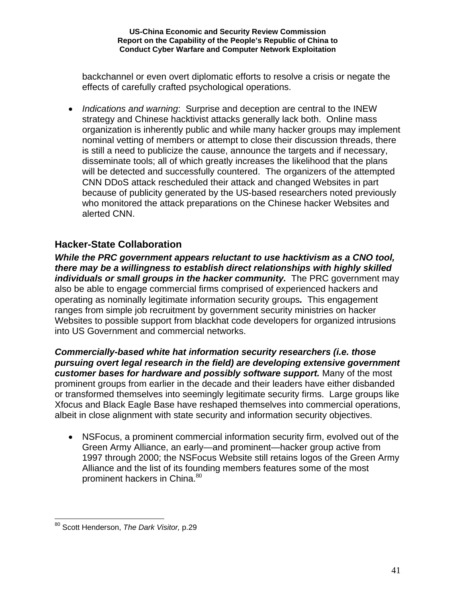backchannel or even overt diplomatic efforts to resolve a crisis or negate the effects of carefully crafted psychological operations.

• *Indications and warning*: Surprise and deception are central to the INEW strategy and Chinese hacktivist attacks generally lack both. Online mass organization is inherently public and while many hacker groups may implement nominal vetting of members or attempt to close their discussion threads, there is still a need to publicize the cause, announce the targets and if necessary, disseminate tools; all of which greatly increases the likelihood that the plans will be detected and successfully countered. The organizers of the attempted CNN DDoS attack rescheduled their attack and changed Websites in part because of publicity generated by the US-based researchers noted previously who monitored the attack preparations on the Chinese hacker Websites and alerted CNN.

# **Hacker-State Collaboration**

*While the PRC government appears reluctant to use hacktivism as a CNO tool, there may be a willingness to establish direct relationships with highly skilled individuals or small groups in the hacker community.* The PRC government may also be able to engage commercial firms comprised of experienced hackers and operating as nominally legitimate information security groups*.* This engagement ranges from simple job recruitment by government security ministries on hacker Websites to possible support from blackhat code developers for organized intrusions into US Government and commercial networks.

*Commercially-based white hat information security researchers (i.e. those pursuing overt legal research in the field) are developing extensive government customer bases for hardware and possibly software support.* Many of the most prominent groups from earlier in the decade and their leaders have either disbanded or transformed themselves into seemingly legitimate security firms. Large groups like Xfocus and Black Eagle Base have reshaped themselves into commercial operations, albeit in close alignment with state security and information security objectives.

• NSFocus, a prominent commercial information security firm, evolved out of the Green Army Alliance, an early—and prominent—hacker group active from 1997 through 2000; the NSFocus Website still retains logos of the Green Army Alliance and the list of its founding members features some of the most prominent hackers in China.<sup>80</sup>

 $\overline{a}$ 80 Scott Henderson, *The Dark Visitor,* p.29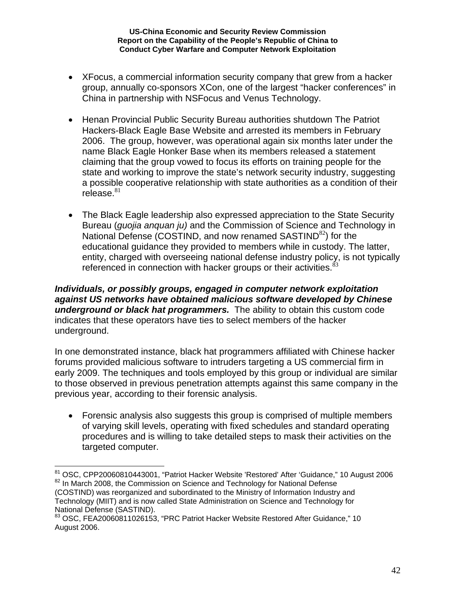- XFocus, a commercial information security company that grew from a hacker group, annually co-sponsors XCon, one of the largest "hacker conferences" in China in partnership with NSFocus and Venus Technology.
- Henan Provincial Public Security Bureau authorities shutdown The Patriot Hackers-Black Eagle Base Website and arrested its members in February 2006. The group, however, was operational again six months later under the name Black Eagle Honker Base when its members released a statement claiming that the group vowed to focus its efforts on training people for the state and working to improve the state's network security industry, suggesting a possible cooperative relationship with state authorities as a condition of their release. $81$
- The Black Eagle leadership also expressed appreciation to the State Security Bureau (*guojia anquan ju)* and the Commission of Science and Technology in National Defense (COSTIND, and now renamed SASTIND<sup>82</sup>) for the educational guidance they provided to members while in custody. The latter, entity, charged with overseeing national defense industry policy, is not typically referenced in connection with hacker groups or their activities. $83$

*Individuals, or possibly groups, engaged in computer network exploitation against US networks have obtained malicious software developed by Chinese underground or black hat programmers.* The ability to obtain this custom code indicates that these operators have ties to select members of the hacker underground.

In one demonstrated instance, black hat programmers affiliated with Chinese hacker forums provided malicious software to intruders targeting a US commercial firm in early 2009. The techniques and tools employed by this group or individual are similar to those observed in previous penetration attempts against this same company in the previous year, according to their forensic analysis.

• Forensic analysis also suggests this group is comprised of multiple members of varying skill levels, operating with fixed schedules and standard operating procedures and is willing to take detailed steps to mask their activities on the targeted computer.

 $\overline{a}$ <sup>81</sup> OSC, CPP20060810443001, "Patriot Hacker Website 'Restored' After 'Guidance," 10 August 2006  $82$  In March 2008, the Commission on Science and Technology for National Defense (COSTIND) was reorganized and subordinated to the Ministry of Information Industry and Technology (MIIT) and is now called State Administration on Science and Technology for National Defense (SASTIND).

<sup>&</sup>lt;sup>83</sup> OSC, FEA20060811026153, "PRC Patriot Hacker Website Restored After Guidance," 10 August 2006.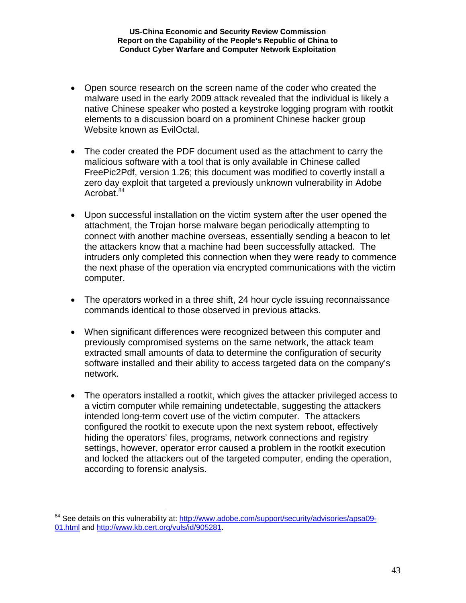- Open source research on the screen name of the coder who created the malware used in the early 2009 attack revealed that the individual is likely a native Chinese speaker who posted a keystroke logging program with rootkit elements to a discussion board on a prominent Chinese hacker group Website known as EvilOctal.
- The coder created the PDF document used as the attachment to carry the malicious software with a tool that is only available in Chinese called FreePic2Pdf, version 1.26; this document was modified to covertly install a zero day exploit that targeted a previously unknown vulnerability in Adobe Acrobat.<sup>84</sup>
- Upon successful installation on the victim system after the user opened the attachment, the Trojan horse malware began periodically attempting to connect with another machine overseas, essentially sending a beacon to let the attackers know that a machine had been successfully attacked. The intruders only completed this connection when they were ready to commence the next phase of the operation via encrypted communications with the victim computer.
- The operators worked in a three shift, 24 hour cycle issuing reconnaissance commands identical to those observed in previous attacks.
- When significant differences were recognized between this computer and previously compromised systems on the same network, the attack team extracted small amounts of data to determine the configuration of security software installed and their ability to access targeted data on the company's network.
- The operators installed a rootkit, which gives the attacker privileged access to a victim computer while remaining undetectable, suggesting the attackers intended long-term covert use of the victim computer. The attackers configured the rootkit to execute upon the next system reboot, effectively hiding the operators' files, programs, network connections and registry settings, however, operator error caused a problem in the rootkit execution and locked the attackers out of the targeted computer, ending the operation, according to forensic analysis.

 $\overline{\phantom{a}}$ 

<sup>&</sup>lt;sup>84</sup> See details on this vulnerability at: http://www.adobe.com/support/security/advisories/apsa09-01.html and http://www.kb.cert.org/vuls/id/905281.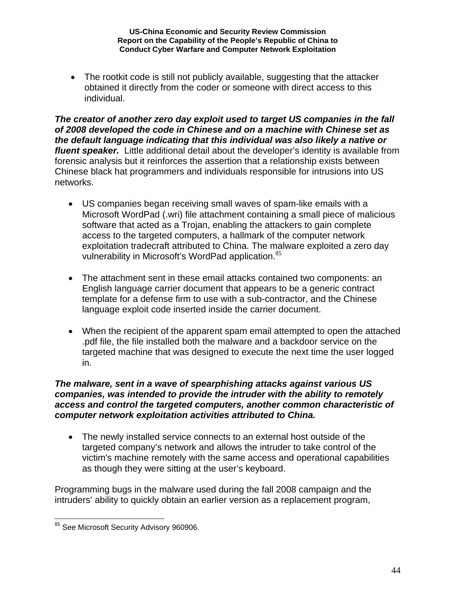• The rootkit code is still not publicly available, suggesting that the attacker obtained it directly from the coder or someone with direct access to this individual.

*The creator of another zero day exploit used to target US companies in the fall of 2008 developed the code in Chinese and on a machine with Chinese set as the default language indicating that this individual was also likely a native or fluent speaker.* Little additional detail about the developer's identity is available from forensic analysis but it reinforces the assertion that a relationship exists between Chinese black hat programmers and individuals responsible for intrusions into US networks.

- US companies began receiving small waves of spam-like emails with a Microsoft WordPad (.wri) file attachment containing a small piece of malicious software that acted as a Trojan, enabling the attackers to gain complete access to the targeted computers, a hallmark of the computer network exploitation tradecraft attributed to China. The malware exploited a zero day vulnerability in Microsoft's WordPad application.<sup>85</sup>
- The attachment sent in these email attacks contained two components: an English language carrier document that appears to be a generic contract template for a defense firm to use with a sub-contractor, and the Chinese language exploit code inserted inside the carrier document.
- When the recipient of the apparent spam email attempted to open the attached .pdf file, the file installed both the malware and a backdoor service on the targeted machine that was designed to execute the next time the user logged in.

### *The malware, sent in a wave of spearphishing attacks against various US companies, was intended to provide the intruder with the ability to remotely access and control the targeted computers, another common characteristic of computer network exploitation activities attributed to China.*

• The newly installed service connects to an external host outside of the targeted company's network and allows the intruder to take control of the victim's machine remotely with the same access and operational capabilities as though they were sitting at the user's keyboard.

Programming bugs in the malware used during the fall 2008 campaign and the intruders' ability to quickly obtain an earlier version as a replacement program,

<sup>1</sup> <sup>85</sup> See Microsoft Security Advisory 960906.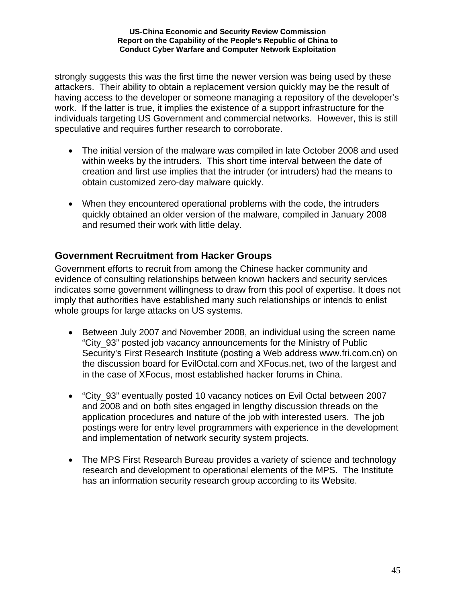strongly suggests this was the first time the newer version was being used by these attackers. Their ability to obtain a replacement version quickly may be the result of having access to the developer or someone managing a repository of the developer's work. If the latter is true, it implies the existence of a support infrastructure for the individuals targeting US Government and commercial networks. However, this is still speculative and requires further research to corroborate.

- The initial version of the malware was compiled in late October 2008 and used within weeks by the intruders. This short time interval between the date of creation and first use implies that the intruder (or intruders) had the means to obtain customized zero-day malware quickly.
- When they encountered operational problems with the code, the intruders quickly obtained an older version of the malware, compiled in January 2008 and resumed their work with little delay.

# **Government Recruitment from Hacker Groups**

Government efforts to recruit from among the Chinese hacker community and evidence of consulting relationships between known hackers and security services indicates some government willingness to draw from this pool of expertise. It does not imply that authorities have established many such relationships or intends to enlist whole groups for large attacks on US systems.

- Between July 2007 and November 2008, an individual using the screen name "City\_93" posted job vacancy announcements for the Ministry of Public Security's First Research Institute (posting a Web address www.fri.com.cn) on the discussion board for EvilOctal.com and XFocus.net, two of the largest and in the case of XFocus, most established hacker forums in China.
- "City\_93" eventually posted 10 vacancy notices on Evil Octal between 2007 and 2008 and on both sites engaged in lengthy discussion threads on the application procedures and nature of the job with interested users. The job postings were for entry level programmers with experience in the development and implementation of network security system projects.
- The MPS First Research Bureau provides a variety of science and technology research and development to operational elements of the MPS. The Institute has an information security research group according to its Website.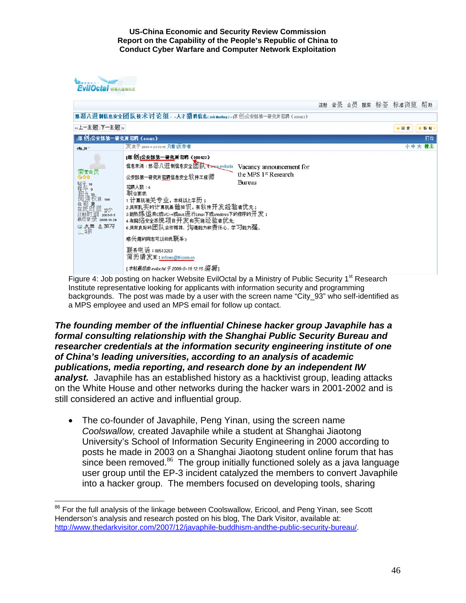

Figure 4: Job posting on hacker Website EvilOctal by a Ministry of Public Security  $1<sup>st</sup>$  Research Institute representative looking for applicants with information security and programming backgrounds. The post was made by a user with the screen name "City 93" who self-identified as a MPS employee and used an MPS email for follow up contact.

*The founding member of the influential Chinese hacker group Javaphile has a formal consulting relationship with the Shanghai Public Security Bureau and researcher credentials at the information security engineering institute of one of China's leading universities, according to an analysis of academic publications, media reporting, and research done by an independent IW analyst.* Javaphile has an established history as a hacktivist group, leading attacks on the White House and other networks during the hacker wars in 2001-2002 and is still considered an active and influential group.

• The co-founder of Javaphile, Peng Yinan, using the screen name *Coolswallow,* created Javaphile while a student at Shanghai Jiaotong University's School of Information Security Engineering in 2000 according to posts he made in 2003 on a Shanghai Jiaotong student online forum that has  $\frac{1}{2}$  since been removed.<sup>86</sup> The group initially functioned solely as a java language user group until the EP-3 incident catalyzed the members to convert Javaphile into a hacker group. The members focused on developing tools, sharing

1

<sup>&</sup>lt;sup>86</sup> For the full analysis of the linkage between Coolswallow, Ericool, and Peng Yinan, see Scott Henderson's analysis and research posted on his blog, The Dark Visitor, available at: http://www.thedarkvisitor.com/2007/12/javaphile-buddhism-andthe-public-security-bureau/.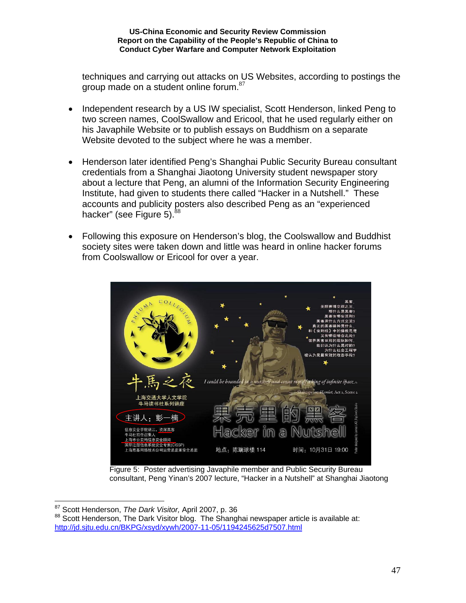techniques and carrying out attacks on US Websites, according to postings the group made on a student online forum.<sup>87</sup>

- Independent research by a US IW specialist, Scott Henderson, linked Peng to two screen names, CoolSwallow and Ericool, that he used regularly either on his Javaphile Website or to publish essays on Buddhism on a separate Website devoted to the subject where he was a member.
- Henderson later identified Peng's Shanghai Public Security Bureau consultant credentials from a Shanghai Jiaotong University student newspaper story about a lecture that Peng, an alumni of the Information Security Engineering Institute, had given to students there called "Hacker in a Nutshell." These accounts and publicity posters also described Peng as an "experienced hacker" (see Figure 5). $88$
- Following this exposure on Henderson's blog, the Coolswallow and Buddhist society sites were taken down and little was heard in online hacker forums from Coolswallow or Ericool for over a year.



Figure 5: Poster advertising Javaphile member and Public Security Bureau consultant, Peng Yinan's 2007 lecture, "Hacker in a Nutshell" at Shanghai Jiaotong

 $\overline{a}$ 

<sup>&</sup>lt;sup>87</sup> Scott Henderson, *The Dark Visitor,* April 2007, p. 36<br><sup>88</sup> Scott Henderson, The Dark Visitor blog. The Shanghai newspaper article is available at: http://jd.sjtu.edu.cn/BKPG/xsyd/xywh/2007-11-05/1194245625d7507.html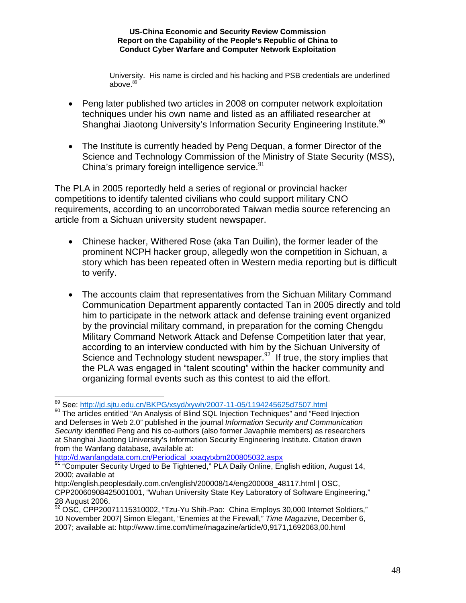University. His name is circled and his hacking and PSB credentials are underlined above. $89$ 

- Peng later published two articles in 2008 on computer network exploitation techniques under his own name and listed as an affiliated researcher at Shanghai Jiaotong University's Information Security Engineering Institute. $90$
- The Institute is currently headed by Peng Dequan, a former Director of the Science and Technology Commission of the Ministry of State Security (MSS), China's primary foreign intelligence service. $91$

The PLA in 2005 reportedly held a series of regional or provincial hacker competitions to identify talented civilians who could support military CNO requirements, according to an uncorroborated Taiwan media source referencing an article from a Sichuan university student newspaper.

- Chinese hacker, Withered Rose (aka Tan Duilin), the former leader of the prominent NCPH hacker group, allegedly won the competition in Sichuan, a story which has been repeated often in Western media reporting but is difficult to verify.
- The accounts claim that representatives from the Sichuan Military Command Communication Department apparently contacted Tan in 2005 directly and told him to participate in the network attack and defense training event organized by the provincial military command, in preparation for the coming Chengdu Military Command Network Attack and Defense Competition later that year, according to an interview conducted with him by the Sichuan University of Science and Technology student newspaper.<sup>92</sup> If true, the story implies that the PLA was engaged in "talent scouting" within the hacker community and organizing formal events such as this contest to aid the effort.

 $\overline{a}$ 

http://english.peoplesdaily.com.cn/english/200008/14/eng200008\_48117.html | OSC, CPP20060908425001001, "Wuhan University State Key Laboratory of Software Engineering," 28 August 2006.

<sup>&</sup>lt;sup>89</sup> See: <u>http://jd.sjtu.edu.cn/BKPG/xsyd/xywh/2007-11-05/1194245625d7507.html</u>

<sup>90</sup> The articles entitled "An Analysis of Blind SQL Injection Techniques" and "Feed Injection and Defenses in Web 2.0" published in the journal *Information Security and Communication Security* identified Peng and his co-authors (also former Javaphile members) as researchers at Shanghai Jiaotong University's Information Security Engineering Institute. Citation drawn from the Wanfang database, available at:

http://d.wanfangdata.com.cn/Periodical\_xxaqytxbm200805032.aspx<br><sup>91</sup> "Computer Security Urged to Be Tightened," PLA Daily Online, English edition, August 14, 2000; available at

<sup>92</sup> OSC, CPP20071115310002, "Tzu-Yu Shih-Pao: China Employs 30,000 Internet Soldiers," 10 November 2007| Simon Elegant, "Enemies at the Firewall," *Time Magazine,* December 6, 2007; available at: http://www.time.com/time/magazine/article/0,9171,1692063,00.html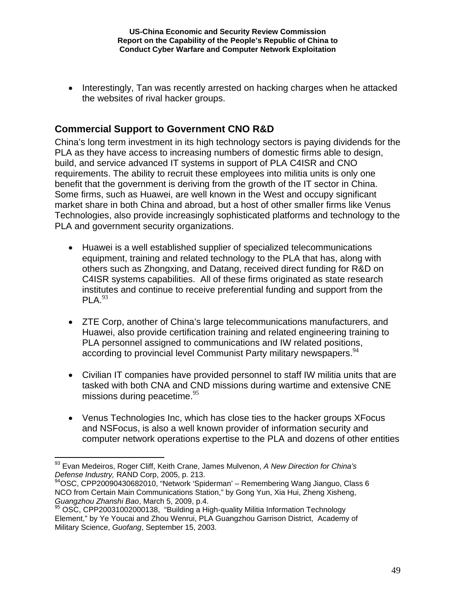• Interestingly, Tan was recently arrested on hacking charges when he attacked the websites of rival hacker groups.

# **Commercial Support to Government CNO R&D**

China's long term investment in its high technology sectors is paying dividends for the PLA as they have access to increasing numbers of domestic firms able to design, build, and service advanced IT systems in support of PLA C4ISR and CNO requirements. The ability to recruit these employees into militia units is only one benefit that the government is deriving from the growth of the IT sector in China. Some firms, such as Huawei, are well known in the West and occupy significant market share in both China and abroad, but a host of other smaller firms like Venus Technologies, also provide increasingly sophisticated platforms and technology to the PLA and government security organizations.

- Huawei is a well established supplier of specialized telecommunications equipment, training and related technology to the PLA that has, along with others such as Zhongxing, and Datang, received direct funding for R&D on C4ISR systems capabilities. All of these firms originated as state research institutes and continue to receive preferential funding and support from the  $PLA.<sup>93</sup>$
- ZTE Corp, another of China's large telecommunications manufacturers, and Huawei, also provide certification training and related engineering training to PLA personnel assigned to communications and IW related positions, according to provincial level Communist Party military newspapers.<sup>94</sup>
- Civilian IT companies have provided personnel to staff IW militia units that are tasked with both CNA and CND missions during wartime and extensive CNE missions during peacetime.<sup>95</sup>
- Venus Technologies Inc, which has close ties to the hacker groups XFocus and NSFocus, is also a well known provider of information security and computer network operations expertise to the PLA and dozens of other entities

 $\overline{\phantom{a}}$ 93 Evan Medeiros, Roger Cliff, Keith Crane, James Mulvenon, *A New Direction for China's* 

<sup>&</sup>lt;sup>94</sup>OSC, CPP20090430682010, "Network 'Spiderman' – Remembering Wang Jianguo, Class 6 NCO from Certain Main Communications Station," by Gong Yun, Xia Hui, Zheng Xisheng,

*Guangzhou Zhanshi Bao*, March 5, 2009, p.4.<br><sup>95</sup> OSC, CPP20031002000138, "Building a High-quality Militia Information Technology Element," by Ye Youcai and Zhou Wenrui, PLA Guangzhou Garrison District, Academy of Military Science, *Guofang*, September 15, 2003.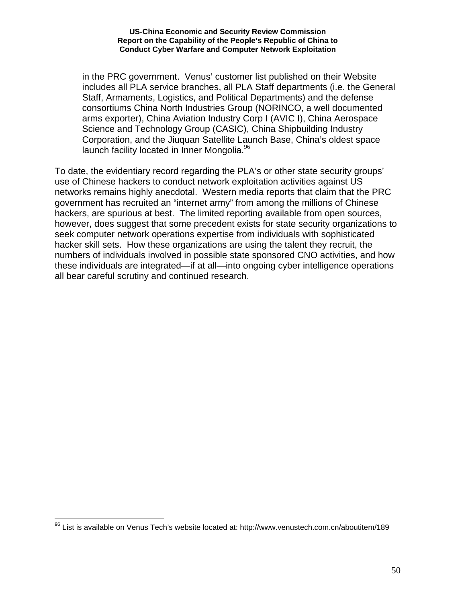in the PRC government. Venus' customer list published on their Website includes all PLA service branches, all PLA Staff departments (i.e. the General Staff, Armaments, Logistics, and Political Departments) and the defense consortiums China North Industries Group (NORINCO, a well documented arms exporter), China Aviation Industry Corp I (AVIC I), China Aerospace Science and Technology Group (CASIC), China Shipbuilding Industry Corporation, and the Jiuquan Satellite Launch Base, China's oldest space launch facility located in Inner Mongolia.<sup>96</sup>

To date, the evidentiary record regarding the PLA's or other state security groups' use of Chinese hackers to conduct network exploitation activities against US networks remains highly anecdotal. Western media reports that claim that the PRC government has recruited an "internet army" from among the millions of Chinese hackers, are spurious at best. The limited reporting available from open sources, however, does suggest that some precedent exists for state security organizations to seek computer network operations expertise from individuals with sophisticated hacker skill sets. How these organizations are using the talent they recruit, the numbers of individuals involved in possible state sponsored CNO activities, and how these individuals are integrated—if at all—into ongoing cyber intelligence operations all bear careful scrutiny and continued research.

 $\overline{a}$ 

<sup>96</sup> List is available on Venus Tech's website located at: http://www.venustech.com.cn/aboutitem/189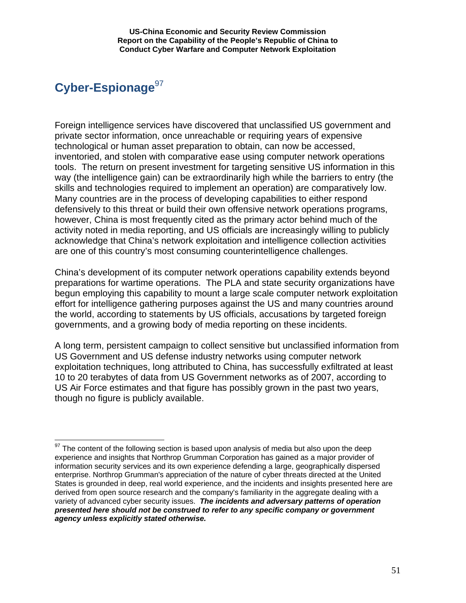# **Cyber-Espionage**<sup>97</sup>

 $\overline{a}$ 

Foreign intelligence services have discovered that unclassified US government and private sector information, once unreachable or requiring years of expensive technological or human asset preparation to obtain, can now be accessed, inventoried, and stolen with comparative ease using computer network operations tools. The return on present investment for targeting sensitive US information in this way (the intelligence gain) can be extraordinarily high while the barriers to entry (the skills and technologies required to implement an operation) are comparatively low. Many countries are in the process of developing capabilities to either respond defensively to this threat or build their own offensive network operations programs, however, China is most frequently cited as the primary actor behind much of the activity noted in media reporting, and US officials are increasingly willing to publicly acknowledge that China's network exploitation and intelligence collection activities are one of this country's most consuming counterintelligence challenges.

China's development of its computer network operations capability extends beyond preparations for wartime operations. The PLA and state security organizations have begun employing this capability to mount a large scale computer network exploitation effort for intelligence gathering purposes against the US and many countries around the world, according to statements by US officials, accusations by targeted foreign governments, and a growing body of media reporting on these incidents.

A long term, persistent campaign to collect sensitive but unclassified information from US Government and US defense industry networks using computer network exploitation techniques, long attributed to China, has successfully exfiltrated at least 10 to 20 terabytes of data from US Government networks as of 2007, according to US Air Force estimates and that figure has possibly grown in the past two years, though no figure is publicly available.

 $97$  The content of the following section is based upon analysis of media but also upon the deep experience and insights that Northrop Grumman Corporation has gained as a major provider of information security services and its own experience defending a large, geographically dispersed enterprise. Northrop Grumman's appreciation of the nature of cyber threats directed at the United States is grounded in deep, real world experience, and the incidents and insights presented here are derived from open source research and the company's familiarity in the aggregate dealing with a variety of advanced cyber security issues. *The incidents and adversary patterns of operation presented here should not be construed to refer to any specific company or government agency unless explicitly stated otherwise.*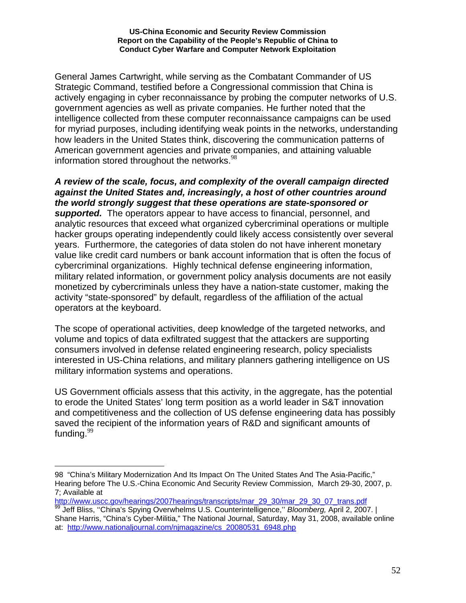General James Cartwright, while serving as the Combatant Commander of US Strategic Command, testified before a Congressional commission that China is actively engaging in cyber reconnaissance by probing the computer networks of U.S. government agencies as well as private companies. He further noted that the intelligence collected from these computer reconnaissance campaigns can be used for myriad purposes, including identifying weak points in the networks, understanding how leaders in the United States think, discovering the communication patterns of American government agencies and private companies, and attaining valuable information stored throughout the networks.<sup>98</sup>

*A review of the scale, focus, and complexity of the overall campaign directed against the United States and, increasingly, a host of other countries around the world strongly suggest that these operations are state-sponsored or supported.* The operators appear to have access to financial, personnel, and analytic resources that exceed what organized cybercriminal operations or multiple hacker groups operating independently could likely access consistently over several years. Furthermore, the categories of data stolen do not have inherent monetary value like credit card numbers or bank account information that is often the focus of cybercriminal organizations. Highly technical defense engineering information, military related information, or government policy analysis documents are not easily monetized by cybercriminals unless they have a nation-state customer, making the activity "state-sponsored" by default, regardless of the affiliation of the actual operators at the keyboard.

The scope of operational activities, deep knowledge of the targeted networks, and volume and topics of data exfiltrated suggest that the attackers are supporting consumers involved in defense related engineering research, policy specialists interested in US-China relations, and military planners gathering intelligence on US military information systems and operations.

US Government officials assess that this activity, in the aggregate, has the potential to erode the United States' long term position as a world leader in S&T innovation and competitiveness and the collection of US defense engineering data has possibly saved the recipient of the information years of R&D and significant amounts of funding. $99$ 

<sup>1</sup> 98 "China's Military Modernization And Its Impact On The United States And The Asia-Pacific," Hearing before The U.S.-China Economic And Security Review Commission, March 29-30, 2007, p. 7; Available at

http://www.uscc.gov/hearings/2007hearings/transcripts/mar\_29\_30/mar\_29\_30\_07\_trans.pdf

<sup>99</sup> Jeff Bliss, ''China's Spying Overwhelms U.S. Counterintelligence,'' *Bloomberg,* April 2, 2007. | Shane Harris, "China's Cyber-Militia," The National Journal, Saturday, May 31, 2008, available online at: http://www.nationaljournal.com/njmagazine/cs\_20080531\_6948.php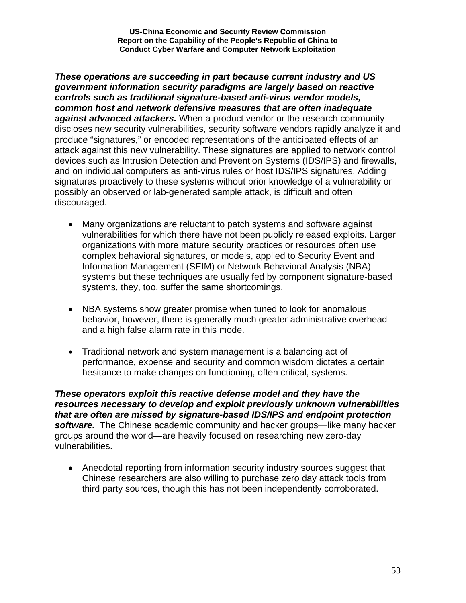*These operations are succeeding in part because current industry and US government information security paradigms are largely based on reactive controls such as traditional signature-based anti-virus vendor models, common host and network defensive measures that are often inadequate against advanced attackers.* When a product vendor or the research community discloses new security vulnerabilities, security software vendors rapidly analyze it and produce "signatures," or encoded representations of the anticipated effects of an attack against this new vulnerability. These signatures are applied to network control devices such as Intrusion Detection and Prevention Systems (IDS/IPS) and firewalls, and on individual computers as anti-virus rules or host IDS/IPS signatures. Adding signatures proactively to these systems without prior knowledge of a vulnerability or possibly an observed or lab-generated sample attack, is difficult and often discouraged.

- Many organizations are reluctant to patch systems and software against vulnerabilities for which there have not been publicly released exploits. Larger organizations with more mature security practices or resources often use complex behavioral signatures, or models, applied to Security Event and Information Management (SEIM) or Network Behavioral Analysis (NBA) systems but these techniques are usually fed by component signature-based systems, they, too, suffer the same shortcomings.
- NBA systems show greater promise when tuned to look for anomalous behavior, however, there is generally much greater administrative overhead and a high false alarm rate in this mode.
- Traditional network and system management is a balancing act of performance, expense and security and common wisdom dictates a certain hesitance to make changes on functioning, often critical, systems.

*These operators exploit this reactive defense model and they have the resources necessary to develop and exploit previously unknown vulnerabilities that are often are missed by signature-based IDS/IPS and endpoint protection software.* The Chinese academic community and hacker groups—like many hacker groups around the world—are heavily focused on researching new zero-day vulnerabilities.

• Anecdotal reporting from information security industry sources suggest that Chinese researchers are also willing to purchase zero day attack tools from third party sources, though this has not been independently corroborated.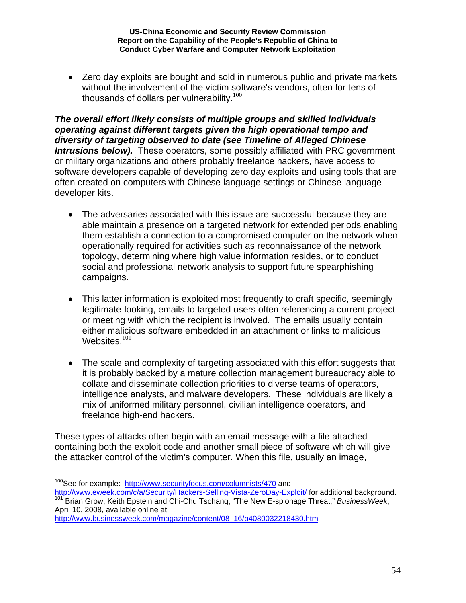• Zero day exploits are bought and sold in numerous public and private markets without the involvement of the victim software's vendors, often for tens of thousands of dollars per vulnerability. $100$ 

*The overall effort likely consists of multiple groups and skilled individuals operating against different targets given the high operational tempo and diversity of targeting observed to date (see Timeline of Alleged Chinese Intrusions below).* These operators, some possibly affiliated with PRC government or military organizations and others probably freelance hackers, have access to software developers capable of developing zero day exploits and using tools that are often created on computers with Chinese language settings or Chinese language developer kits.

- The adversaries associated with this issue are successful because they are able maintain a presence on a targeted network for extended periods enabling them establish a connection to a compromised computer on the network when operationally required for activities such as reconnaissance of the network topology, determining where high value information resides, or to conduct social and professional network analysis to support future spearphishing campaigns.
- This latter information is exploited most frequently to craft specific, seemingly legitimate-looking, emails to targeted users often referencing a current project or meeting with which the recipient is involved. The emails usually contain either malicious software embedded in an attachment or links to malicious Websites. $101$
- The scale and complexity of targeting associated with this effort suggests that it is probably backed by a mature collection management bureaucracy able to collate and disseminate collection priorities to diverse teams of operators, intelligence analysts, and malware developers. These individuals are likely a mix of uniformed military personnel, civilian intelligence operators, and freelance high-end hackers.

These types of attacks often begin with an email message with a file attached containing both the exploit code and another small piece of software which will give the attacker control of the victim's computer. When this file, usually an image,

http://www.businessweek.com/magazine/content/08\_16/b4080032218430.htm

 $\overline{a}$ <sup>100</sup>See for example: http://www.securityfocus.com/columnists/470 and

http://www.eweek.com/c/a/Security/Hackers-Selling-Vista-ZeroDay-Exploit/ for additional background.<br><sup>101</sup> Brian Grow, Keith Epstein and Chi-Chu Tschang, "The New E-spionage Threat," *BusinessWeek*, April 10, 2008, available online at: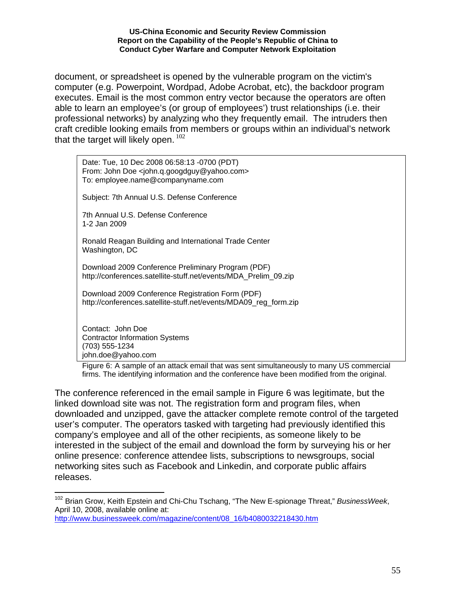document, or spreadsheet is opened by the vulnerable program on the victim's computer (e.g. Powerpoint, Wordpad, Adobe Acrobat, etc), the backdoor program executes. Email is the most common entry vector because the operators are often able to learn an employee's (or group of employees') trust relationships (i.e. their professional networks) by analyzing who they frequently email. The intruders then craft credible looking emails from members or groups within an individual's network that the target will likely open.  $102$ 

Date: Tue, 10 Dec 2008 06:58:13 -0700 (PDT) From: John Doe <john.q.googdguy@yahoo.com> To: employee.name@companyname.com Subject: 7th Annual U.S. Defense Conference 7th Annual U.S. Defense Conference 1-2 Jan 2009 Ronald Reagan Building and International Trade Center Washington, DC Download 2009 Conference Preliminary Program (PDF) http://conferences.satellite-stuff.net/events/MDA\_Prelim\_09.zip Download 2009 Conference Registration Form (PDF) http://conferences.satellite-stuff.net/events/MDA09\_reg\_form.zip Contact: John Doe Contractor Information Systems

(703) 555-1234 john.doe@yahoo.com

 $\overline{a}$ 

Figure 6: A sample of an attack email that was sent simultaneously to many US commercial firms. The identifying information and the conference have been modified from the original.

The conference referenced in the email sample in Figure 6 was legitimate, but the linked download site was not. The registration form and program files, when downloaded and unzipped, gave the attacker complete remote control of the targeted user's computer. The operators tasked with targeting had previously identified this company's employee and all of the other recipients, as someone likely to be interested in the subject of the email and download the form by surveying his or her online presence: conference attendee lists, subscriptions to newsgroups, social networking sites such as Facebook and Linkedin, and corporate public affairs releases.

http://www.businessweek.com/magazine/content/08\_16/b4080032218430.htm

<sup>102</sup> Brian Grow, Keith Epstein and Chi-Chu Tschang, "The New E-spionage Threat," *BusinessWeek*, April 10, 2008, available online at: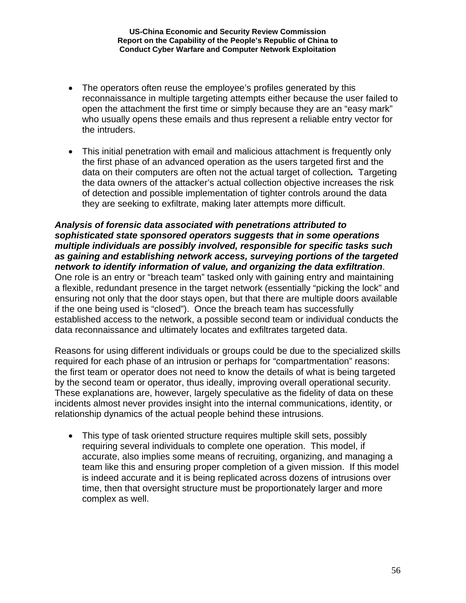- The operators often reuse the employee's profiles generated by this reconnaissance in multiple targeting attempts either because the user failed to open the attachment the first time or simply because they are an "easy mark" who usually opens these emails and thus represent a reliable entry vector for the intruders.
- This initial penetration with email and malicious attachment is frequently only the first phase of an advanced operation as the users targeted first and the data on their computers are often not the actual target of collection*.* Targeting the data owners of the attacker's actual collection objective increases the risk of detection and possible implementation of tighter controls around the data they are seeking to exfiltrate, making later attempts more difficult.

*Analysis of forensic data associated with penetrations attributed to sophisticated state sponsored operators suggests that in some operations multiple individuals are possibly involved, responsible for specific tasks such as gaining and establishing network access, surveying portions of the targeted network to identify information of value, and organizing the data exfiltration*. One role is an entry or "breach team" tasked only with gaining entry and maintaining a flexible, redundant presence in the target network (essentially "picking the lock" and ensuring not only that the door stays open, but that there are multiple doors available if the one being used is "closed"). Once the breach team has successfully established access to the network, a possible second team or individual conducts the data reconnaissance and ultimately locates and exfiltrates targeted data.

Reasons for using different individuals or groups could be due to the specialized skills required for each phase of an intrusion or perhaps for "compartmentation" reasons: the first team or operator does not need to know the details of what is being targeted by the second team or operator, thus ideally, improving overall operational security. These explanations are, however, largely speculative as the fidelity of data on these incidents almost never provides insight into the internal communications, identity, or relationship dynamics of the actual people behind these intrusions.

• This type of task oriented structure requires multiple skill sets, possibly requiring several individuals to complete one operation. This model, if accurate, also implies some means of recruiting, organizing, and managing a team like this and ensuring proper completion of a given mission. If this model is indeed accurate and it is being replicated across dozens of intrusions over time, then that oversight structure must be proportionately larger and more complex as well.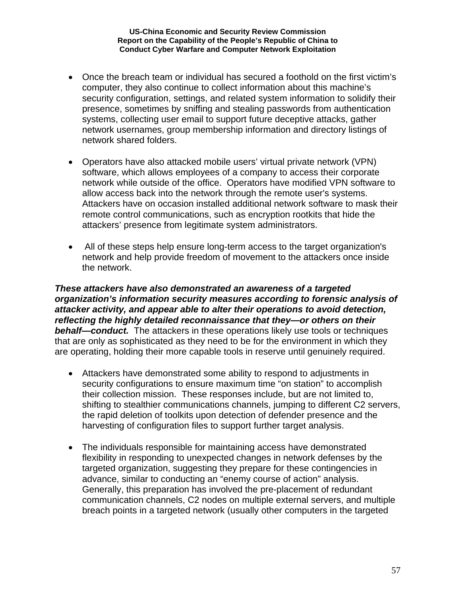- Once the breach team or individual has secured a foothold on the first victim's computer, they also continue to collect information about this machine's security configuration, settings, and related system information to solidify their presence, sometimes by sniffing and stealing passwords from authentication systems, collecting user email to support future deceptive attacks, gather network usernames, group membership information and directory listings of network shared folders.
- Operators have also attacked mobile users' virtual private network (VPN) software, which allows employees of a company to access their corporate network while outside of the office. Operators have modified VPN software to allow access back into the network through the remote user's systems. Attackers have on occasion installed additional network software to mask their remote control communications, such as encryption rootkits that hide the attackers' presence from legitimate system administrators.
- All of these steps help ensure long-term access to the target organization's network and help provide freedom of movement to the attackers once inside the network.

*These attackers have also demonstrated an awareness of a targeted organization's information security measures according to forensic analysis of attacker activity, and appear able to alter their operations to avoid detection, reflecting the highly detailed reconnaissance that they—or others on their behalf—conduct.* The attackers in these operations likely use tools or techniques that are only as sophisticated as they need to be for the environment in which they are operating, holding their more capable tools in reserve until genuinely required.

- Attackers have demonstrated some ability to respond to adjustments in security configurations to ensure maximum time "on station" to accomplish their collection mission. These responses include, but are not limited to, shifting to stealthier communications channels, jumping to different C2 servers, the rapid deletion of toolkits upon detection of defender presence and the harvesting of configuration files to support further target analysis.
- The individuals responsible for maintaining access have demonstrated flexibility in responding to unexpected changes in network defenses by the targeted organization, suggesting they prepare for these contingencies in advance, similar to conducting an "enemy course of action" analysis. Generally, this preparation has involved the pre-placement of redundant communication channels, C2 nodes on multiple external servers, and multiple breach points in a targeted network (usually other computers in the targeted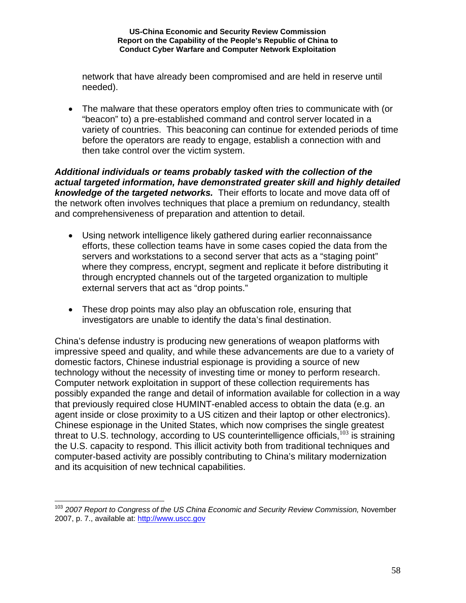network that have already been compromised and are held in reserve until needed).

• The malware that these operators employ often tries to communicate with (or "beacon" to) a pre-established command and control server located in a variety of countries. This beaconing can continue for extended periods of time before the operators are ready to engage, establish a connection with and then take control over the victim system.

*Additional individuals or teams probably tasked with the collection of the actual targeted information, have demonstrated greater skill and highly detailed knowledge of the targeted networks.* Their efforts to locate and move data off of the network often involves techniques that place a premium on redundancy, stealth and comprehensiveness of preparation and attention to detail.

- Using network intelligence likely gathered during earlier reconnaissance efforts, these collection teams have in some cases copied the data from the servers and workstations to a second server that acts as a "staging point" where they compress, encrypt, segment and replicate it before distributing it through encrypted channels out of the targeted organization to multiple external servers that act as "drop points."
- These drop points may also play an obfuscation role, ensuring that investigators are unable to identify the data's final destination.

China's defense industry is producing new generations of weapon platforms with impressive speed and quality, and while these advancements are due to a variety of domestic factors, Chinese industrial espionage is providing a source of new technology without the necessity of investing time or money to perform research. Computer network exploitation in support of these collection requirements has possibly expanded the range and detail of information available for collection in a way that previously required close HUMINT-enabled access to obtain the data (e.g. an agent inside or close proximity to a US citizen and their laptop or other electronics). Chinese espionage in the United States, which now comprises the single greatest threat to U.S. technology, according to US counterintelligence officials,  $103$  is straining the U.S. capacity to respond. This illicit activity both from traditional techniques and computer-based activity are possibly contributing to China's military modernization and its acquisition of new technical capabilities.

 $\overline{a}$ 

<sup>103</sup> *2007 Report to Congress of the US China Economic and Security Review Commission,* November 2007, p. 7., available at: http://www.uscc.gov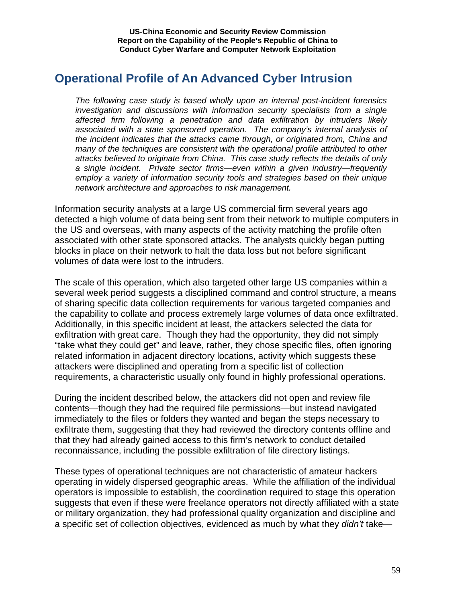# **Operational Profile of An Advanced Cyber Intrusion**

*The following case study is based wholly upon an internal post-incident forensics investigation and discussions with information security specialists from a single affected firm following a penetration and data exfiltration by intruders likely associated with a state sponsored operation. The company's internal analysis of the incident indicates that the attacks came through, or originated from, China and many of the techniques are consistent with the operational profile attributed to other attacks believed to originate from China. This case study reflects the details of only a single incident. Private sector firms—even within a given industry—frequently employ a variety of information security tools and strategies based on their unique network architecture and approaches to risk management.* 

Information security analysts at a large US commercial firm several years ago detected a high volume of data being sent from their network to multiple computers in the US and overseas, with many aspects of the activity matching the profile often associated with other state sponsored attacks. The analysts quickly began putting blocks in place on their network to halt the data loss but not before significant volumes of data were lost to the intruders.

The scale of this operation, which also targeted other large US companies within a several week period suggests a disciplined command and control structure, a means of sharing specific data collection requirements for various targeted companies and the capability to collate and process extremely large volumes of data once exfiltrated. Additionally, in this specific incident at least, the attackers selected the data for exfiltration with great care. Though they had the opportunity, they did not simply "take what they could get" and leave, rather, they chose specific files, often ignoring related information in adjacent directory locations, activity which suggests these attackers were disciplined and operating from a specific list of collection requirements, a characteristic usually only found in highly professional operations.

During the incident described below, the attackers did not open and review file contents—though they had the required file permissions—but instead navigated immediately to the files or folders they wanted and began the steps necessary to exfiltrate them, suggesting that they had reviewed the directory contents offline and that they had already gained access to this firm's network to conduct detailed reconnaissance, including the possible exfiltration of file directory listings.

These types of operational techniques are not characteristic of amateur hackers operating in widely dispersed geographic areas. While the affiliation of the individual operators is impossible to establish, the coordination required to stage this operation suggests that even if these were freelance operators not directly affiliated with a state or military organization, they had professional quality organization and discipline and a specific set of collection objectives, evidenced as much by what they *didn't* take—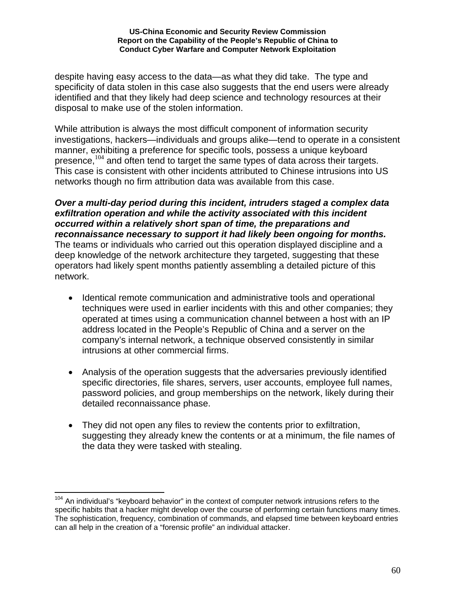despite having easy access to the data—as what they did take. The type and specificity of data stolen in this case also suggests that the end users were already identified and that they likely had deep science and technology resources at their disposal to make use of the stolen information.

While attribution is always the most difficult component of information security investigations, hackers—individuals and groups alike—tend to operate in a consistent manner, exhibiting a preference for specific tools, possess a unique keyboard presence,  $104$  and often tend to target the same types of data across their targets. This case is consistent with other incidents attributed to Chinese intrusions into US networks though no firm attribution data was available from this case.

*Over a multi-day period during this incident, intruders staged a complex data exfiltration operation and while the activity associated with this incident occurred within a relatively short span of time, the preparations and reconnaissance necessary to support it had likely been ongoing for months.* The teams or individuals who carried out this operation displayed discipline and a deep knowledge of the network architecture they targeted, suggesting that these operators had likely spent months patiently assembling a detailed picture of this network.

- Identical remote communication and administrative tools and operational techniques were used in earlier incidents with this and other companies; they operated at times using a communication channel between a host with an IP address located in the People's Republic of China and a server on the company's internal network, a technique observed consistently in similar intrusions at other commercial firms.
- Analysis of the operation suggests that the adversaries previously identified specific directories, file shares, servers, user accounts, employee full names, password policies, and group memberships on the network, likely during their detailed reconnaissance phase.
- They did not open any files to review the contents prior to exfiltration, suggesting they already knew the contents or at a minimum, the file names of the data they were tasked with stealing.

 $\overline{a}$ <sup>104</sup> An individual's "keyboard behavior" in the context of computer network intrusions refers to the specific habits that a hacker might develop over the course of performing certain functions many times. The sophistication, frequency, combination of commands, and elapsed time between keyboard entries can all help in the creation of a "forensic profile" an individual attacker.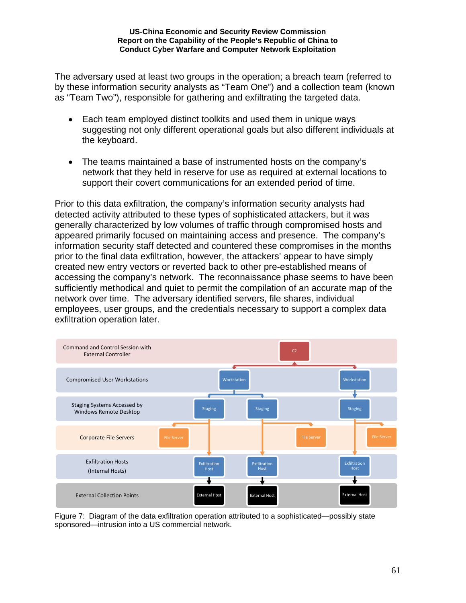The adversary used at least two groups in the operation; a breach team (referred to by these information security analysts as "Team One") and a collection team (known as "Team Two"), responsible for gathering and exfiltrating the targeted data.

- Each team employed distinct toolkits and used them in unique ways suggesting not only different operational goals but also different individuals at the keyboard.
- The teams maintained a base of instrumented hosts on the company's network that they held in reserve for use as required at external locations to support their covert communications for an extended period of time.

Prior to this data exfiltration, the company's information security analysts had detected activity attributed to these types of sophisticated attackers, but it was generally characterized by low volumes of traffic through compromised hosts and appeared primarily focused on maintaining access and presence. The company's information security staff detected and countered these compromises in the months prior to the final data exfiltration, however, the attackers' appear to have simply created new entry vectors or reverted back to other pre-established means of accessing the company's network. The reconnaissance phase seems to have been sufficiently methodical and quiet to permit the compilation of an accurate map of the network over time. The adversary identified servers, file shares, individual employees, user groups, and the credentials necessary to support a complex data exfiltration operation later.



Figure 7: Diagram of the data exfiltration operation attributed to a sophisticated—possibly state sponsored—intrusion into a US commercial network.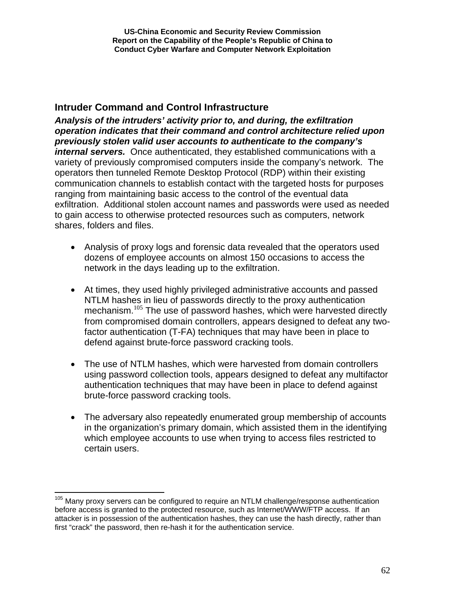## **Intruder Command and Control Infrastructure**

*Analysis of the intruders' activity prior to, and during, the exfiltration operation indicates that their command and control architecture relied upon previously stolen valid user accounts to authenticate to the company's internal servers.* Once authenticated, they established communications with a variety of previously compromised computers inside the company's network. The operators then tunneled Remote Desktop Protocol (RDP) within their existing communication channels to establish contact with the targeted hosts for purposes ranging from maintaining basic access to the control of the eventual data exfiltration. Additional stolen account names and passwords were used as needed to gain access to otherwise protected resources such as computers, network shares, folders and files.

- Analysis of proxy logs and forensic data revealed that the operators used dozens of employee accounts on almost 150 occasions to access the network in the days leading up to the exfiltration.
- At times, they used highly privileged administrative accounts and passed NTLM hashes in lieu of passwords directly to the proxy authentication mechanism.<sup>105</sup> The use of password hashes, which were harvested directly from compromised domain controllers, appears designed to defeat any twofactor authentication (T-FA) techniques that may have been in place to defend against brute-force password cracking tools.
- The use of NTLM hashes, which were harvested from domain controllers using password collection tools, appears designed to defeat any multifactor authentication techniques that may have been in place to defend against brute-force password cracking tools.
- The adversary also repeatedly enumerated group membership of accounts in the organization's primary domain, which assisted them in the identifying which employee accounts to use when trying to access files restricted to certain users.

<sup>1</sup> <sup>105</sup> Many proxy servers can be configured to require an NTLM challenge/response authentication before access is granted to the protected resource, such as Internet/WWW/FTP access. If an attacker is in possession of the authentication hashes, they can use the hash directly, rather than first "crack" the password, then re-hash it for the authentication service.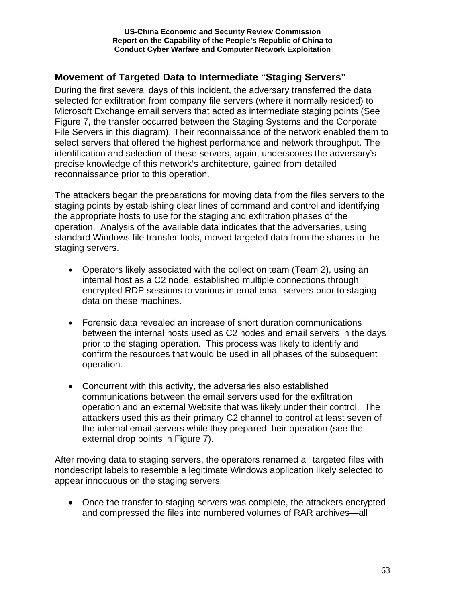# **Movement of Targeted Data to Intermediate "Staging Servers"**

During the first several days of this incident, the adversary transferred the data selected for exfiltration from company file servers (where it normally resided) to Microsoft Exchange email servers that acted as intermediate staging points (See Figure 7, the transfer occurred between the Staging Systems and the Corporate File Servers in this diagram). Their reconnaissance of the network enabled them to select servers that offered the highest performance and network throughput. The identification and selection of these servers, again, underscores the adversary's precise knowledge of this network's architecture, gained from detailed reconnaissance prior to this operation.

The attackers began the preparations for moving data from the files servers to the staging points by establishing clear lines of command and control and identifying the appropriate hosts to use for the staging and exfiltration phases of the operation. Analysis of the available data indicates that the adversaries, using standard Windows file transfer tools, moved targeted data from the shares to the staging servers.

- Operators likely associated with the collection team (Team 2), using an internal host as a C2 node, established multiple connections through encrypted RDP sessions to various internal email servers prior to staging data on these machines.
- Forensic data revealed an increase of short duration communications between the internal hosts used as C2 nodes and email servers in the days prior to the staging operation. This process was likely to identify and confirm the resources that would be used in all phases of the subsequent operation.
- Concurrent with this activity, the adversaries also established communications between the email servers used for the exfiltration operation and an external Website that was likely under their control. The attackers used this as their primary C2 channel to control at least seven of the internal email servers while they prepared their operation (see the external drop points in Figure 7).

After moving data to staging servers, the operators renamed all targeted files with nondescript labels to resemble a legitimate Windows application likely selected to appear innocuous on the staging servers.

• Once the transfer to staging servers was complete, the attackers encrypted and compressed the files into numbered volumes of RAR archives—all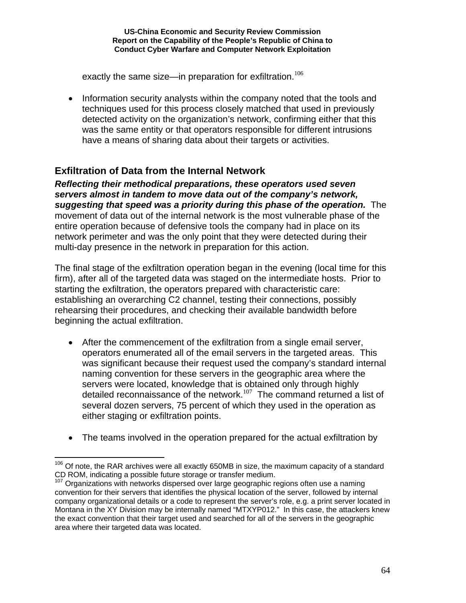exactly the same size—in preparation for exfiltration.<sup>106</sup>

• Information security analysts within the company noted that the tools and techniques used for this process closely matched that used in previously detected activity on the organization's network, confirming either that this was the same entity or that operators responsible for different intrusions have a means of sharing data about their targets or activities.

# **Exfiltration of Data from the Internal Network**

*Reflecting their methodical preparations, these operators used seven servers almost in tandem to move data out of the company's network, suggesting that speed was a priority during this phase of the operation.* The movement of data out of the internal network is the most vulnerable phase of the entire operation because of defensive tools the company had in place on its network perimeter and was the only point that they were detected during their multi-day presence in the network in preparation for this action.

The final stage of the exfiltration operation began in the evening (local time for this firm), after all of the targeted data was staged on the intermediate hosts. Prior to starting the exfiltration, the operators prepared with characteristic care: establishing an overarching C2 channel, testing their connections, possibly rehearsing their procedures, and checking their available bandwidth before beginning the actual exfiltration.

- After the commencement of the exfiltration from a single email server, operators enumerated all of the email servers in the targeted areas. This was significant because their request used the company's standard internal naming convention for these servers in the geographic area where the servers were located, knowledge that is obtained only through highly detailed reconnaissance of the network. $107$  The command returned a list of several dozen servers, 75 percent of which they used in the operation as either staging or exfiltration points.
- The teams involved in the operation prepared for the actual exfiltration by

 $\overline{a}$  $106$  Of note, the RAR archives were all exactly 650MB in size, the maximum capacity of a standard CD ROM, indicating a possible future storage or transfer medium.

 $107$  Organizations with networks dispersed over large geographic regions often use a naming convention for their servers that identifies the physical location of the server, followed by internal company organizational details or a code to represent the server's role, e.g. a print server located in Montana in the XY Division may be internally named "MTXYP012." In this case, the attackers knew the exact convention that their target used and searched for all of the servers in the geographic area where their targeted data was located.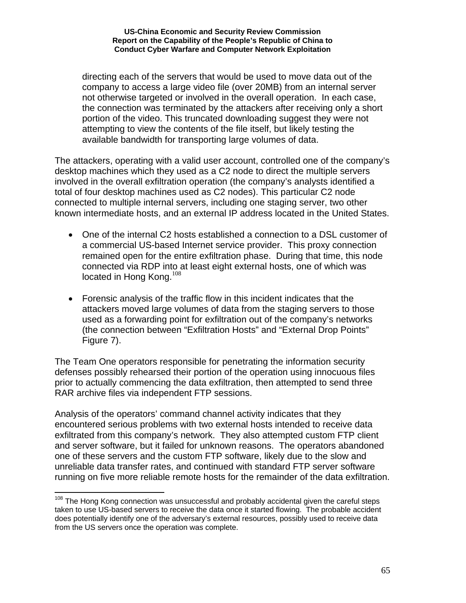directing each of the servers that would be used to move data out of the company to access a large video file (over 20MB) from an internal server not otherwise targeted or involved in the overall operation. In each case, the connection was terminated by the attackers after receiving only a short portion of the video. This truncated downloading suggest they were not attempting to view the contents of the file itself, but likely testing the available bandwidth for transporting large volumes of data.

The attackers, operating with a valid user account, controlled one of the company's desktop machines which they used as a C2 node to direct the multiple servers involved in the overall exfiltration operation (the company's analysts identified a total of four desktop machines used as C2 nodes). This particular C2 node connected to multiple internal servers, including one staging server, two other known intermediate hosts, and an external IP address located in the United States.

- One of the internal C2 hosts established a connection to a DSL customer of a commercial US-based Internet service provider. This proxy connection remained open for the entire exfiltration phase. During that time, this node connected via RDP into at least eight external hosts, one of which was located in Hong Kong.<sup>108</sup>
- Forensic analysis of the traffic flow in this incident indicates that the attackers moved large volumes of data from the staging servers to those used as a forwarding point for exfiltration out of the company's networks (the connection between "Exfiltration Hosts" and "External Drop Points" Figure 7).

The Team One operators responsible for penetrating the information security defenses possibly rehearsed their portion of the operation using innocuous files prior to actually commencing the data exfiltration, then attempted to send three RAR archive files via independent FTP sessions.

Analysis of the operators' command channel activity indicates that they encountered serious problems with two external hosts intended to receive data exfiltrated from this company's network. They also attempted custom FTP client and server software, but it failed for unknown reasons. The operators abandoned one of these servers and the custom FTP software, likely due to the slow and unreliable data transfer rates, and continued with standard FTP server software running on five more reliable remote hosts for the remainder of the data exfiltration.

1

<sup>&</sup>lt;sup>108</sup> The Hong Kong connection was unsuccessful and probably accidental given the careful steps taken to use US-based servers to receive the data once it started flowing. The probable accident does potentially identify one of the adversary's external resources, possibly used to receive data from the US servers once the operation was complete.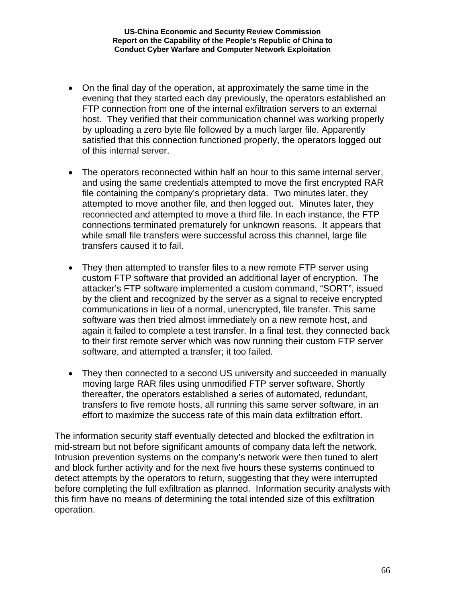- On the final day of the operation, at approximately the same time in the evening that they started each day previously, the operators established an FTP connection from one of the internal exfiltration servers to an external host. They verified that their communication channel was working properly by uploading a zero byte file followed by a much larger file. Apparently satisfied that this connection functioned properly, the operators logged out of this internal server.
- The operators reconnected within half an hour to this same internal server, and using the same credentials attempted to move the first encrypted RAR file containing the company's proprietary data. Two minutes later, they attempted to move another file, and then logged out. Minutes later, they reconnected and attempted to move a third file. In each instance, the FTP connections terminated prematurely for unknown reasons. It appears that while small file transfers were successful across this channel, large file transfers caused it to fail.
- They then attempted to transfer files to a new remote FTP server using custom FTP software that provided an additional layer of encryption. The attacker's FTP software implemented a custom command, "SORT", issued by the client and recognized by the server as a signal to receive encrypted communications in lieu of a normal, unencrypted, file transfer. This same software was then tried almost immediately on a new remote host, and again it failed to complete a test transfer. In a final test, they connected back to their first remote server which was now running their custom FTP server software, and attempted a transfer; it too failed.
- They then connected to a second US university and succeeded in manually moving large RAR files using unmodified FTP server software. Shortly thereafter, the operators established a series of automated, redundant, transfers to five remote hosts, all running this same server software, in an effort to maximize the success rate of this main data exfiltration effort.

The information security staff eventually detected and blocked the exfiltration in mid-stream but not before significant amounts of company data left the network. Intrusion prevention systems on the company's network were then tuned to alert and block further activity and for the next five hours these systems continued to detect attempts by the operators to return, suggesting that they were interrupted before completing the full exfiltration as planned. Information security analysts with this firm have no means of determining the total intended size of this exfiltration operation.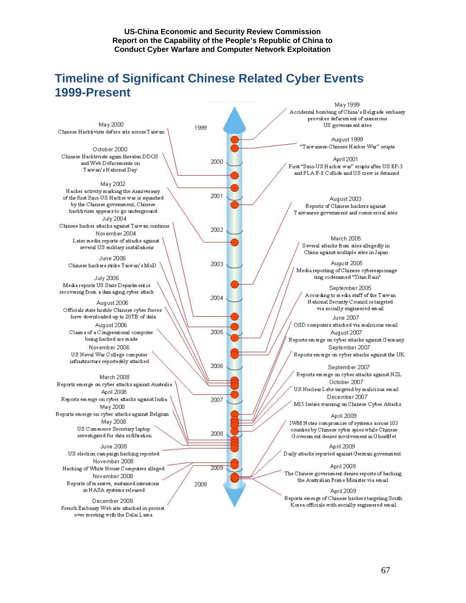## **Timeline of Significant Chinese Related Cyber Events 1999-Present**

|                                                                                        |      | May 1999                                                                                    |
|----------------------------------------------------------------------------------------|------|---------------------------------------------------------------------------------------------|
|                                                                                        |      | Accidental bombing of China's Belgrade embassy                                              |
|                                                                                        |      | provokes defacement of numerous                                                             |
| May 2000                                                                               | 1999 | US government sites                                                                         |
| Chinese Hacktivists deface site across Taiwan                                          |      |                                                                                             |
|                                                                                        |      | August 1999                                                                                 |
| October 2000                                                                           |      | "Taiwanese-Chinese Hacker War" erupts                                                       |
| Chinese Hacktivists again threaten DDOS                                                |      | April 2001                                                                                  |
| and Web Defacements on                                                                 | 2000 | First "Sino-US Hacker war" erupts after US EP-3                                             |
| Taiwan's National Day                                                                  |      | and PLA F-8 Collide and US crew is detained                                                 |
|                                                                                        |      |                                                                                             |
| May 2002                                                                               |      |                                                                                             |
| Hacker activity marking the Anniversary<br>of the first Sino-US Hacker war is squashed | 2001 |                                                                                             |
| by the Chinese government; Chinese                                                     |      | August 2003                                                                                 |
| hacktivism appears to go underground                                                   |      | Reports of Chinese hackers against                                                          |
| July 2004                                                                              |      | Taiwanese government and commercial sites                                                   |
| Chinese hacker attacks against Taiwan continue                                         |      |                                                                                             |
| November 2004                                                                          | 2002 |                                                                                             |
| Later media reports of attacks against                                                 |      | March 2005                                                                                  |
| several US military installations                                                      |      | Several attacks from sites allegedly in                                                     |
|                                                                                        |      | China against multiple sites in Japan                                                       |
| June 2006                                                                              | 2003 | August 2005                                                                                 |
| Chinese hackers strike Taiwan's MoD                                                    |      | Media reporting of Chinese cyberespionage                                                   |
| <b>July 2006</b>                                                                       |      | ring codenamed "Titan Rain"                                                                 |
| Media reports US State Department is                                                   |      |                                                                                             |
| recovering from a damaging cyber attack                                                |      | September 2005                                                                              |
|                                                                                        | 2004 | According to media staff of the Taiwan                                                      |
| August 2006                                                                            |      | National Security Council is targeted<br>via socially engineered em ail                     |
| Officials state hostile Chinese cyber forces<br>have downloaded up to 20TB of data     |      |                                                                                             |
|                                                                                        |      | June 2007                                                                                   |
| August 2006                                                                            | 2005 | OSD computers attacked via malicious email                                                  |
| Claims of a Congressional computer<br>being hacked are made                            |      | August 2007                                                                                 |
|                                                                                        |      | Reports em erge on cyber attacks against Germany                                            |
| November 2006                                                                          |      | September 2007                                                                              |
| US Naval War College computer<br>infrastructure reportedely attacked                   |      | Reports em erge on cyber attacks against the UK                                             |
|                                                                                        | 2006 | September 2007                                                                              |
|                                                                                        |      | Reports em erge on cyber attacks against NZL                                                |
| March 2008                                                                             |      | October 2007                                                                                |
| Reports emerge on cyber attacks against Australia                                      |      | US Nuclear Labs targeted by malicious email                                                 |
| April 2008                                                                             |      | December 2007                                                                               |
| Reports em erge on cyber attacks against India                                         | 2007 | MI5 Issues warning on Chinese Cyber Attacks                                                 |
| Мау 2008<br>Reports emerge on cyber attacks against Belgium                            |      |                                                                                             |
|                                                                                        |      | April 2009                                                                                  |
| May 2008                                                                               |      | IWM Notes compromise of systems across 103                                                  |
| US Commerce Secretary laptop<br>investigated for data exfiltration                     | 2008 | counties by Chinese cyber spies while Chinese                                               |
|                                                                                        |      | Government denies involvement in GhostNet                                                   |
| June 2008                                                                              |      | April 2009                                                                                  |
| US election campaign hacking reported                                                  |      | Daily attacks reported against German government                                            |
| November 2008                                                                          |      |                                                                                             |
| Hacking of White House Computers alleged                                               | 2009 | April 2009                                                                                  |
| November 2008                                                                          |      | The Chinese government denies reports of hacking<br>the Australian Prime Minister via email |
| Reports of massive, sustained intrusions                                               | 2009 |                                                                                             |
| in NASA systems released                                                               |      | April 2009                                                                                  |
| December 2008                                                                          |      | Reports emerge of Chinese hackers targeting South                                           |
| French Embassy Web site attacked in protest                                            |      | Korea officials with socially engineered email                                              |
| over meeting with the Dalai Lama                                                       |      |                                                                                             |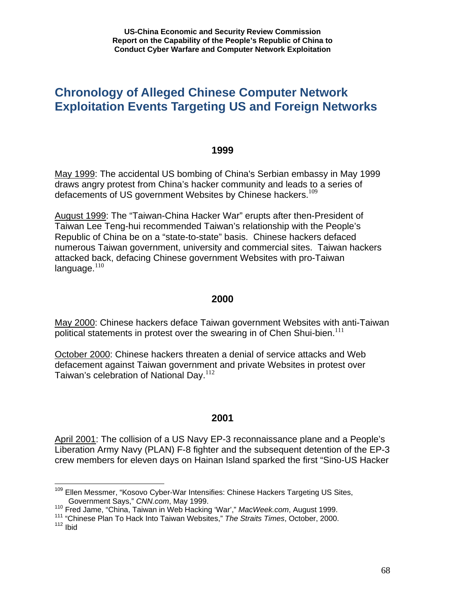# **Chronology of Alleged Chinese Computer Network Exploitation Events Targeting US and Foreign Networks**

### **1999**

May 1999: The accidental US bombing of China's Serbian embassy in May 1999 draws angry protest from China's hacker community and leads to a series of defacements of US government Websites by Chinese hackers.<sup>109</sup>

August 1999: The "Taiwan-China Hacker War" erupts after then-President of Taiwan Lee Teng-hui recommended Taiwan's relationship with the People's Republic of China be on a "state-to-state" basis. Chinese hackers defaced numerous Taiwan government, university and commercial sites. Taiwan hackers attacked back, defacing Chinese government Websites with pro-Taiwan  $l$ anguage. $110<sub>110</sub>$ 

### **2000**

May 2000: Chinese hackers deface Taiwan government Websites with anti-Taiwan political statements in protest over the swearing in of Chen Shui-bien.<sup>111</sup>

October 2000: Chinese hackers threaten a denial of service attacks and Web defacement against Taiwan government and private Websites in protest over Taiwan's celebration of National Dav.<sup>112</sup>

### **2001**

April 2001: The collision of a US Navy EP-3 reconnaissance plane and a People's Liberation Army Navy (PLAN) F-8 fighter and the subsequent detention of the EP-3 crew members for eleven days on Hainan Island sparked the first "Sino-US Hacker

 $\overline{\phantom{a}}$ <sup>109</sup> Ellen Messmer, "Kosovo Cyber-War Intensifies: Chinese Hackers Targeting US Sites,

Government Says," *CNN.com*, May 1999.<br><sup>110</sup> Fred Jame, "China, Taiwan in Web Hacking 'War'," *MacWeek.com*, August 1999.<br><sup>111</sup> "Chinese Plan To Hack Into Taiwan Websites," *The Straits Times*, October, 2000.

 $112$  Ibid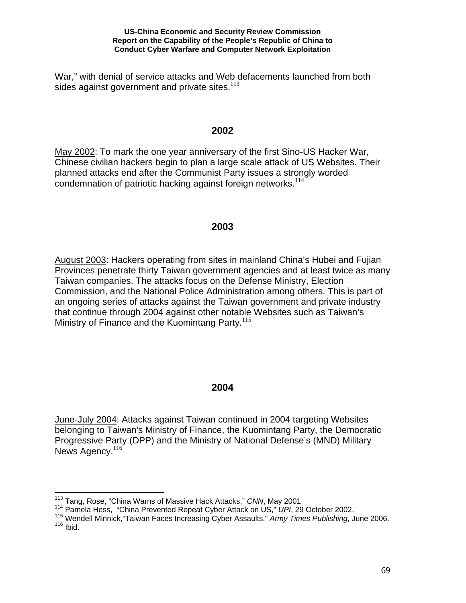War," with denial of service attacks and Web defacements launched from both sides against government and private sites. $^{113}$ 

### **2002**

May 2002: To mark the one year anniversary of the first Sino-US Hacker War, Chinese civilian hackers begin to plan a large scale attack of US Websites. Their planned attacks end after the Communist Party issues a strongly worded condemnation of patriotic hacking against foreign networks.<sup>114</sup>

### **2003**

August 2003: Hackers operating from sites in mainland China's Hubei and Fujian Provinces penetrate thirty Taiwan government agencies and at least twice as many Taiwan companies. The attacks focus on the Defense Ministry, Election Commission, and the National Police Administration among others. This is part of an ongoing series of attacks against the Taiwan government and private industry that continue through 2004 against other notable Websites such as Taiwan's Ministry of Finance and the Kuomintang Party.<sup>115</sup>

### **2004**

June-July 2004: Attacks against Taiwan continued in 2004 targeting Websites belonging to Taiwan's Ministry of Finance, the Kuomintang Party, the Democratic Progressive Party (DPP) and the Ministry of National Defense's (MND) Military News Agency.<sup>116</sup>

 $\overline{a}$ 

<sup>&</sup>lt;sup>113</sup> Tang, Rose, "China Warns of Massive Hack Attacks," *CNN*, May 2001<br><sup>114</sup> Pamela Hess, "China Prevented Repeat Cyber Attack on US," *UPI*, 29 October 2002.

<sup>115</sup> Wendell Minnick,"Taiwan Faces Increasing Cyber Assaults," *Army Times Publishing*, June 2006.  $116$  Ibid.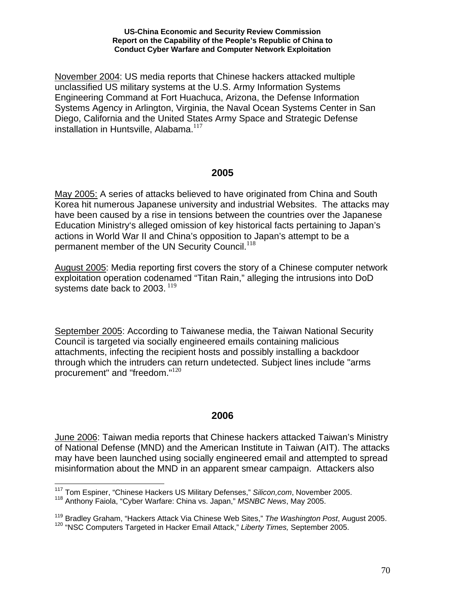November 2004: US media reports that Chinese hackers attacked multiple unclassified US military systems at the U.S. Army Information Systems Engineering Command at Fort Huachuca, Arizona, the Defense Information Systems Agency in Arlington, Virginia, the Naval Ocean Systems Center in San Diego, California and the United States Army Space and Strategic Defense installation in Huntsville, Alabama.<sup>117</sup>

### **2005**

May 2005: A series of attacks believed to have originated from China and South Korea hit numerous Japanese university and industrial Websites. The attacks may have been caused by a rise in tensions between the countries over the Japanese Education Ministry's alleged omission of key historical facts pertaining to Japan's actions in World War II and China's opposition to Japan's attempt to be a permanent member of the UN Security Council.<sup>118</sup>

August 2005: Media reporting first covers the story of a Chinese computer network exploitation operation codenamed "Titan Rain," alleging the intrusions into DoD systems date back to 2003.  $119$ 

September 2005: According to Taiwanese media, the Taiwan National Security Council is targeted via socially engineered emails containing malicious attachments, infecting the recipient hosts and possibly installing a backdoor through which the intruders can return undetected. Subject lines include "arms procurement" and "freedom."<sup>120</sup>

## **2006**

June 2006: Taiwan media reports that Chinese hackers attacked Taiwan's Ministry of National Defense (MND) and the American Institute in Taiwan (AIT). The attacks may have been launched using socially engineered email and attempted to spread misinformation about the MND in an apparent smear campaign. Attackers also

 $\overline{a}$ 117 Tom Espiner, "Chinese Hackers US Military Defenses," *Silicon,com*, November 2005.

<sup>118</sup> Anthony Faiola, "Cyber Warfare: China vs. Japan," *MSNBC News*, May 2005.

<sup>&</sup>lt;sup>119</sup> Bradley Graham, "Hackers Attack Via Chinese Web Sites," *The Washington Post*, August 2005.<br><sup>120</sup> "NSC Computers Targeted in Hacker Email Attack," *Liberty Times,* September 2005.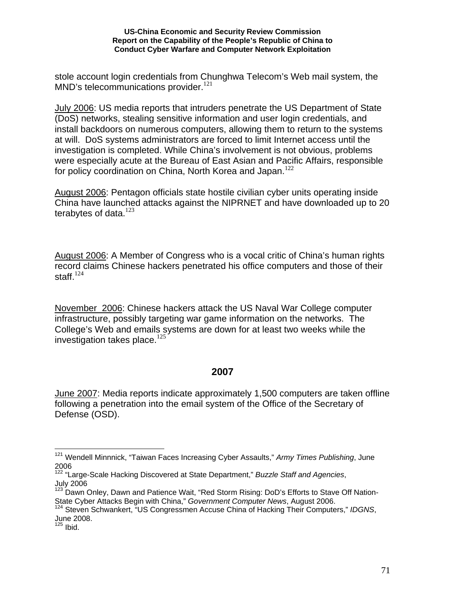stole account login credentials from Chunghwa Telecom's Web mail system, the MND's telecommunications provider.<sup>121</sup>

July 2006: US media reports that intruders penetrate the US Department of State (DoS) networks, stealing sensitive information and user login credentials, and install backdoors on numerous computers, allowing them to return to the systems at will. DoS systems administrators are forced to limit Internet access until the investigation is completed. While China's involvement is not obvious, problems were especially acute at the Bureau of East Asian and Pacific Affairs, responsible for policy coordination on China, North Korea and Japan.<sup>122</sup>

August 2006: Pentagon officials state hostile civilian cyber units operating inside China have launched attacks against the NIPRNET and have downloaded up to 20 terabytes of data. $123$ 

August 2006: A Member of Congress who is a vocal critic of China's human rights record claims Chinese hackers penetrated his office computers and those of their staff. $124$ 

November 2006: Chinese hackers attack the US Naval War College computer infrastructure, possibly targeting war game information on the networks. The College's Web and emails systems are down for at least two weeks while the investigation takes place. $125$ 

### **2007**

June 2007: Media reports indicate approximately 1,500 computers are taken offline following a penetration into the email system of the Office of the Secretary of Defense (OSD).

<sup>1</sup> 121 Wendell Minnnick, "Taiwan Faces Increasing Cyber Assaults," *Army Times Publishing*, June 2006

<sup>122 &</sup>quot;Large-Scale Hacking Discovered at State Department," *Buzzle Staff and Agencies*, July 2006

<sup>&</sup>lt;sup>123</sup> Dawn Onley, Dawn and Patience Wait, "Red Storm Rising: DoD's Efforts to Stave Off Nation-State Cyber Attacks Begin with China," *Government Computer News*, August 2006.<br><sup>124</sup> Steven Schwankert, "US Congressmen Accuse China of Hacking Their Computers," *IDGNS*,

June 2008.

 $125$  Ibid.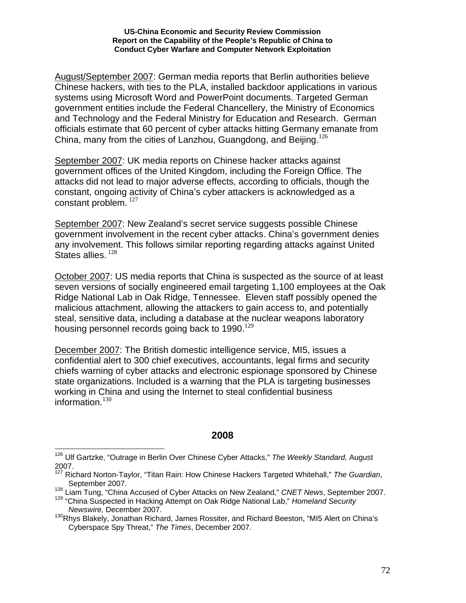August/September 2007: German media reports that Berlin authorities believe Chinese hackers, with ties to the PLA, installed backdoor applications in various systems using Microsoft Word and PowerPoint documents. Targeted German government entities include the Federal Chancellery, the Ministry of Economics and Technology and the Federal Ministry for Education and Research. German officials estimate that 60 percent of cyber attacks hitting Germany emanate from China, many from the cities of Lanzhou, Guangdong, and Beijing.<sup>126</sup>

September 2007: UK media reports on Chinese hacker attacks against government offices of the United Kingdom, including the Foreign Office. The attacks did not lead to major adverse effects, according to officials, though the constant, ongoing activity of China's cyber attackers is acknowledged as a constant problem.<sup>127</sup>

September 2007: New Zealand's secret service suggests possible Chinese government involvement in the recent cyber attacks. China's government denies any involvement. This follows similar reporting regarding attacks against United States allies. $128$ 

October 2007: US media reports that China is suspected as the source of at least seven versions of socially engineered email targeting 1,100 employees at the Oak Ridge National Lab in Oak Ridge, Tennessee. Eleven staff possibly opened the malicious attachment, allowing the attackers to gain access to, and potentially steal, sensitive data, including a database at the nuclear weapons laboratory housing personnel records going back to  $1990.<sup>129</sup>$ 

December 2007: The British domestic intelligence service, MI5, issues a confidential alert to 300 chief executives, accountants, legal firms and security chiefs warning of cyber attacks and electronic espionage sponsored by Chinese state organizations. Included is a warning that the PLA is targeting businesses working in China and using the Internet to steal confidential business information. $130$ 

### **2008**

 $\overline{a}$ 

<sup>126</sup> Ulf Gartzke, "Outrage in Berlin Over Chinese Cyber Attacks," *The Weekly Standard,* August 2007.

<sup>127</sup> Richard Norton-Taylor, "Titan Rain: How Chinese Hackers Targeted Whitehall," *The Guardian*,

September 2007. 128 Liam Tung, "China Accused of Cyber Attacks on New Zealand," *CNET News*, September 2007. 129 "China Suspected in Hacking Attempt on Oak Ridge National Lab," *Homeland Security* 

*Newswire,* December 2007.

<sup>&</sup>lt;sup>130</sup>Rhys Blakely, Jonathan Richard, James Rossiter, and Richard Beeston, "MI5 Alert on China's Cyberspace Spy Threat," *The Times*, December 2007.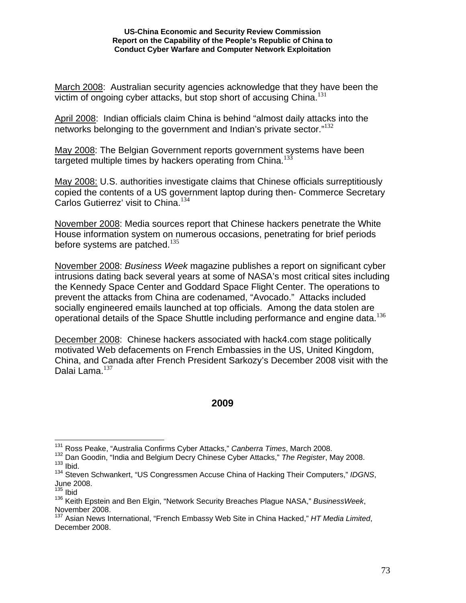March 2008: Australian security agencies acknowledge that they have been the victim of ongoing cyber attacks, but stop short of accusing China.<sup>131</sup>

April 2008: Indian officials claim China is behind "almost daily attacks into the networks belonging to the government and Indian's private sector."<sup>132</sup>

May 2008: The Belgian Government reports government systems have been targeted multiple times by hackers operating from China.<sup>133</sup>

May 2008: U.S. authorities investigate claims that Chinese officials surreptitiously copied the contents of a US government laptop during then- Commerce Secretary Carlos Gutierrez' visit to China.<sup>134</sup>

November 2008: Media sources report that Chinese hackers penetrate the White House information system on numerous occasions, penetrating for brief periods before systems are patched. $135$ 

November 2008: *Business Week* magazine publishes a report on significant cyber intrusions dating back several years at some of NASA's most critical sites including the Kennedy Space Center and Goddard Space Flight Center. The operations to prevent the attacks from China are codenamed, "Avocado." Attacks included socially engineered emails launched at top officials. Among the data stolen are operational details of the Space Shuttle including performance and engine data.<sup>136</sup>

December 2008: Chinese hackers associated with hack4.com stage politically motivated Web defacements on French Embassies in the US, United Kingdom, China, and Canada after French President Sarkozy's December 2008 visit with the Dalai Lama.<sup>137</sup>

### **2009**

 $\overline{a}$ 131 Ross Peake, "Australia Confirms Cyber Attacks," *Canberra Times*, March 2008.

<sup>&</sup>lt;sup>132</sup> Dan Goodin, "India and Belgium Decry Chinese Cyber Attacks," *The Register*, May 2008.<br><sup>133</sup> Ibid.

<sup>134</sup> Steven Schwankert, "US Congressmen Accuse China of Hacking Their Computers," *IDGNS*, June 2008.

<sup>&</sup>lt;sup>135</sup> Ibid

<sup>136</sup> Keith Epstein and Ben Elgin, "Network Security Breaches Plague NASA," *BusinessWeek*, November 2008.

<sup>137</sup> Asian News International, "French Embassy Web Site in China Hacked," *HT Media Limited*, December 2008.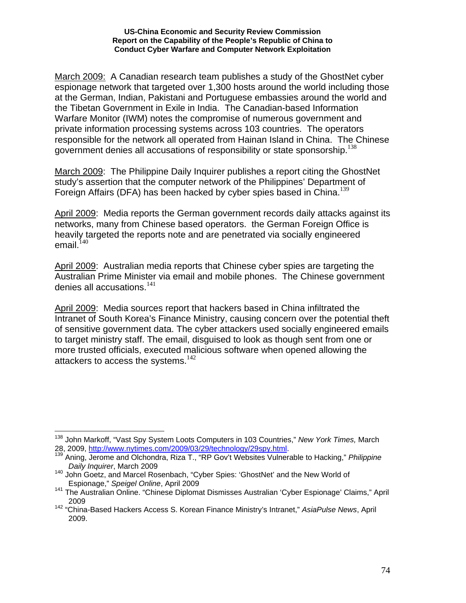March 2009: A Canadian research team publishes a study of the GhostNet cyber espionage network that targeted over 1,300 hosts around the world including those at the German, Indian, Pakistani and Portuguese embassies around the world and the Tibetan Government in Exile in India. The Canadian-based Information Warfare Monitor (IWM) notes the compromise of numerous government and private information processing systems across 103 countries. The operators responsible for the network all operated from Hainan Island in China. The Chinese government denies all accusations of responsibility or state sponsorship.<sup>138</sup>

March 2009: The Philippine Daily Inquirer publishes a report citing the GhostNet study's assertion that the computer network of the Philippines' Department of Foreign Affairs (DFA) has been hacked by cyber spies based in China.<sup>139</sup>

April 2009: Media reports the German government records daily attacks against its networks, many from Chinese based operators. the German Foreign Office is heavily targeted the reports note and are penetrated via socially engineered email. $140$ 

April 2009: Australian media reports that Chinese cyber spies are targeting the Australian Prime Minister via email and mobile phones. The Chinese government denies all accusations. $141$ 

April 2009: Media sources report that hackers based in China infiltrated the Intranet of South Korea's Finance Ministry, causing concern over the potential theft of sensitive government data. The cyber attackers used socially engineered emails to target ministry staff. The email, disguised to look as though sent from one or more trusted officials, executed malicious software when opened allowing the attackers to access the systems. $142$ 

 $\overline{a}$ 138 John Markoff, "Vast Spy System Loots Computers in 103 Countries," *New York Times,* March

<sup>28, 2009,</sup> http://www.nytimes.com/2009/03/29/technology/29spy.html. 139 Aning, Jerome and Olchondra, Riza T., "RP Gov't Websites Vulnerable to Hacking," *Philippine Daily Inquirer*, March 2009

<sup>&</sup>lt;sup>140</sup> John Goetz, and Marcel Rosenbach, "Cyber Spies: 'GhostNet' and the New World of

Espionage," *Speigel Online*, April 2009 141 The Australian Online. "Chinese Diplomat Dismisses Australian 'Cyber Espionage' Claims," April 2009

<sup>142 &</sup>quot;China-Based Hackers Access S. Korean Finance Ministry's Intranet," *AsiaPulse News*, April 2009.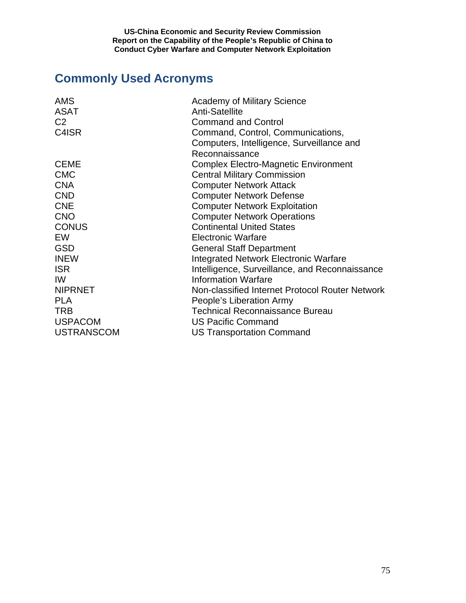# **Commonly Used Acronyms**

| <b>AMS</b>        | <b>Academy of Military Science</b>              |
|-------------------|-------------------------------------------------|
| <b>ASAT</b>       | <b>Anti-Satellite</b>                           |
| C <sub>2</sub>    | <b>Command and Control</b>                      |
| C4ISR             | Command, Control, Communications,               |
|                   | Computers, Intelligence, Surveillance and       |
|                   | Reconnaissance                                  |
| <b>CEME</b>       | <b>Complex Electro-Magnetic Environment</b>     |
| <b>CMC</b>        | <b>Central Military Commission</b>              |
| <b>CNA</b>        | <b>Computer Network Attack</b>                  |
| <b>CND</b>        | <b>Computer Network Defense</b>                 |
| <b>CNE</b>        | <b>Computer Network Exploitation</b>            |
| <b>CNO</b>        | <b>Computer Network Operations</b>              |
| <b>CONUS</b>      | <b>Continental United States</b>                |
| EW.               | <b>Electronic Warfare</b>                       |
| <b>GSD</b>        | <b>General Staff Department</b>                 |
| <b>INEW</b>       | <b>Integrated Network Electronic Warfare</b>    |
| <b>ISR</b>        | Intelligence, Surveillance, and Reconnaissance  |
| IW                | <b>Information Warfare</b>                      |
| <b>NIPRNET</b>    | Non-classified Internet Protocol Router Network |
| <b>PLA</b>        | People's Liberation Army                        |
| <b>TRB</b>        | <b>Technical Reconnaissance Bureau</b>          |
| <b>USPACOM</b>    | <b>US Pacific Command</b>                       |
| <b>USTRANSCOM</b> | <b>US Transportation Command</b>                |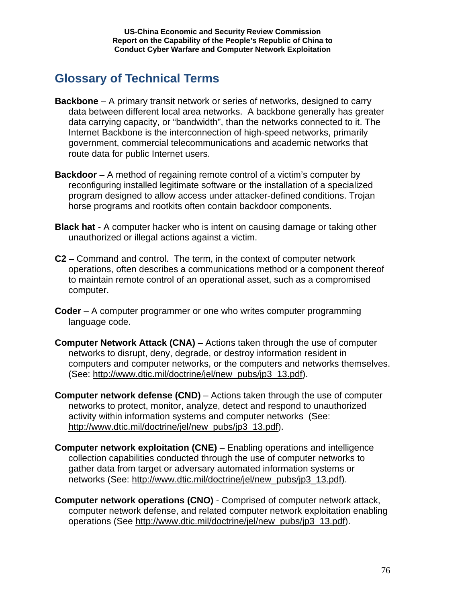### **Glossary of Technical Terms**

- **Backbone** A primary transit network or series of networks, designed to carry data between different local area networks. A backbone generally has greater data carrying capacity, or "bandwidth", than the networks connected to it. The Internet Backbone is the interconnection of high-speed networks, primarily government, commercial telecommunications and academic networks that route data for public Internet users.
- **Backdoor** A method of regaining remote control of a victim's computer by reconfiguring installed legitimate software or the installation of a specialized program designed to allow access under attacker-defined conditions. Trojan horse programs and rootkits often contain backdoor components.
- **Black hat** A computer hacker who is intent on causing damage or taking other unauthorized or illegal actions against a victim.
- **C2** Command and control. The term, in the context of computer network operations, often describes a communications method or a component thereof to maintain remote control of an operational asset, such as a compromised computer.
- **Coder** A computer programmer or one who writes computer programming language code.
- **Computer Network Attack (CNA)** Actions taken through the use of computer networks to disrupt, deny, degrade, or destroy information resident in computers and computer networks, or the computers and networks themselves. (See: http://www.dtic.mil/doctrine/jel/new\_pubs/jp3\_13.pdf).
- **Computer network defense (CND)** Actions taken through the use of computer networks to protect, monitor, analyze, detect and respond to unauthorized activity within information systems and computer networks (See: http://www.dtic.mil/doctrine/jel/new\_pubs/jp3\_13.pdf).
- **Computer network exploitation (CNE)** Enabling operations and intelligence collection capabilities conducted through the use of computer networks to gather data from target or adversary automated information systems or networks (See: http://www.dtic.mil/doctrine/jel/new\_pubs/jp3\_13.pdf).
- **Computer network operations (CNO)** Comprised of computer network attack, computer network defense, and related computer network exploitation enabling operations (See http://www.dtic.mil/doctrine/jel/new\_pubs/jp3\_13.pdf).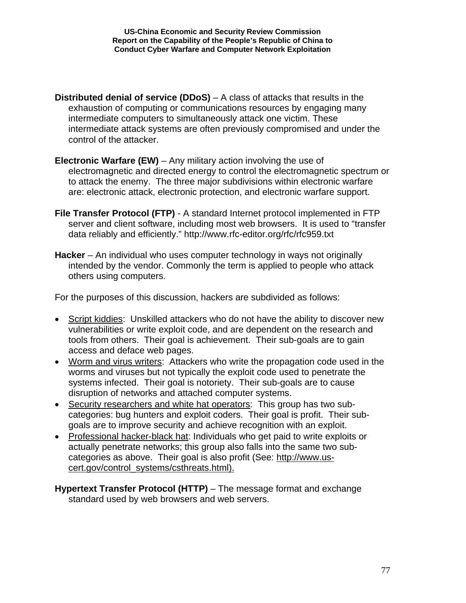- **Distributed denial of service (DDoS)** A class of attacks that results in the exhaustion of computing or communications resources by engaging many intermediate computers to simultaneously attack one victim. These intermediate attack systems are often previously compromised and under the control of the attacker.
- **Electronic Warfare (EW)** Any military action involving the use of electromagnetic and directed energy to control the electromagnetic spectrum or to attack the enemy. The three major subdivisions within electronic warfare are: electronic attack, electronic protection, and electronic warfare support.
- **File Transfer Protocol (FTP)** A standard Internet protocol implemented in FTP server and client software, including most web browsers. It is used to "transfer data reliably and efficiently." http://www.rfc-editor.org/rfc/rfc959.txt
- **Hacker** An individual who uses computer technology in ways not originally intended by the vendor. Commonly the term is applied to people who attack others using computers.

For the purposes of this discussion, hackers are subdivided as follows:

- Script kiddies: Unskilled attackers who do not have the ability to discover new vulnerabilities or write exploit code, and are dependent on the research and tools from others. Their goal is achievement. Their sub-goals are to gain access and deface web pages.
- Worm and virus writers: Attackers who write the propagation code used in the worms and viruses but not typically the exploit code used to penetrate the systems infected. Their goal is notoriety. Their sub-goals are to cause disruption of networks and attached computer systems.
- Security researchers and white hat operators: This group has two subcategories: bug hunters and exploit coders. Their goal is profit. Their subgoals are to improve security and achieve recognition with an exploit.
- Professional hacker-black hat: Individuals who get paid to write exploits or actually penetrate networks; this group also falls into the same two subcategories as above. Their goal is also profit (See: http://www.uscert.gov/control\_systems/csthreats.html).
- **Hypertext Transfer Protocol (HTTP)** The message format and exchange standard used by web browsers and web servers.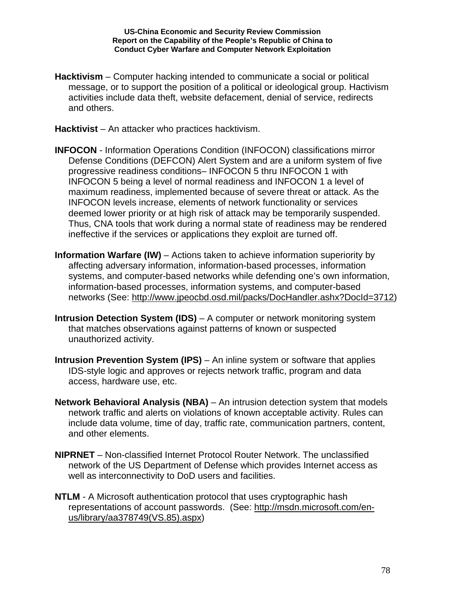- **Hacktivism** Computer hacking intended to communicate a social or political message, or to support the position of a political or ideological group. Hactivism activities include data theft, website defacement, denial of service, redirects and others.
- **Hacktivist** An attacker who practices hacktivism.
- **INFOCON** Information Operations Condition (INFOCON) classifications mirror Defense Conditions (DEFCON) Alert System and are a uniform system of five progressive readiness conditions– INFOCON 5 thru INFOCON 1 with INFOCON 5 being a level of normal readiness and INFOCON 1 a level of maximum readiness, implemented because of severe threat or attack. As the INFOCON levels increase, elements of network functionality or services deemed lower priority or at high risk of attack may be temporarily suspended. Thus, CNA tools that work during a normal state of readiness may be rendered ineffective if the services or applications they exploit are turned off.
- **Information Warfare (IW)** Actions taken to achieve information superiority by affecting adversary information, information-based processes, information systems, and computer-based networks while defending one's own information, information-based processes, information systems, and computer-based networks (See: http://www.jpeocbd.osd.mil/packs/DocHandler.ashx?DocId=3712)
- **Intrusion Detection System (IDS)** A computer or network monitoring system that matches observations against patterns of known or suspected unauthorized activity.
- **Intrusion Prevention System (IPS)** An inline system or software that applies IDS-style logic and approves or rejects network traffic, program and data access, hardware use, etc.
- **Network Behavioral Analysis (NBA)** An intrusion detection system that models network traffic and alerts on violations of known acceptable activity. Rules can include data volume, time of day, traffic rate, communication partners, content, and other elements.
- **NIPRNET** Non-classified Internet Protocol Router Network. The unclassified network of the US Department of Defense which provides Internet access as well as interconnectivity to DoD users and facilities.
- **NTLM** A Microsoft authentication protocol that uses cryptographic hash representations of account passwords. (See: http://msdn.microsoft.com/enus/library/aa378749(VS.85).aspx)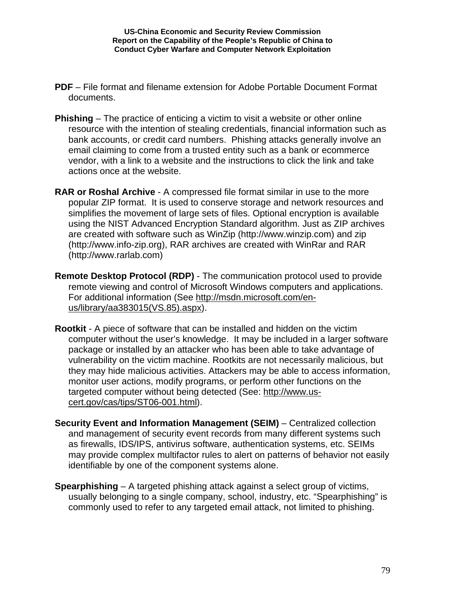- **PDF** File format and filename extension for Adobe Portable Document Format documents.
- **Phishing** The practice of enticing a victim to visit a website or other online resource with the intention of stealing credentials, financial information such as bank accounts, or credit card numbers. Phishing attacks generally involve an email claiming to come from a trusted entity such as a bank or ecommerce vendor, with a link to a website and the instructions to click the link and take actions once at the website.
- **RAR or Roshal Archive** A compressed file format similar in use to the more popular ZIP format. It is used to conserve storage and network resources and simplifies the movement of large sets of files. Optional encryption is available using the NIST Advanced Encryption Standard algorithm. Just as ZIP archives are created with software such as WinZip (http://www.winzip.com) and zip (http://www.info-zip.org), RAR archives are created with WinRar and RAR (http://www.rarlab.com)
- **Remote Desktop Protocol (RDP)** The communication protocol used to provide remote viewing and control of Microsoft Windows computers and applications. For additional information (See http://msdn.microsoft.com/enus/library/aa383015(VS.85).aspx).
- **Rootkit** A piece of software that can be installed and hidden on the victim computer without the user's knowledge. It may be included in a larger software package or installed by an attacker who has been able to take advantage of vulnerability on the victim machine. Rootkits are not necessarily malicious, but they may hide malicious activities. Attackers may be able to access information, monitor user actions, modify programs, or perform other functions on the targeted computer without being detected (See: http://www.uscert.gov/cas/tips/ST06-001.html).
- **Security Event and Information Management (SEIM)** Centralized collection and management of security event records from many different systems such as firewalls, IDS/IPS, antivirus software, authentication systems, etc. SEIMs may provide complex multifactor rules to alert on patterns of behavior not easily identifiable by one of the component systems alone.
- **Spearphishing** A targeted phishing attack against a select group of victims, usually belonging to a single company, school, industry, etc. "Spearphishing" is commonly used to refer to any targeted email attack, not limited to phishing.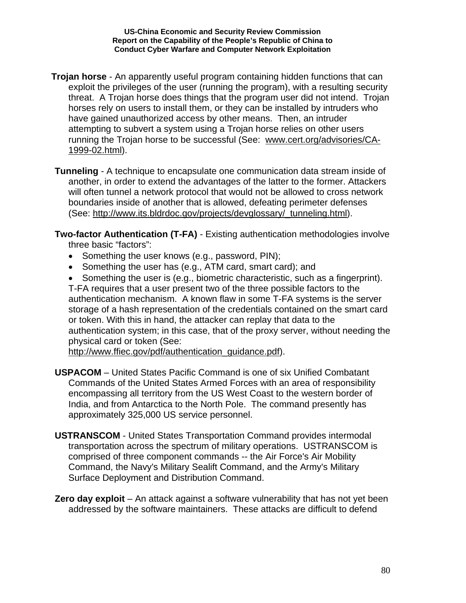- **Trojan horse** An apparently useful program containing hidden functions that can exploit the privileges of the user (running the program), with a resulting security threat. A Trojan horse does things that the program user did not intend. Trojan horses rely on users to install them, or they can be installed by intruders who have gained unauthorized access by other means. Then, an intruder attempting to subvert a system using a Trojan horse relies on other users running the Trojan horse to be successful (See: www.cert.org/advisories/CA-1999-02.html).
- **Tunneling** A technique to encapsulate one communication data stream inside of another, in order to extend the advantages of the latter to the former. Attackers will often tunnel a network protocol that would not be allowed to cross network boundaries inside of another that is allowed, defeating perimeter defenses (See: http://www.its.bldrdoc.gov/projects/devglossary/\_tunneling.html).

**Two-factor Authentication (T-FA)** - Existing authentication methodologies involve three basic "factors":

- Something the user knows (e.g., password, PIN);
- Something the user has (e.g., ATM card, smart card); and
- Something the user is (e.g., biometric characteristic, such as a fingerprint).

T-FA requires that a user present two of the three possible factors to the authentication mechanism. A known flaw in some T-FA systems is the server storage of a hash representation of the credentials contained on the smart card or token. With this in hand, the attacker can replay that data to the authentication system; in this case, that of the proxy server, without needing the physical card or token (See:

http://www.ffiec.gov/pdf/authentication\_guidance.pdf).

- **USPACOM**  United States Pacific Command is one of six Unified Combatant Commands of the United States Armed Forces with an area of responsibility encompassing all territory from the US West Coast to the western border of India, and from Antarctica to the North Pole. The command presently has approximately 325,000 US service personnel.
- **USTRANSCOM** United States Transportation Command provides intermodal transportation across the spectrum of military operations. USTRANSCOM is comprised of three component commands -- the Air Force's Air Mobility Command, the Navy's Military Sealift Command, and the Army's Military Surface Deployment and Distribution Command.
- **Zero day exploit** An attack against a software vulnerability that has not yet been addressed by the software maintainers. These attacks are difficult to defend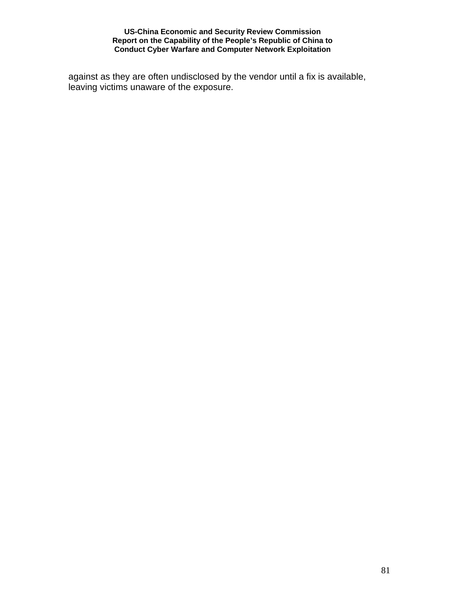against as they are often undisclosed by the vendor until a fix is available, leaving victims unaware of the exposure.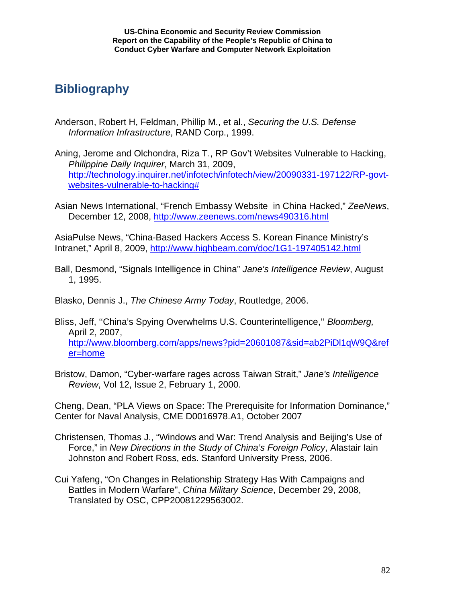# **Bibliography**

- Anderson, Robert H, Feldman, Phillip M., et al., *Securing the U.S. Defense Information Infrastructure*, RAND Corp., 1999.
- Aning, Jerome and Olchondra, Riza T., RP Gov't Websites Vulnerable to Hacking, *Philippine Daily Inquirer*, March 31, 2009, http://technology.inquirer.net/infotech/infotech/view/20090331-197122/RP-govtwebsites-vulnerable-to-hacking#
- Asian News International, "French Embassy Website in China Hacked," *ZeeNews*, December 12, 2008, http://www.zeenews.com/news490316.html

AsiaPulse News, "China-Based Hackers Access S. Korean Finance Ministry's Intranet," April 8, 2009, http://www.highbeam.com/doc/1G1-197405142.html

Ball, Desmond, "Signals Intelligence in China" *Jane's Intelligence Review*, August 1, 1995.

Blasko, Dennis J., *The Chinese Army Today*, Routledge, 2006.

- Bliss, Jeff, ''China's Spying Overwhelms U.S. Counterintelligence,'' *Bloomberg,*  April 2, 2007, http://www.bloomberg.com/apps/news?pid=20601087&sid=ab2PiDl1qW9Q&ref er=home
- Bristow, Damon, "Cyber-warfare rages across Taiwan Strait," *Jane's Intelligence Review*, Vol 12, Issue 2, February 1, 2000.

Cheng, Dean, "PLA Views on Space: The Prerequisite for Information Dominance," Center for Naval Analysis, CME D0016978.A1, October 2007

- Christensen, Thomas J., "Windows and War: Trend Analysis and Beijing's Use of Force," in *New Directions in the Study of China's Foreign Policy*, Alastair Iain Johnston and Robert Ross, eds. Stanford University Press, 2006.
- Cui Yafeng, "On Changes in Relationship Strategy Has With Campaigns and Battles in Modern Warfare", *China Military Science*, December 29, 2008, Translated by OSC, CPP20081229563002.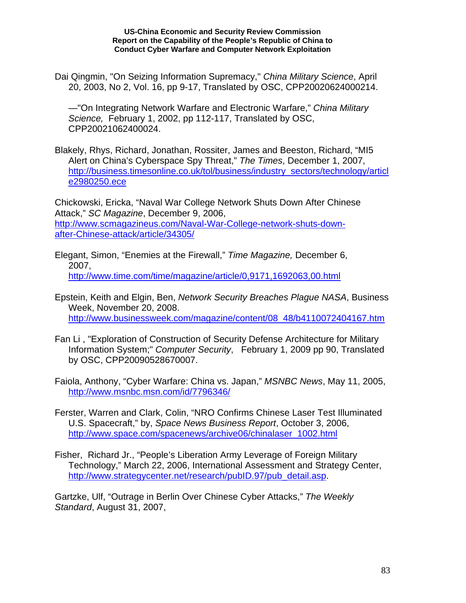Dai Qingmin, "On Seizing Information Supremacy," *China Military Science*, April 20, 2003, No 2, Vol. 16, pp 9-17, Translated by OSC, CPP20020624000214.

—"On Integrating Network Warfare and Electronic Warfare," *China Military Science,* February 1, 2002, pp 112-117, Translated by OSC, CPP20021062400024.

Blakely, Rhys, Richard, Jonathan, Rossiter, James and Beeston, Richard, "MI5 Alert on China's Cyberspace Spy Threat," *The Times*, December 1, 2007, http://business.timesonline.co.uk/tol/business/industry\_sectors/technology/articl e2980250.ece

Chickowski, Ericka, "Naval War College Network Shuts Down After Chinese Attack," *SC Magazine*, December 9, 2006, http://www.scmagazineus.com/Naval-War-College-network-shuts-downafter-Chinese-attack/article/34305/

- Elegant, Simon, "Enemies at the Firewall," *Time Magazine,* December 6, 2007, http://www.time.com/time/magazine/article/0,9171,1692063,00.html
- Epstein, Keith and Elgin, Ben, *Network Security Breaches Plague NASA*, Business Week, November 20, 2008. http://www.businessweek.com/magazine/content/08\_48/b4110072404167.htm
- Fan Li , "Exploration of Construction of Security Defense Architecture for Military Information System;" *Computer Security*, February 1, 2009 pp 90, Translated by OSC, CPP20090528670007.
- Faiola, Anthony, "Cyber Warfare: China vs. Japan," *MSNBC News*, May 11, 2005, http://www.msnbc.msn.com/id/7796346/
- Ferster, Warren and Clark, Colin, "NRO Confirms Chinese Laser Test Illuminated U.S. Spacecraft," by, *Space News Business Report*, October 3, 2006, http://www.space.com/spacenews/archive06/chinalaser\_1002.html
- Fisher, Richard Jr., "People's Liberation Army Leverage of Foreign Military Technology," March 22, 2006, International Assessment and Strategy Center, http://www.strategycenter.net/research/pubID.97/pub\_detail.asp.

Gartzke, Ulf, "Outrage in Berlin Over Chinese Cyber Attacks," *The Weekly Standard*, August 31, 2007,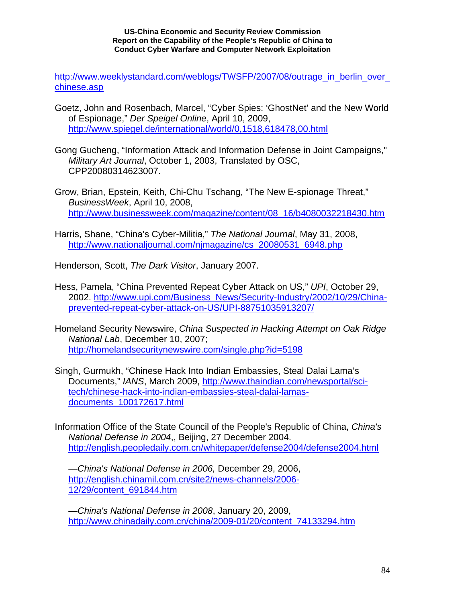http://www.weeklystandard.com/weblogs/TWSFP/2007/08/outrage\_in\_berlin\_over chinese.asp

- Goetz, John and Rosenbach, Marcel, "Cyber Spies: 'GhostNet' and the New World of Espionage," *Der Speigel Online*, April 10, 2009, http://www.spiegel.de/international/world/0,1518,618478,00.html
- Gong Gucheng, "Information Attack and Information Defense in Joint Campaigns," *Military Art Journal*, October 1, 2003, Translated by OSC, CPP20080314623007.
- Grow, Brian, Epstein, Keith, Chi-Chu Tschang, "The New E-spionage Threat," *BusinessWeek*, April 10, 2008, http://www.businessweek.com/magazine/content/08\_16/b4080032218430.htm
- Harris, Shane, "China's Cyber-Militia," *The National Journal*, May 31, 2008, http://www.nationaljournal.com/njmagazine/cs\_20080531\_6948.php

Henderson, Scott, *The Dark Visitor*, January 2007.

- Hess, Pamela, "China Prevented Repeat Cyber Attack on US," *UPI*, October 29, 2002. http://www.upi.com/Business\_News/Security-Industry/2002/10/29/Chinaprevented-repeat-cyber-attack-on-US/UPI-88751035913207/
- Homeland Security Newswire, *China Suspected in Hacking Attempt on Oak Ridge National Lab*, December 10, 2007; http://homelandsecuritynewswire.com/single.php?id=5198
- Singh, Gurmukh, "Chinese Hack Into Indian Embassies, Steal Dalai Lama's Documents," *IANS*, March 2009, http://www.thaindian.com/newsportal/scitech/chinese-hack-into-indian-embassies-steal-dalai-lamasdocuments\_100172617.html
- Information Office of the State Council of the People's Republic of China, *China's National Defense in 2004*,, Beijing, 27 December 2004. http://english.peopledaily.com.cn/whitepaper/defense2004/defense2004.html

*—China's National Defense in 2006,* December 29, 2006, http://english.chinamil.com.cn/site2/news-channels/2006- 12/29/content\_691844.htm

*—China's National Defense in 2008*, January 20, 2009, http://www.chinadaily.com.cn/china/2009-01/20/content\_74133294.htm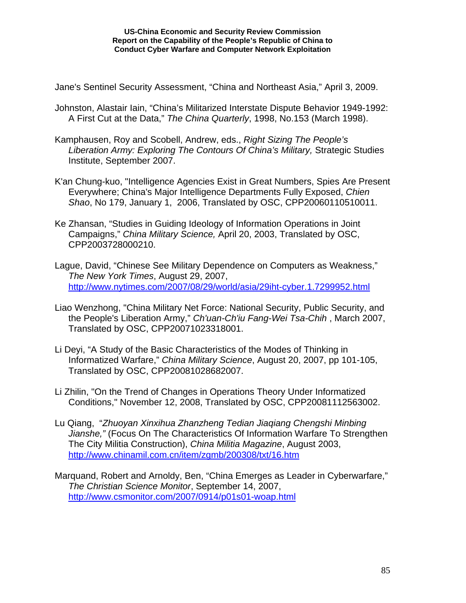Jane's Sentinel Security Assessment, "China and Northeast Asia," April 3, 2009.

- Johnston, Alastair Iain, "China's Militarized Interstate Dispute Behavior 1949-1992: A First Cut at the Data," *The China Quarterly*, 1998, No.153 (March 1998).
- Kamphausen, Roy and Scobell, Andrew, eds., *Right Sizing The People's Liberation Army: Exploring The Contours Of China's Military,* Strategic Studies Institute, September 2007.
- K'an Chung-kuo, "Intelligence Agencies Exist in Great Numbers, Spies Are Present Everywhere; China's Major Intelligence Departments Fully Exposed, *Chien Shao*, No 179, January 1, 2006, Translated by OSC, CPP20060110510011.
- Ke Zhansan, "Studies in Guiding Ideology of Information Operations in Joint Campaigns," *China Military Science,* April 20, 2003, Translated by OSC, CPP2003728000210.
- Lague, David, "Chinese See Military Dependence on Computers as Weakness," *The New York Times*, August 29, 2007, http://www.nytimes.com/2007/08/29/world/asia/29iht-cyber.1.7299952.html
- Liao Wenzhong, "China Military Net Force: National Security, Public Security, and the People's Liberation Army," *Ch'uan-Ch'iu Fang-Wei Tsa-Chih* , March 2007, Translated by OSC, CPP20071023318001.
- Li Deyi, "A Study of the Basic Characteristics of the Modes of Thinking in Informatized Warfare," *China Military Science*, August 20, 2007, pp 101-105, Translated by OSC, CPP20081028682007.
- Li Zhilin, "On the Trend of Changes in Operations Theory Under Informatized Conditions," November 12, 2008, Translated by OSC, CPP20081112563002.
- Lu Qiang, "*Zhuoyan Xinxihua Zhanzheng Tedian Jiaqiang Chengshi Minbing Jianshe,"* (Focus On The Characteristics Of Information Warfare To Strengthen The City Militia Construction), *China Militia Magazine*, August 2003, http://www.chinamil.com.cn/item/zgmb/200308/txt/16.htm
- Marquand, Robert and Arnoldy, Ben, "China Emerges as Leader in Cyberwarfare," *The Christian Science Monitor*, September 14, 2007, http://www.csmonitor.com/2007/0914/p01s01-woap.html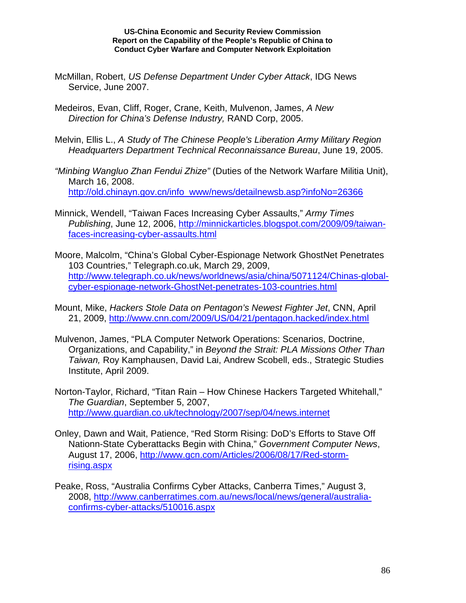- McMillan, Robert, *US Defense Department Under Cyber Attack*, IDG News Service, June 2007.
- Medeiros, Evan, Cliff, Roger, Crane, Keith, Mulvenon, James, *A New Direction for China's Defense Industry,* RAND Corp, 2005.
- Melvin, Ellis L., *A Study of The Chinese People's Liberation Army Military Region Headquarters Department Technical Reconnaissance Bureau*, June 19, 2005.
- *"Minbing Wangluo Zhan Fendui Zhize"* (Duties of the Network Warfare Militia Unit), March 16, 2008. http://old.chinayn.gov.cn/info\_www/news/detailnewsb.asp?infoNo=26366
- Minnick, Wendell, "Taiwan Faces Increasing Cyber Assaults," *Army Times Publishing*, June 12, 2006, http://minnickarticles.blogspot.com/2009/09/taiwanfaces-increasing-cyber-assaults.html
- Moore, Malcolm, "China's Global Cyber-Espionage Network GhostNet Penetrates 103 Countries," Telegraph.co.uk, March 29, 2009, http://www.telegraph.co.uk/news/worldnews/asia/china/5071124/Chinas-globalcyber-espionage-network-GhostNet-penetrates-103-countries.html
- Mount, Mike, *Hackers Stole Data on Pentagon's Newest Fighter Jet*, CNN, April 21, 2009, http://www.cnn.com/2009/US/04/21/pentagon.hacked/index.html
- Mulvenon, James, "PLA Computer Network Operations: Scenarios, Doctrine, Organizations, and Capability," in *Beyond the Strait: PLA Missions Other Than Taiwan,* Roy Kamphausen, David Lai, Andrew Scobell, eds., Strategic Studies Institute, April 2009.
- Norton-Taylor, Richard, "Titan Rain How Chinese Hackers Targeted Whitehall," *The Guardian*, September 5, 2007, http://www.guardian.co.uk/technology/2007/sep/04/news.internet
- Onley, Dawn and Wait, Patience, "Red Storm Rising: DoD's Efforts to Stave Off Nationn-State Cyberattacks Begin with China," *Government Computer News*, August 17, 2006, http://www.gcn.com/Articles/2006/08/17/Red-stormrising.aspx
- Peake, Ross, "Australia Confirms Cyber Attacks, Canberra Times," August 3, 2008, http://www.canberratimes.com.au/news/local/news/general/australiaconfirms-cyber-attacks/510016.aspx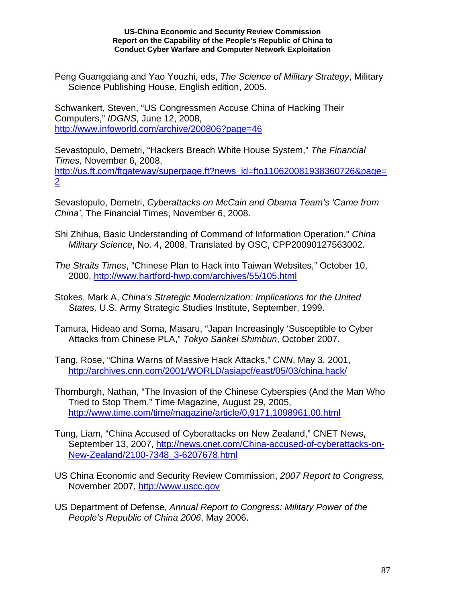Peng Guangqiang and Yao Youzhi, eds, *The Science of Military Strategy*, Military Science Publishing House, English edition, 2005.

Schwankert, Steven, "US Congressmen Accuse China of Hacking Their Computers," *IDGNS*, June 12, 2008, http://www.infoworld.com/archive/200806?page=46

Sevastopulo, Demetri, "Hackers Breach White House System," *The Financial Times,* November 6, 2008, http://us.ft.com/ftgateway/superpage.ft?news\_id=fto110620081938360726&page= 2

Sevastopulo, Demetri, *Cyberattacks on McCain and Obama Team's 'Came from China'*, The Financial Times, November 6, 2008.

- Shi Zhihua, Basic Understanding of Command of Information Operation," *China Military Science*, No. 4, 2008, Translated by OSC, CPP20090127563002.
- *The Straits Times*, "Chinese Plan to Hack into Taiwan Websites," October 10, 2000, http://www.hartford-hwp.com/archives/55/105.html
- Stokes, Mark A, *China's Strategic Modernization: Implications for the United States,* U.S. Army Strategic Studies Institute, September, 1999.
- Tamura, Hideao and Soma, Masaru, "Japan Increasingly 'Susceptible to Cyber Attacks from Chinese PLA," *Tokyo Sankei Shimbun*, October 2007.
- Tang, Rose, "China Warns of Massive Hack Attacks," *CNN*, May 3, 2001, http://archives.cnn.com/2001/WORLD/asiapcf/east/05/03/china.hack/
- Thornburgh, Nathan, "The Invasion of the Chinese Cyberspies (And the Man Who Tried to Stop Them," Time Magazine, August 29, 2005, http://www.time.com/time/magazine/article/0,9171,1098961,00.html
- Tung, Liam, "China Accused of Cyberattacks on New Zealand," CNET News, September 13, 2007, http://news.cnet.com/China-accused-of-cyberattacks-on-New-Zealand/2100-7348\_3-6207678.html
- US China Economic and Security Review Commission, *2007 Report to Congress,* November 2007, http://www.uscc.gov
- US Department of Defense, *Annual Report to Congress: Military Power of the People's Republic of China 2006*, May 2006.